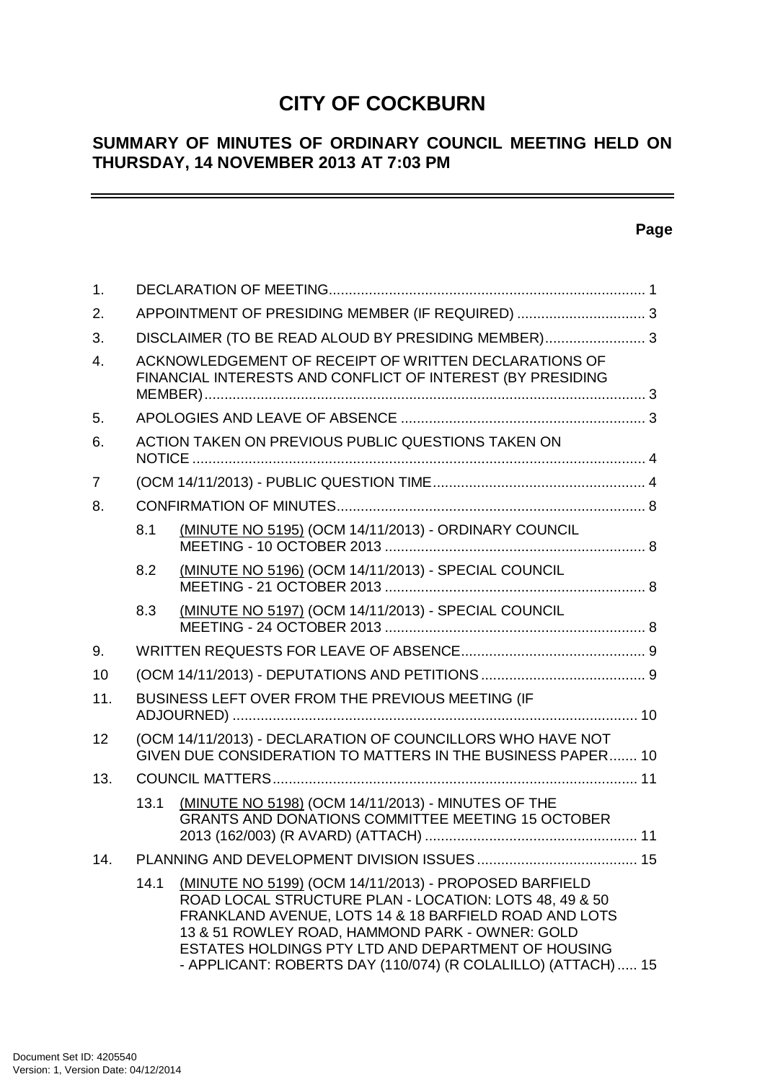# **CITY OF COCKBURN**

# **SUMMARY OF MINUTES OF ORDINARY COUNCIL MEETING HELD ON THURSDAY, 14 NOVEMBER 2013 AT 7:03 PM**

# **Page**

 $\overline{\phantom{0}}$ 

| 1.             |                                                  |                                                                                                                                                                                                                                                                                                                                                   |  |  |
|----------------|--------------------------------------------------|---------------------------------------------------------------------------------------------------------------------------------------------------------------------------------------------------------------------------------------------------------------------------------------------------------------------------------------------------|--|--|
| 2.             | APPOINTMENT OF PRESIDING MEMBER (IF REQUIRED)  3 |                                                                                                                                                                                                                                                                                                                                                   |  |  |
| 3.             |                                                  | DISCLAIMER (TO BE READ ALOUD BY PRESIDING MEMBER) 3                                                                                                                                                                                                                                                                                               |  |  |
| 4.             |                                                  | ACKNOWLEDGEMENT OF RECEIPT OF WRITTEN DECLARATIONS OF<br>FINANCIAL INTERESTS AND CONFLICT OF INTEREST (BY PRESIDING                                                                                                                                                                                                                               |  |  |
| 5.             |                                                  |                                                                                                                                                                                                                                                                                                                                                   |  |  |
| 6.             |                                                  | ACTION TAKEN ON PREVIOUS PUBLIC QUESTIONS TAKEN ON                                                                                                                                                                                                                                                                                                |  |  |
| $\overline{7}$ |                                                  |                                                                                                                                                                                                                                                                                                                                                   |  |  |
| 8.             |                                                  |                                                                                                                                                                                                                                                                                                                                                   |  |  |
|                | 8.1                                              | (MINUTE NO 5195) (OCM 14/11/2013) - ORDINARY COUNCIL                                                                                                                                                                                                                                                                                              |  |  |
|                | 8.2                                              | (MINUTE NO 5196) (OCM 14/11/2013) - SPECIAL COUNCIL                                                                                                                                                                                                                                                                                               |  |  |
|                | 8.3                                              | (MINUTE NO 5197) (OCM 14/11/2013) - SPECIAL COUNCIL                                                                                                                                                                                                                                                                                               |  |  |
| 9.             |                                                  |                                                                                                                                                                                                                                                                                                                                                   |  |  |
| 10             |                                                  |                                                                                                                                                                                                                                                                                                                                                   |  |  |
| 11.            |                                                  | BUSINESS LEFT OVER FROM THE PREVIOUS MEETING (IF                                                                                                                                                                                                                                                                                                  |  |  |
| 12             |                                                  | (OCM 14/11/2013) - DECLARATION OF COUNCILLORS WHO HAVE NOT<br>GIVEN DUE CONSIDERATION TO MATTERS IN THE BUSINESS PAPER 10                                                                                                                                                                                                                         |  |  |
| 13.            |                                                  |                                                                                                                                                                                                                                                                                                                                                   |  |  |
|                | 13.1                                             | (MINUTE NO 5198) (OCM 14/11/2013) - MINUTES OF THE<br><b>GRANTS AND DONATIONS COMMITTEE MEETING 15 OCTOBER</b>                                                                                                                                                                                                                                    |  |  |
| 14.            |                                                  |                                                                                                                                                                                                                                                                                                                                                   |  |  |
|                | 14.1                                             | (MINUTE NO 5199) (OCM 14/11/2013) - PROPOSED BARFIELD<br>ROAD LOCAL STRUCTURE PLAN - LOCATION: LOTS 48, 49 & 50<br>FRANKLAND AVENUE, LOTS 14 & 18 BARFIELD ROAD AND LOTS<br>13 & 51 ROWLEY ROAD, HAMMOND PARK - OWNER: GOLD<br>ESTATES HOLDINGS PTY LTD AND DEPARTMENT OF HOUSING<br>- APPLICANT: ROBERTS DAY (110/074) (R COLALILLO) (ATTACH) 15 |  |  |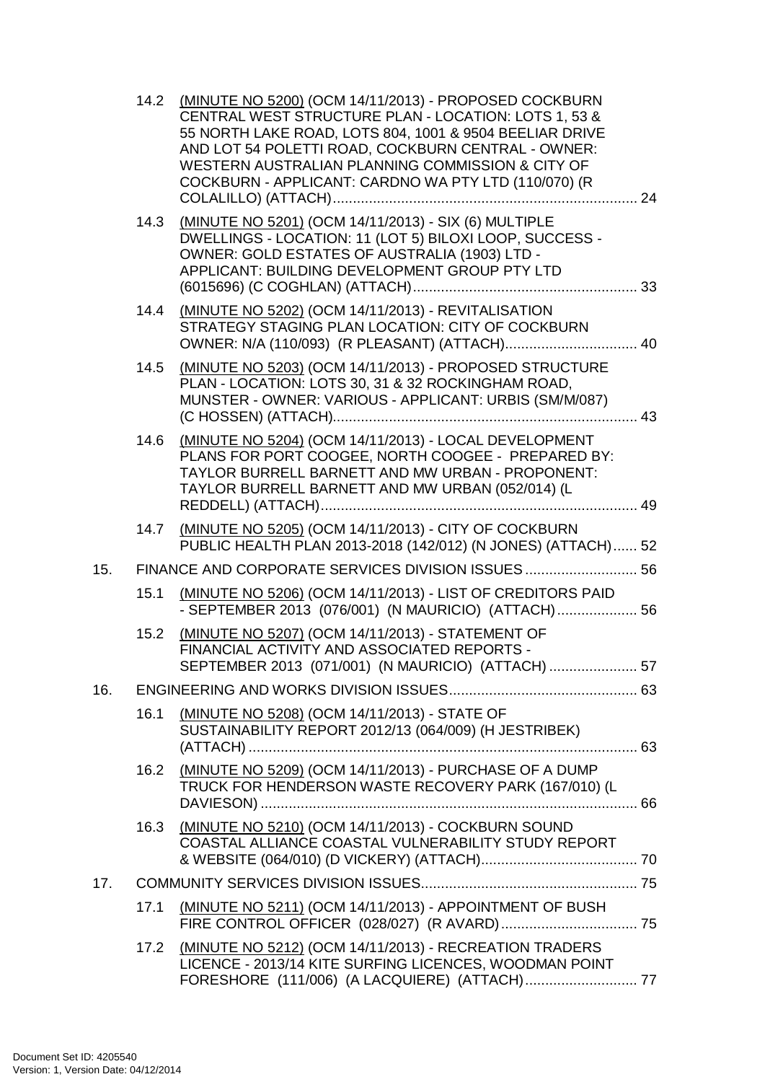|     |      | 14.2 (MINUTE NO 5200) (OCM 14/11/2013) - PROPOSED COCKBURN<br>CENTRAL WEST STRUCTURE PLAN - LOCATION: LOTS 1, 53 &<br>55 NORTH LAKE ROAD, LOTS 804, 1001 & 9504 BEELIAR DRIVE<br>AND LOT 54 POLETTI ROAD, COCKBURN CENTRAL - OWNER:<br>WESTERN AUSTRALIAN PLANNING COMMISSION & CITY OF<br>COCKBURN - APPLICANT: CARDNO WA PTY LTD (110/070) (R |  |
|-----|------|-------------------------------------------------------------------------------------------------------------------------------------------------------------------------------------------------------------------------------------------------------------------------------------------------------------------------------------------------|--|
|     | 14.3 | (MINUTE NO 5201) (OCM 14/11/2013) - SIX (6) MULTIPLE<br>DWELLINGS - LOCATION: 11 (LOT 5) BILOXI LOOP, SUCCESS -<br>OWNER: GOLD ESTATES OF AUSTRALIA (1903) LTD -<br>APPLICANT: BUILDING DEVELOPMENT GROUP PTY LTD                                                                                                                               |  |
|     | 14.4 | (MINUTE NO 5202) (OCM 14/11/2013) - REVITALISATION<br>STRATEGY STAGING PLAN LOCATION: CITY OF COCKBURN                                                                                                                                                                                                                                          |  |
|     | 14.5 | (MINUTE NO 5203) (OCM 14/11/2013) - PROPOSED STRUCTURE<br>PLAN - LOCATION: LOTS 30, 31 & 32 ROCKINGHAM ROAD,<br>MUNSTER - OWNER: VARIOUS - APPLICANT: URBIS (SM/M/087)                                                                                                                                                                          |  |
|     | 14.6 | (MINUTE NO 5204) (OCM 14/11/2013) - LOCAL DEVELOPMENT<br>PLANS FOR PORT COOGEE, NORTH COOGEE - PREPARED BY:<br>TAYLOR BURRELL BARNETT AND MW URBAN - PROPONENT:<br>TAYLOR BURRELL BARNETT AND MW URBAN (052/014) (L                                                                                                                             |  |
|     | 14.7 | (MINUTE NO 5205) (OCM 14/11/2013) - CITY OF COCKBURN<br>PUBLIC HEALTH PLAN 2013-2018 (142/012) (N JONES) (ATTACH) 52                                                                                                                                                                                                                            |  |
| 15. |      | FINANCE AND CORPORATE SERVICES DIVISION ISSUES 56                                                                                                                                                                                                                                                                                               |  |
|     | 15.1 | (MINUTE NO 5206) (OCM 14/11/2013) - LIST OF CREDITORS PAID<br>- SEPTEMBER 2013 (076/001) (N MAURICIO) (ATTACH) 56                                                                                                                                                                                                                               |  |
|     | 15.2 | (MINUTE NO 5207) (OCM 14/11/2013) - STATEMENT OF<br>FINANCIAL ACTIVITY AND ASSOCIATED REPORTS -<br>SEPTEMBER 2013 (071/001) (N MAURICIO) (ATTACH)  57                                                                                                                                                                                           |  |
| 16. |      |                                                                                                                                                                                                                                                                                                                                                 |  |
|     | 16.1 | (MINUTE NO 5208) (OCM 14/11/2013) - STATE OF<br>SUSTAINABILITY REPORT 2012/13 (064/009) (H JESTRIBEK)                                                                                                                                                                                                                                           |  |
|     | 16.2 | (MINUTE NO 5209) (OCM 14/11/2013) - PURCHASE OF A DUMP<br>TRUCK FOR HENDERSON WASTE RECOVERY PARK (167/010) (L                                                                                                                                                                                                                                  |  |
|     | 16.3 | (MINUTE NO 5210) (OCM 14/11/2013) - COCKBURN SOUND<br>COASTAL ALLIANCE COASTAL VULNERABILITY STUDY REPORT                                                                                                                                                                                                                                       |  |
| 17. |      |                                                                                                                                                                                                                                                                                                                                                 |  |
|     | 17.1 | (MINUTE NO 5211) (OCM 14/11/2013) - APPOINTMENT OF BUSH                                                                                                                                                                                                                                                                                         |  |
|     | 17.2 | (MINUTE NO 5212) (OCM 14/11/2013) - RECREATION TRADERS<br>LICENCE - 2013/14 KITE SURFING LICENCES, WOODMAN POINT                                                                                                                                                                                                                                |  |
|     |      |                                                                                                                                                                                                                                                                                                                                                 |  |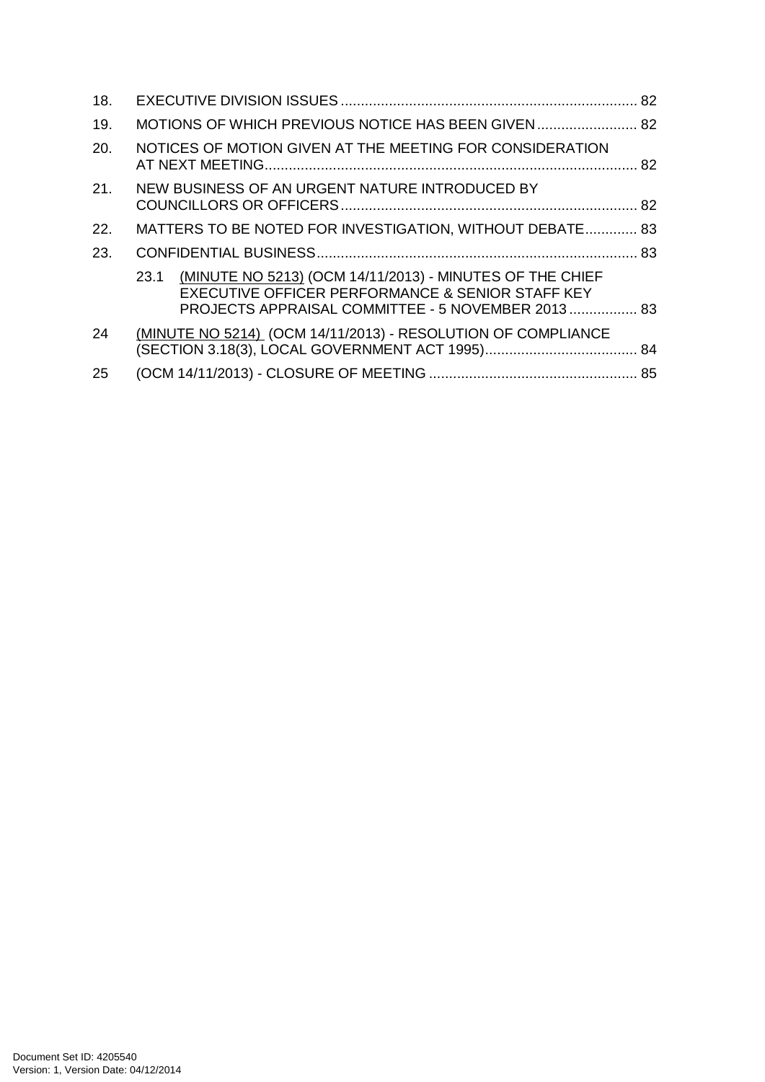| 18. |                                                                                                                                                                           |  |
|-----|---------------------------------------------------------------------------------------------------------------------------------------------------------------------------|--|
| 19. | MOTIONS OF WHICH PREVIOUS NOTICE HAS BEEN GIVEN  82                                                                                                                       |  |
| 20. | NOTICES OF MOTION GIVEN AT THE MEETING FOR CONSIDERATION                                                                                                                  |  |
| 21. | NEW BUSINESS OF AN URGENT NATURE INTRODUCED BY                                                                                                                            |  |
| 22. | MATTERS TO BE NOTED FOR INVESTIGATION, WITHOUT DEBATE 83                                                                                                                  |  |
| 23. |                                                                                                                                                                           |  |
|     | (MINUTE NO 5213) (OCM 14/11/2013) - MINUTES OF THE CHIEF<br>23.1<br>EXECUTIVE OFFICER PERFORMANCE & SENIOR STAFF KEY<br>PROJECTS APPRAISAL COMMITTEE - 5 NOVEMBER 2013 83 |  |
| 24  | (MINUTE NO 5214) (OCM 14/11/2013) - RESOLUTION OF COMPLIANCE                                                                                                              |  |
| 25  |                                                                                                                                                                           |  |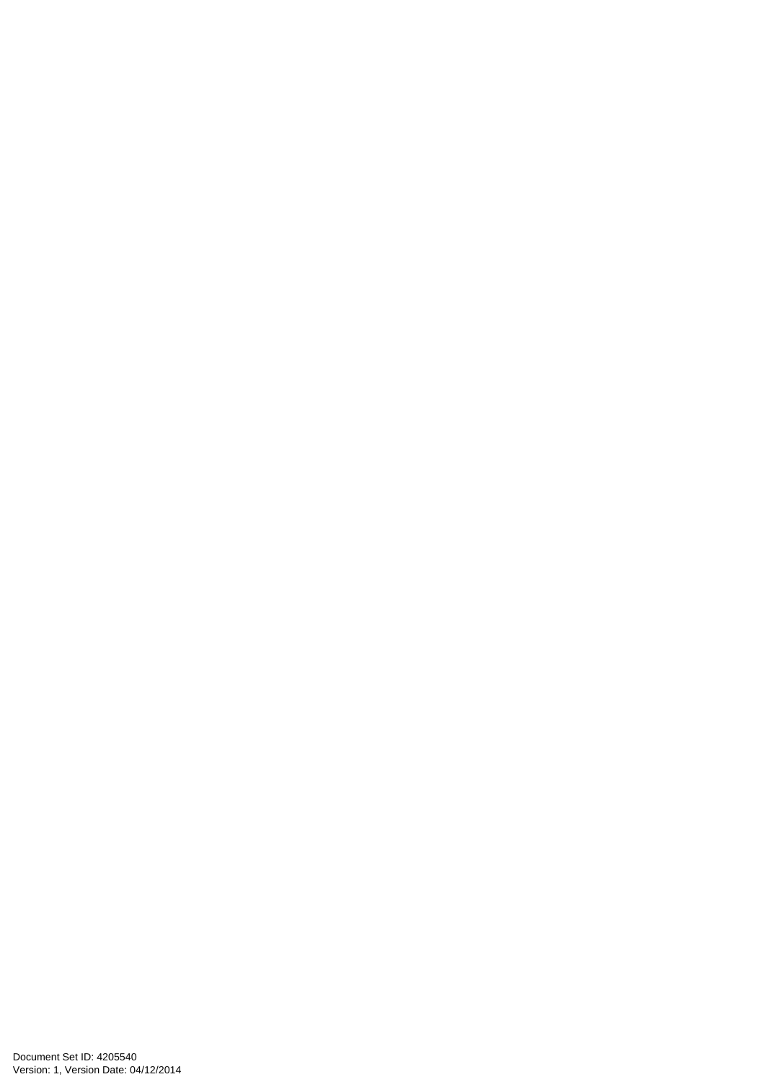Document Set ID: 4205540<br>Version: 1, Version Date: 04/12/2014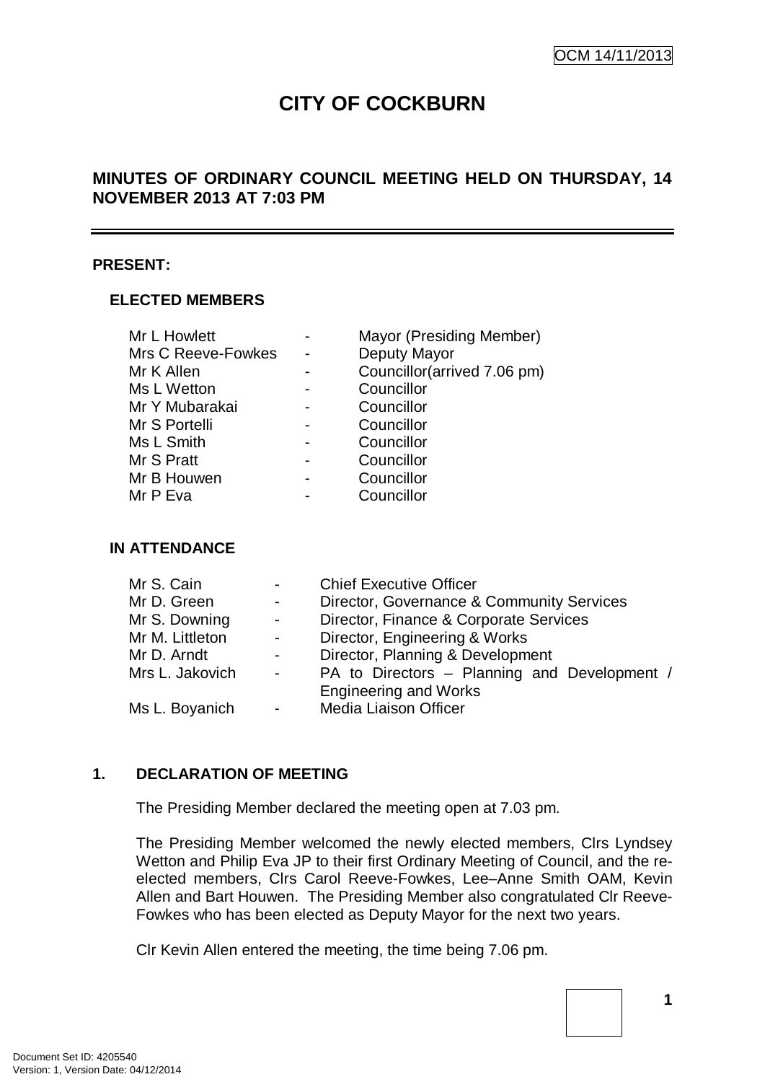# **CITY OF COCKBURN**

# **MINUTES OF ORDINARY COUNCIL MEETING HELD ON THURSDAY, 14 NOVEMBER 2013 AT 7:03 PM**

#### **PRESENT:**

#### **ELECTED MEMBERS**

| Mr L Howlett       | Mayor (Presiding Member)    |
|--------------------|-----------------------------|
| Mrs C Reeve-Fowkes | Deputy Mayor                |
| Mr K Allen         | Councillor(arrived 7.06 pm) |
| Ms L Wetton        | Councillor                  |
| Mr Y Mubarakai     | Councillor                  |
| Mr S Portelli      | Councillor                  |
| Ms L Smith         | Councillor                  |
| Mr S Pratt         | Councillor                  |
| Mr B Houwen        | Councillor                  |
| Mr P Eva           | Councillor                  |

#### **IN ATTENDANCE**

| Mr S. Cain      | $\blacksquare$ | <b>Chief Executive Officer</b>                                               |
|-----------------|----------------|------------------------------------------------------------------------------|
| Mr D. Green     | $\sim 100$     | Director, Governance & Community Services                                    |
| Mr S. Downing   | $\sim 100$     | Director, Finance & Corporate Services                                       |
| Mr M. Littleton | $\sim 10$      | Director, Engineering & Works                                                |
| Mr D. Arndt     | $\sim 100$     | Director, Planning & Development                                             |
| Mrs L. Jakovich | $\blacksquare$ | PA to Directors - Planning and Development /<br><b>Engineering and Works</b> |
| Ms L. Boyanich  | $\sim 100$     | Media Liaison Officer                                                        |

#### **1. DECLARATION OF MEETING**

The Presiding Member declared the meeting open at 7.03 pm.

The Presiding Member welcomed the newly elected members, Clrs Lyndsey Wetton and Philip Eva JP to their first Ordinary Meeting of Council, and the reelected members, Clrs Carol Reeve-Fowkes, Lee–Anne Smith OAM, Kevin Allen and Bart Houwen. The Presiding Member also congratulated Clr Reeve-Fowkes who has been elected as Deputy Mayor for the next two years.

Clr Kevin Allen entered the meeting, the time being 7.06 pm.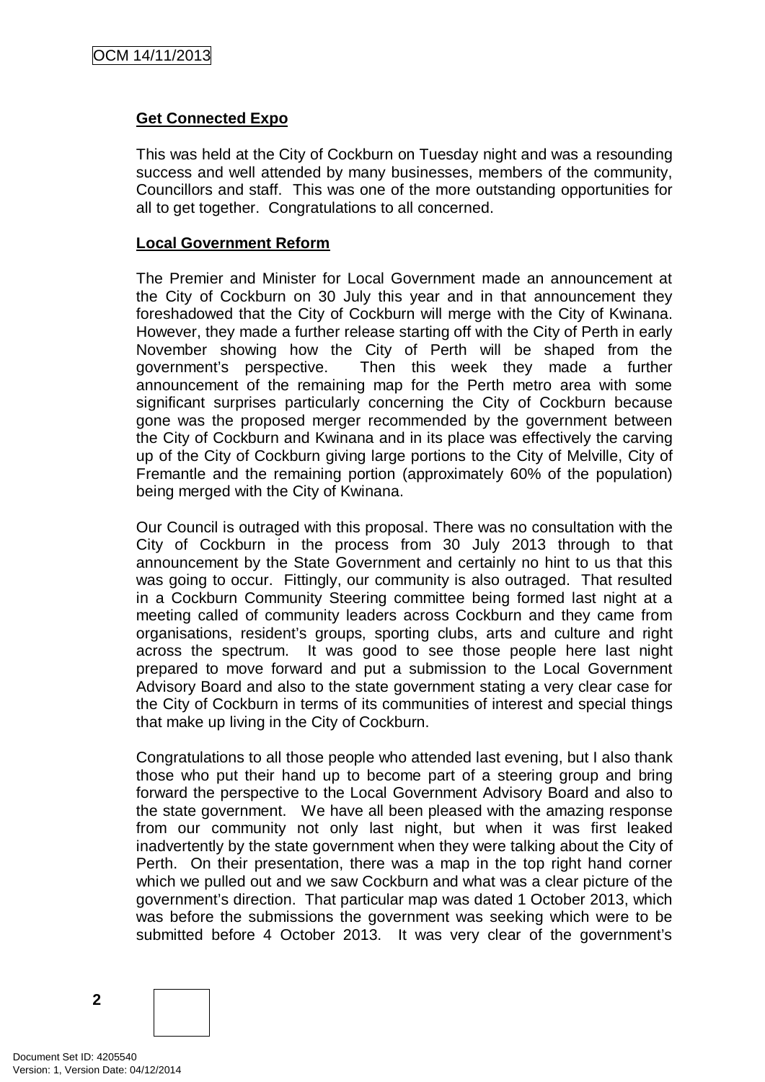#### **Get Connected Expo**

This was held at the City of Cockburn on Tuesday night and was a resounding success and well attended by many businesses, members of the community, Councillors and staff. This was one of the more outstanding opportunities for all to get together. Congratulations to all concerned.

#### **Local Government Reform**

The Premier and Minister for Local Government made an announcement at the City of Cockburn on 30 July this year and in that announcement they foreshadowed that the City of Cockburn will merge with the City of Kwinana. However, they made a further release starting off with the City of Perth in early November showing how the City of Perth will be shaped from the government's perspective. Then this week they made a further announcement of the remaining map for the Perth metro area with some significant surprises particularly concerning the City of Cockburn because gone was the proposed merger recommended by the government between the City of Cockburn and Kwinana and in its place was effectively the carving up of the City of Cockburn giving large portions to the City of Melville, City of Fremantle and the remaining portion (approximately 60% of the population) being merged with the City of Kwinana.

Our Council is outraged with this proposal. There was no consultation with the City of Cockburn in the process from 30 July 2013 through to that announcement by the State Government and certainly no hint to us that this was going to occur. Fittingly, our community is also outraged. That resulted in a Cockburn Community Steering committee being formed last night at a meeting called of community leaders across Cockburn and they came from organisations, resident's groups, sporting clubs, arts and culture and right across the spectrum. It was good to see those people here last night prepared to move forward and put a submission to the Local Government Advisory Board and also to the state government stating a very clear case for the City of Cockburn in terms of its communities of interest and special things that make up living in the City of Cockburn.

Congratulations to all those people who attended last evening, but I also thank those who put their hand up to become part of a steering group and bring forward the perspective to the Local Government Advisory Board and also to the state government. We have all been pleased with the amazing response from our community not only last night, but when it was first leaked inadvertently by the state government when they were talking about the City of Perth. On their presentation, there was a map in the top right hand corner which we pulled out and we saw Cockburn and what was a clear picture of the government's direction. That particular map was dated 1 October 2013, which was before the submissions the government was seeking which were to be submitted before 4 October 2013. It was very clear of the government's

**2**

Document Set ID: 4205540<br>Version: 1, Version Date: 04/12/2014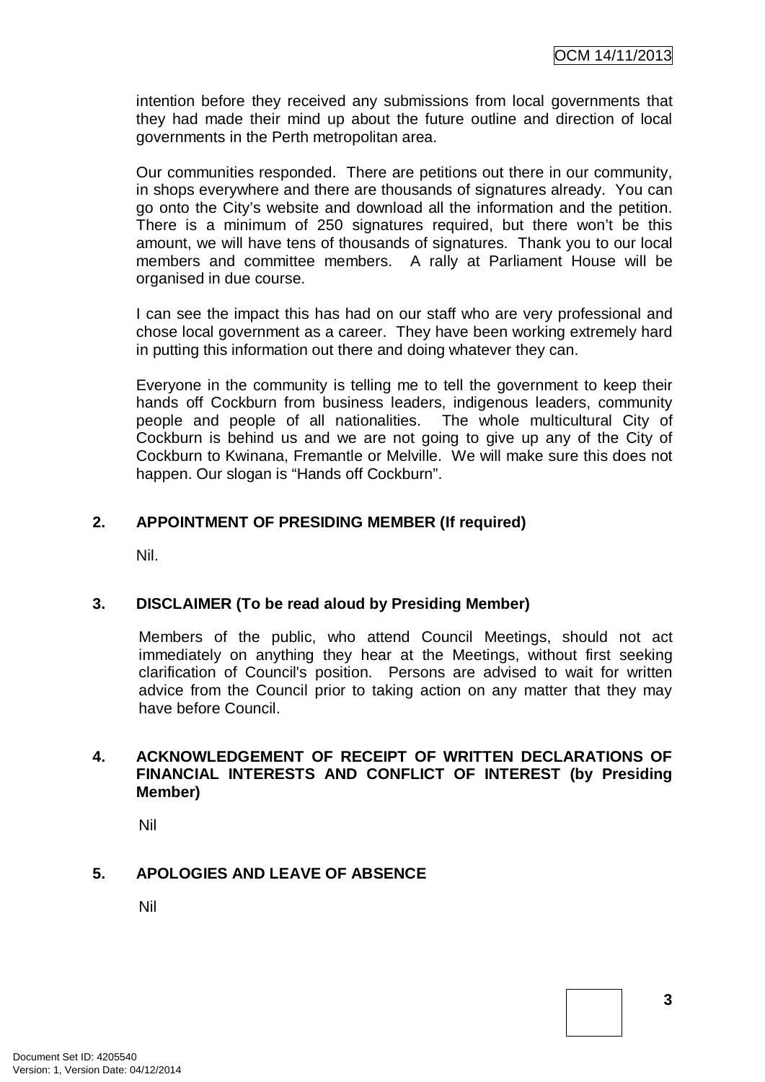intention before they received any submissions from local governments that they had made their mind up about the future outline and direction of local governments in the Perth metropolitan area.

Our communities responded. There are petitions out there in our community, in shops everywhere and there are thousands of signatures already. You can go onto the City's website and download all the information and the petition. There is a minimum of 250 signatures required, but there won't be this amount, we will have tens of thousands of signatures. Thank you to our local members and committee members. A rally at Parliament House will be organised in due course.

I can see the impact this has had on our staff who are very professional and chose local government as a career. They have been working extremely hard in putting this information out there and doing whatever they can.

Everyone in the community is telling me to tell the government to keep their hands off Cockburn from business leaders, indigenous leaders, community people and people of all nationalities. The whole multicultural City of Cockburn is behind us and we are not going to give up any of the City of Cockburn to Kwinana, Fremantle or Melville. We will make sure this does not happen. Our slogan is "Hands off Cockburn".

#### **2. APPOINTMENT OF PRESIDING MEMBER (If required)**

Nil.

#### **3. DISCLAIMER (To be read aloud by Presiding Member)**

Members of the public, who attend Council Meetings, should not act immediately on anything they hear at the Meetings, without first seeking clarification of Council's position. Persons are advised to wait for written advice from the Council prior to taking action on any matter that they may have before Council.

#### **4. ACKNOWLEDGEMENT OF RECEIPT OF WRITTEN DECLARATIONS OF FINANCIAL INTERESTS AND CONFLICT OF INTEREST (by Presiding Member)**

Nil

# **5. APOLOGIES AND LEAVE OF ABSENCE**

Nil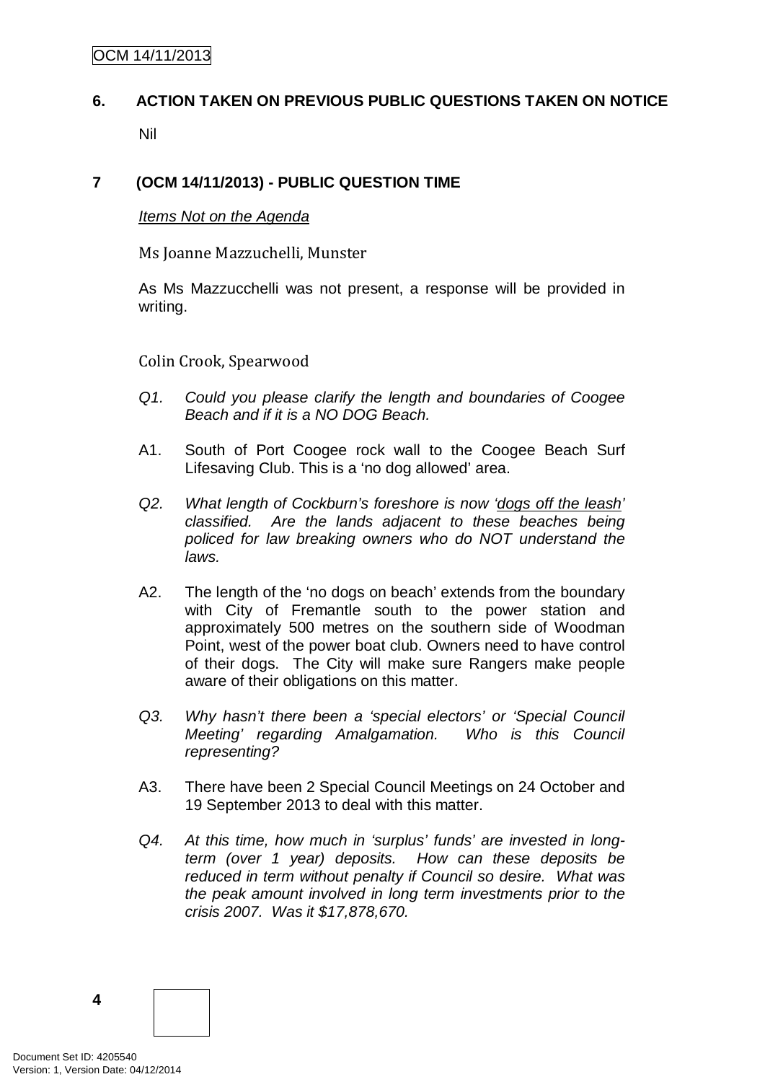#### **6. ACTION TAKEN ON PREVIOUS PUBLIC QUESTIONS TAKEN ON NOTICE**

Nil

#### **7 (OCM 14/11/2013) - PUBLIC QUESTION TIME**

#### *Items Not on the Agenda*

Ms Joanne Mazzuchelli, Munster

As Ms Mazzucchelli was not present, a response will be provided in writing.

Colin Crook, Spearwood

- *Q1. Could you please clarify the length and boundaries of Coogee Beach and if it is a NO DOG Beach.*
- A1. South of Port Coogee rock wall to the Coogee Beach Surf Lifesaving Club. This is a 'no dog allowed' area.
- *Q2. What length of Cockburn's foreshore is now 'dogs off the leash' classified. Are the lands adjacent to these beaches being policed for law breaking owners who do NOT understand the laws.*
- A2. The length of the 'no dogs on beach' extends from the boundary with City of Fremantle south to the power station and approximately 500 metres on the southern side of Woodman Point, west of the power boat club. Owners need to have control of their dogs. The City will make sure Rangers make people aware of their obligations on this matter.
- *Q3. Why hasn't there been a 'special electors' or 'Special Council Meeting' regarding Amalgamation. Who is this Council representing?*
- A3. There have been 2 Special Council Meetings on 24 October and 19 September 2013 to deal with this matter.
- *Q4. At this time, how much in 'surplus' funds' are invested in longterm (over 1 year) deposits. How can these deposits be reduced in term without penalty if Council so desire. What was the peak amount involved in long term investments prior to the crisis 2007. Was it \$17,878,670.*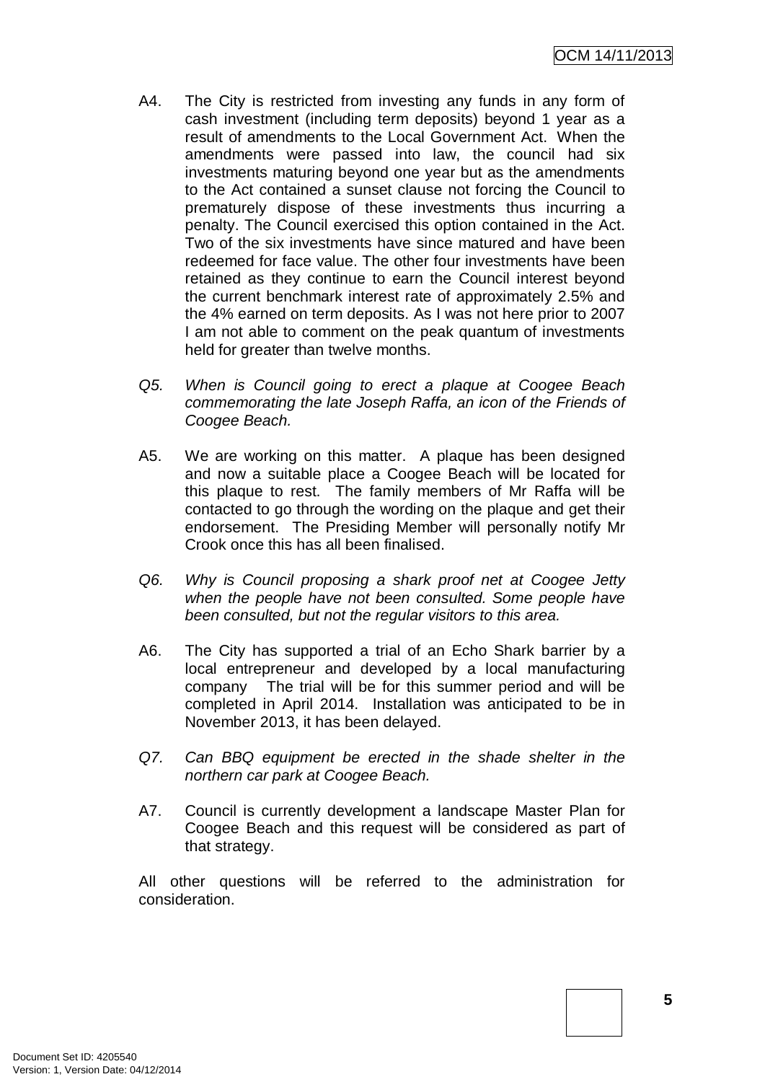- A4. The City is restricted from investing any funds in any form of cash investment (including term deposits) beyond 1 year as a result of amendments to the Local Government Act. When the amendments were passed into law, the council had six investments maturing beyond one year but as the amendments to the Act contained a sunset clause not forcing the Council to prematurely dispose of these investments thus incurring a penalty. The Council exercised this option contained in the Act. Two of the six investments have since matured and have been redeemed for face value. The other four investments have been retained as they continue to earn the Council interest beyond the current benchmark interest rate of approximately 2.5% and the 4% earned on term deposits. As I was not here prior to 2007 I am not able to comment on the peak quantum of investments held for greater than twelve months.
- *Q5. When is Council going to erect a plaque at Coogee Beach commemorating the late Joseph Raffa, an icon of the Friends of Coogee Beach.*
- A5. We are working on this matter. A plaque has been designed and now a suitable place a Coogee Beach will be located for this plaque to rest. The family members of Mr Raffa will be contacted to go through the wording on the plaque and get their endorsement. The Presiding Member will personally notify Mr Crook once this has all been finalised.
- *Q6. Why is Council proposing a shark proof net at Coogee Jetty when the people have not been consulted. Some people have been consulted, but not the regular visitors to this area.*
- A6. The City has supported a trial of an Echo Shark barrier by a local entrepreneur and developed by a local manufacturing company The trial will be for this summer period and will be completed in April 2014. Installation was anticipated to be in November 2013, it has been delayed.
- *Q7. Can BBQ equipment be erected in the shade shelter in the northern car park at Coogee Beach.*
- A7. Council is currently development a landscape Master Plan for Coogee Beach and this request will be considered as part of that strategy.

All other questions will be referred to the administration for consideration.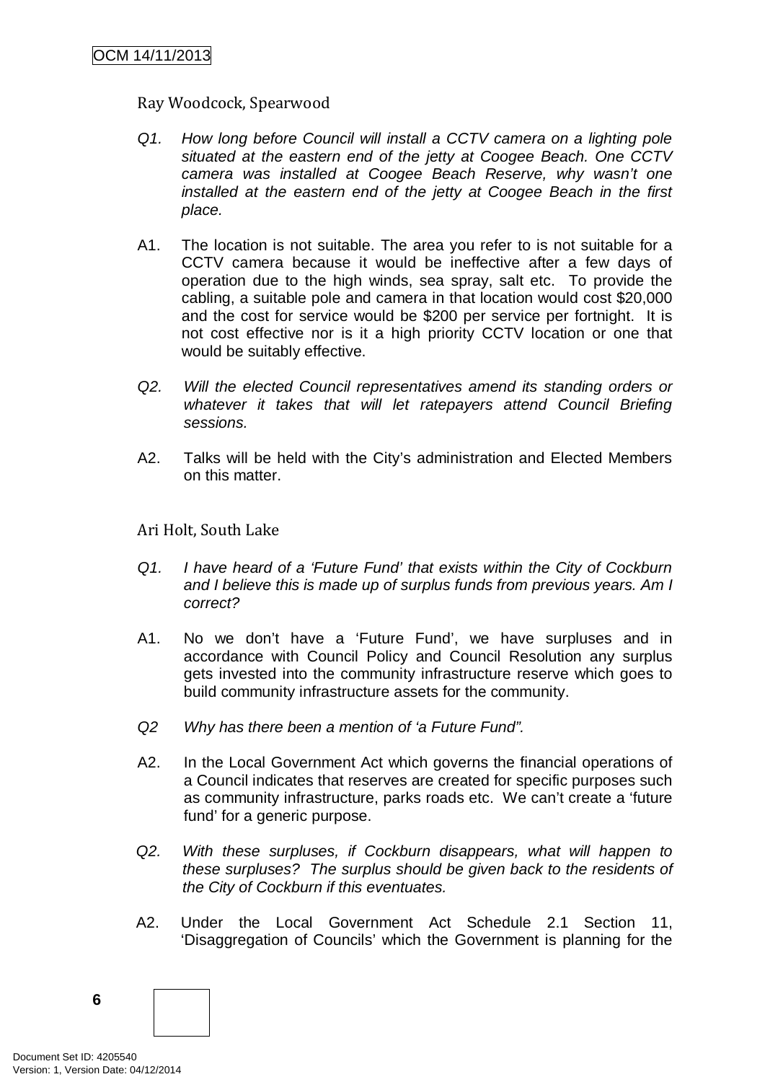#### Ray Woodcock, Spearwood

- *Q1. How long before Council will install a CCTV camera on a lighting pole situated at the eastern end of the jetty at Coogee Beach. One CCTV camera was installed at Coogee Beach Reserve, why wasn't one installed at the eastern end of the jetty at Coogee Beach in the first place.*
- A1. The location is not suitable. The area you refer to is not suitable for a CCTV camera because it would be ineffective after a few days of operation due to the high winds, sea spray, salt etc. To provide the cabling, a suitable pole and camera in that location would cost \$20,000 and the cost for service would be \$200 per service per fortnight. It is not cost effective nor is it a high priority CCTV location or one that would be suitably effective.
- *Q2. Will the elected Council representatives amend its standing orders or whatever it takes that will let ratepayers attend Council Briefing sessions.*
- A2. Talks will be held with the City's administration and Elected Members on this matter.

#### Ari Holt, South Lake

- *Q1. I have heard of a 'Future Fund' that exists within the City of Cockburn and I believe this is made up of surplus funds from previous years. Am I correct?*
- A1. No we don't have a 'Future Fund', we have surpluses and in accordance with Council Policy and Council Resolution any surplus gets invested into the community infrastructure reserve which goes to build community infrastructure assets for the community.
- *Q2 Why has there been a mention of 'a Future Fund".*
- A2. In the Local Government Act which governs the financial operations of a Council indicates that reserves are created for specific purposes such as community infrastructure, parks roads etc. We can't create a 'future fund' for a generic purpose.
- *Q2. With these surpluses, if Cockburn disappears, what will happen to these surpluses? The surplus should be given back to the residents of the City of Cockburn if this eventuates.*
- A2. Under the Local Government Act Schedule 2.1 Section 11, 'Disaggregation of Councils' which the Government is planning for the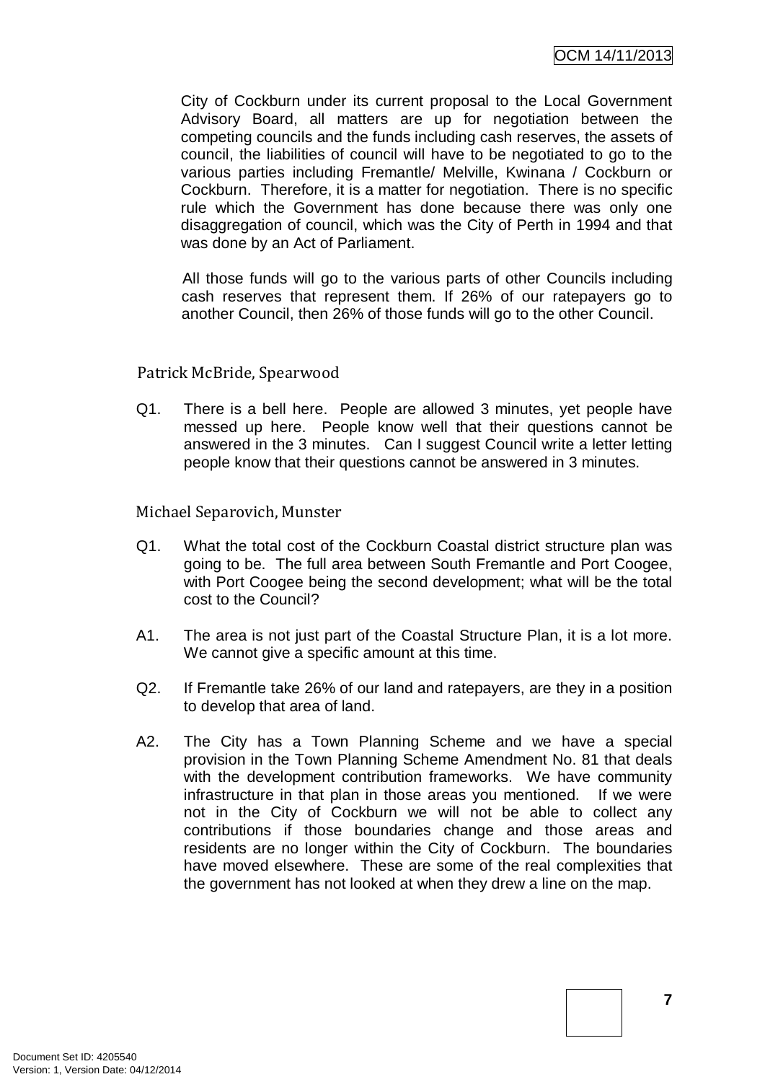City of Cockburn under its current proposal to the Local Government Advisory Board, all matters are up for negotiation between the competing councils and the funds including cash reserves, the assets of council, the liabilities of council will have to be negotiated to go to the various parties including Fremantle/ Melville, Kwinana / Cockburn or Cockburn. Therefore, it is a matter for negotiation. There is no specific rule which the Government has done because there was only one disaggregation of council, which was the City of Perth in 1994 and that was done by an Act of Parliament.

All those funds will go to the various parts of other Councils including cash reserves that represent them. If 26% of our ratepayers go to another Council, then 26% of those funds will go to the other Council.

#### Patrick McBride, Spearwood

Q1. There is a bell here. People are allowed 3 minutes, yet people have messed up here. People know well that their questions cannot be answered in the 3 minutes. Can I suggest Council write a letter letting people know that their questions cannot be answered in 3 minutes.

Michael Separovich, Munster

- Q1. What the total cost of the Cockburn Coastal district structure plan was going to be. The full area between South Fremantle and Port Coogee, with Port Coogee being the second development; what will be the total cost to the Council?
- A1. The area is not just part of the Coastal Structure Plan, it is a lot more. We cannot give a specific amount at this time.
- Q2. If Fremantle take 26% of our land and ratepayers, are they in a position to develop that area of land.
- A2. The City has a Town Planning Scheme and we have a special provision in the Town Planning Scheme Amendment No. 81 that deals with the development contribution frameworks. We have community infrastructure in that plan in those areas you mentioned. If we were not in the City of Cockburn we will not be able to collect any contributions if those boundaries change and those areas and residents are no longer within the City of Cockburn. The boundaries have moved elsewhere. These are some of the real complexities that the government has not looked at when they drew a line on the map.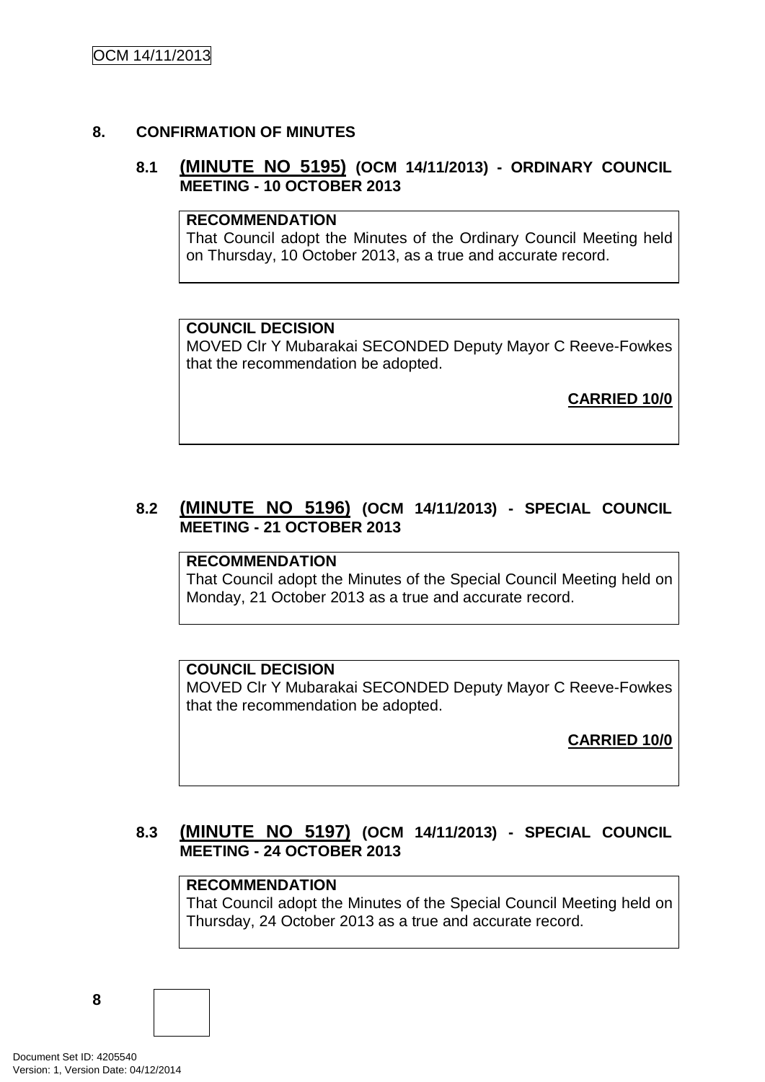#### **8. CONFIRMATION OF MINUTES**

#### **8.1 (MINUTE NO 5195) (OCM 14/11/2013) - ORDINARY COUNCIL MEETING - 10 OCTOBER 2013**

#### **RECOMMENDATION**

That Council adopt the Minutes of the Ordinary Council Meeting held on Thursday, 10 October 2013, as a true and accurate record.

#### **COUNCIL DECISION**

MOVED Clr Y Mubarakai SECONDED Deputy Mayor C Reeve-Fowkes that the recommendation be adopted.

**CARRIED 10/0**

# **8.2 (MINUTE NO 5196) (OCM 14/11/2013) - SPECIAL COUNCIL MEETING - 21 OCTOBER 2013**

#### **RECOMMENDATION**

That Council adopt the Minutes of the Special Council Meeting held on Monday, 21 October 2013 as a true and accurate record.

#### **COUNCIL DECISION**

MOVED Clr Y Mubarakai SECONDED Deputy Mayor C Reeve-Fowkes that the recommendation be adopted.

# **CARRIED 10/0**

#### **8.3 (MINUTE NO 5197) (OCM 14/11/2013) - SPECIAL COUNCIL MEETING - 24 OCTOBER 2013**

# **RECOMMENDATION**

That Council adopt the Minutes of the Special Council Meeting held on Thursday, 24 October 2013 as a true and accurate record.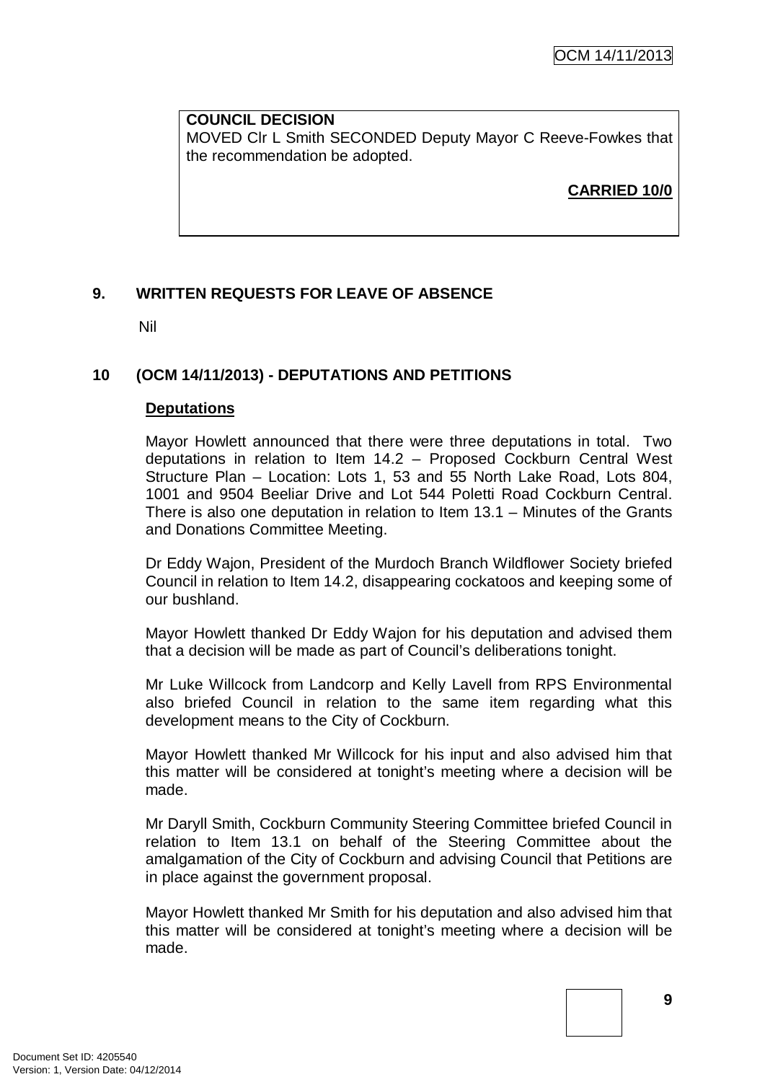#### **COUNCIL DECISION**

MOVED Clr L Smith SECONDED Deputy Mayor C Reeve-Fowkes that the recommendation be adopted.

# **CARRIED 10/0**

# **9. WRITTEN REQUESTS FOR LEAVE OF ABSENCE**

Nil

#### **10 (OCM 14/11/2013) - DEPUTATIONS AND PETITIONS**

#### **Deputations**

Mayor Howlett announced that there were three deputations in total. Two deputations in relation to Item 14.2 – Proposed Cockburn Central West Structure Plan – Location: Lots 1, 53 and 55 North Lake Road, Lots 804, 1001 and 9504 Beeliar Drive and Lot 544 Poletti Road Cockburn Central. There is also one deputation in relation to Item 13.1 – Minutes of the Grants and Donations Committee Meeting.

Dr Eddy Wajon, President of the Murdoch Branch Wildflower Society briefed Council in relation to Item 14.2, disappearing cockatoos and keeping some of our bushland.

Mayor Howlett thanked Dr Eddy Wajon for his deputation and advised them that a decision will be made as part of Council's deliberations tonight.

Mr Luke Willcock from Landcorp and Kelly Lavell from RPS Environmental also briefed Council in relation to the same item regarding what this development means to the City of Cockburn.

Mayor Howlett thanked Mr Willcock for his input and also advised him that this matter will be considered at tonight's meeting where a decision will be made.

Mr Daryll Smith, Cockburn Community Steering Committee briefed Council in relation to Item 13.1 on behalf of the Steering Committee about the amalgamation of the City of Cockburn and advising Council that Petitions are in place against the government proposal.

Mayor Howlett thanked Mr Smith for his deputation and also advised him that this matter will be considered at tonight's meeting where a decision will be made.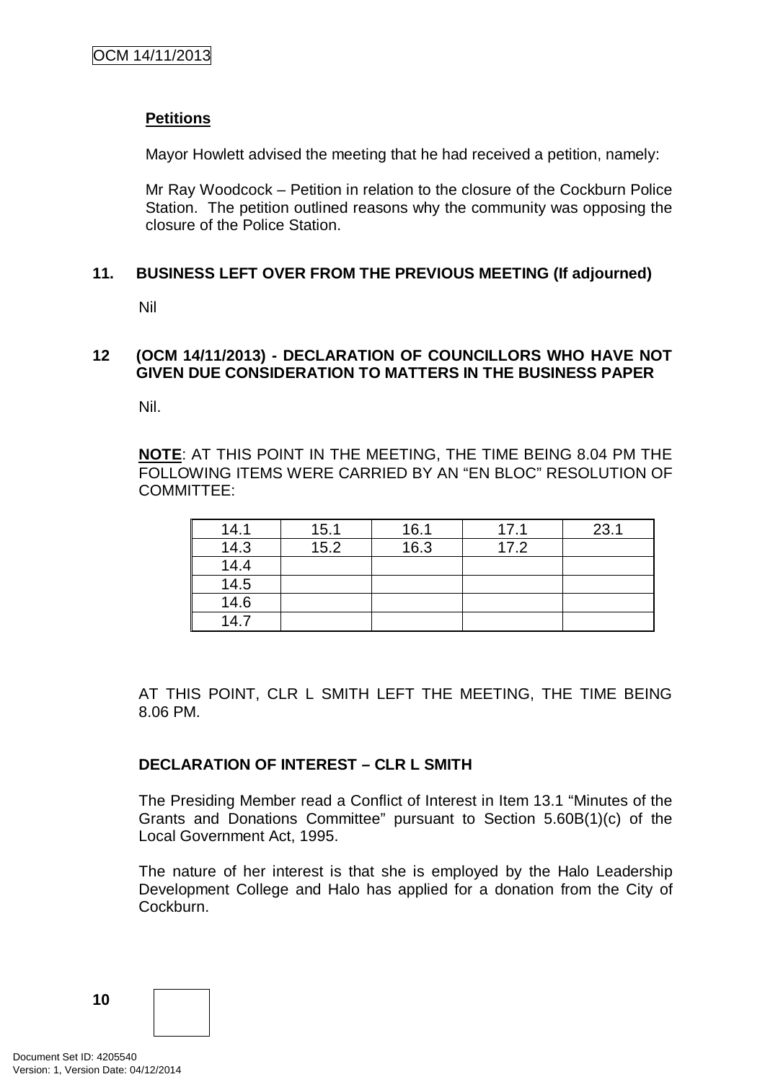#### **Petitions**

Mayor Howlett advised the meeting that he had received a petition, namely:

Mr Ray Woodcock – Petition in relation to the closure of the Cockburn Police Station. The petition outlined reasons why the community was opposing the closure of the Police Station.

#### **11. BUSINESS LEFT OVER FROM THE PREVIOUS MEETING (If adjourned)**

Nil

#### **12 (OCM 14/11/2013) - DECLARATION OF COUNCILLORS WHO HAVE NOT GIVEN DUE CONSIDERATION TO MATTERS IN THE BUSINESS PAPER**

Nil.

**NOTE**: AT THIS POINT IN THE MEETING, THE TIME BEING 8.04 PM THE FOLLOWING ITEMS WERE CARRIED BY AN "EN BLOC" RESOLUTION OF COMMITTEE:

| 14.1 | 15.1 | 16.1 | 17.1 | 23.1 |
|------|------|------|------|------|
| 14.3 | 15.2 | 16.3 | 17.2 |      |
| 14.4 |      |      |      |      |
| 14.5 |      |      |      |      |
| 14.6 |      |      |      |      |
| 14.7 |      |      |      |      |

AT THIS POINT, CLR L SMITH LEFT THE MEETING, THE TIME BEING 8.06 PM.

#### **DECLARATION OF INTEREST – CLR L SMITH**

The Presiding Member read a Conflict of Interest in Item 13.1 "Minutes of the Grants and Donations Committee" pursuant to Section 5.60B(1)(c) of the Local Government Act, 1995.

The nature of her interest is that she is employed by the Halo Leadership Development College and Halo has applied for a donation from the City of Cockburn.

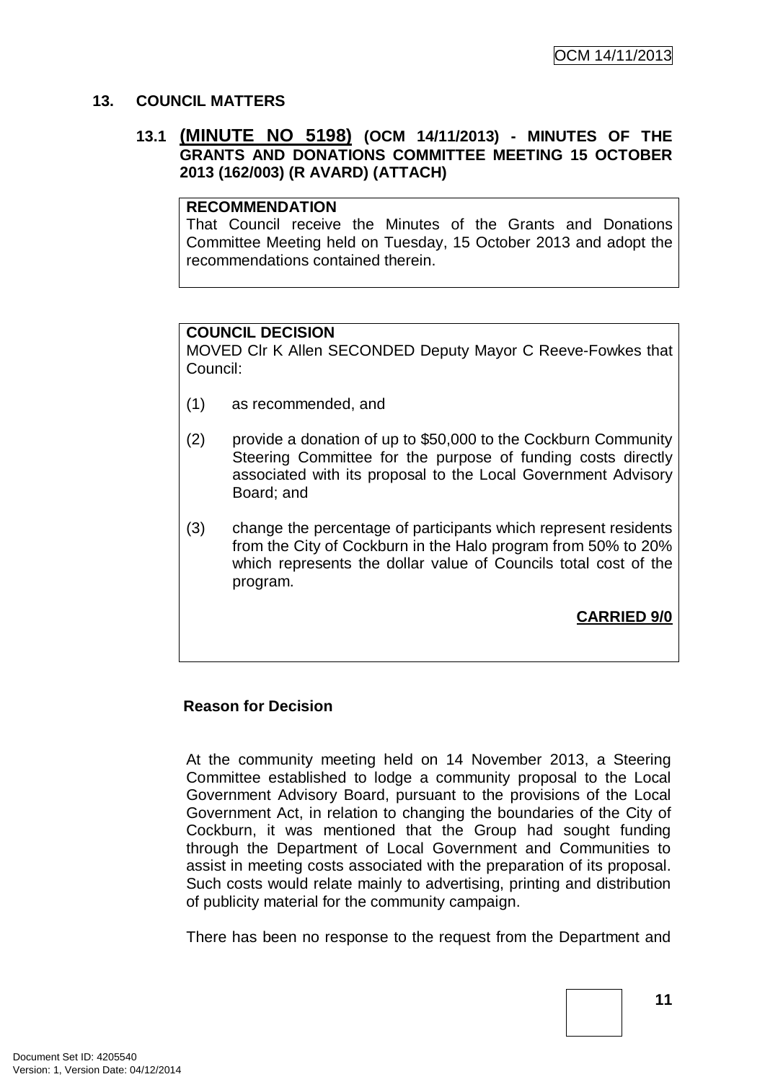#### **13. COUNCIL MATTERS**

#### **13.1 (MINUTE NO 5198) (OCM 14/11/2013) - MINUTES OF THE GRANTS AND DONATIONS COMMITTEE MEETING 15 OCTOBER 2013 (162/003) (R AVARD) (ATTACH)**

#### **RECOMMENDATION**

That Council receive the Minutes of the Grants and Donations Committee Meeting held on Tuesday, 15 October 2013 and adopt the recommendations contained therein.

#### **COUNCIL DECISION**

MOVED Clr K Allen SECONDED Deputy Mayor C Reeve-Fowkes that Council:

- (1) as recommended, and
- (2) provide a donation of up to \$50,000 to the Cockburn Community Steering Committee for the purpose of funding costs directly associated with its proposal to the Local Government Advisory Board; and
- (3) change the percentage of participants which represent residents from the City of Cockburn in the Halo program from 50% to 20% which represents the dollar value of Councils total cost of the program.

**CARRIED 9/0**

#### **Reason for Decision**

At the community meeting held on 14 November 2013, a Steering Committee established to lodge a community proposal to the Local Government Advisory Board, pursuant to the provisions of the Local Government Act, in relation to changing the boundaries of the City of Cockburn, it was mentioned that the Group had sought funding through the Department of Local Government and Communities to assist in meeting costs associated with the preparation of its proposal. Such costs would relate mainly to advertising, printing and distribution of publicity material for the community campaign.

There has been no response to the request from the Department and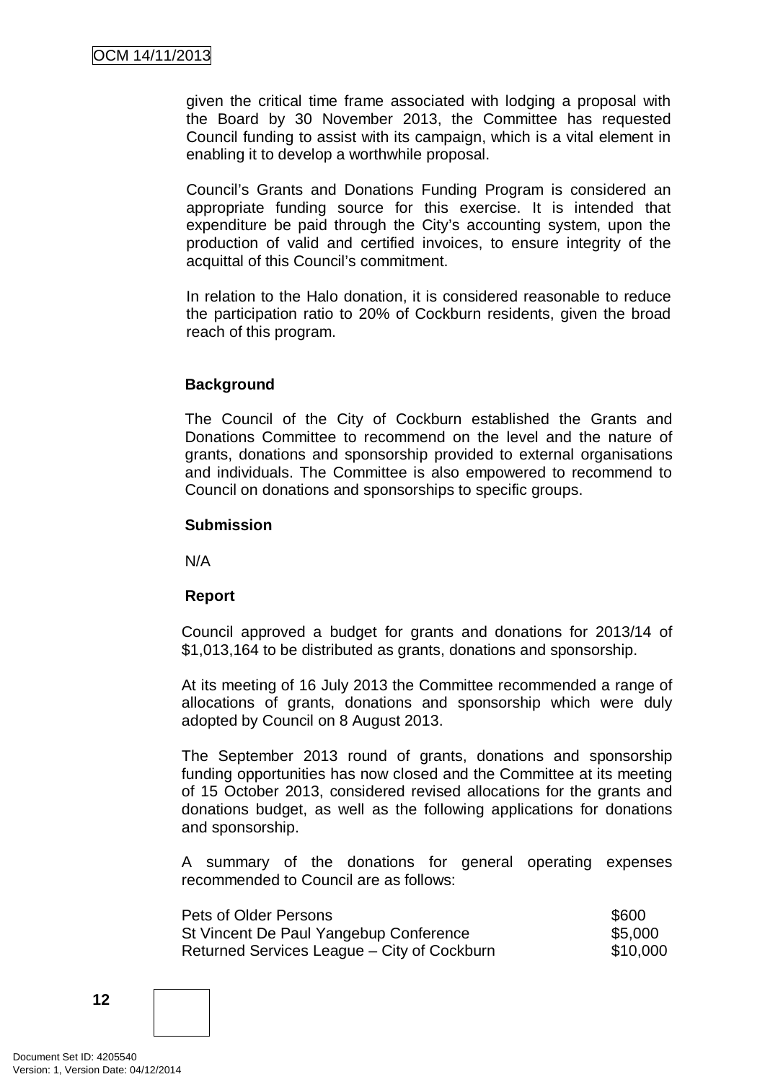given the critical time frame associated with lodging a proposal with the Board by 30 November 2013, the Committee has requested Council funding to assist with its campaign, which is a vital element in enabling it to develop a worthwhile proposal.

Council's Grants and Donations Funding Program is considered an appropriate funding source for this exercise. It is intended that expenditure be paid through the City's accounting system, upon the production of valid and certified invoices, to ensure integrity of the acquittal of this Council's commitment.

In relation to the Halo donation, it is considered reasonable to reduce the participation ratio to 20% of Cockburn residents, given the broad reach of this program.

#### **Background**

The Council of the City of Cockburn established the Grants and Donations Committee to recommend on the level and the nature of grants, donations and sponsorship provided to external organisations and individuals. The Committee is also empowered to recommend to Council on donations and sponsorships to specific groups.

#### **Submission**

N/A

#### **Report**

Council approved a budget for grants and donations for 2013/14 of \$1,013,164 to be distributed as grants, donations and sponsorship.

At its meeting of 16 July 2013 the Committee recommended a range of allocations of grants, donations and sponsorship which were duly adopted by Council on 8 August 2013.

The September 2013 round of grants, donations and sponsorship funding opportunities has now closed and the Committee at its meeting of 15 October 2013, considered revised allocations for the grants and donations budget, as well as the following applications for donations and sponsorship.

A summary of the donations for general operating expenses recommended to Council are as follows:

| Pets of Older Persons                       | \$600    |
|---------------------------------------------|----------|
| St Vincent De Paul Yangebup Conference      | \$5,000  |
| Returned Services League – City of Cockburn | \$10,000 |

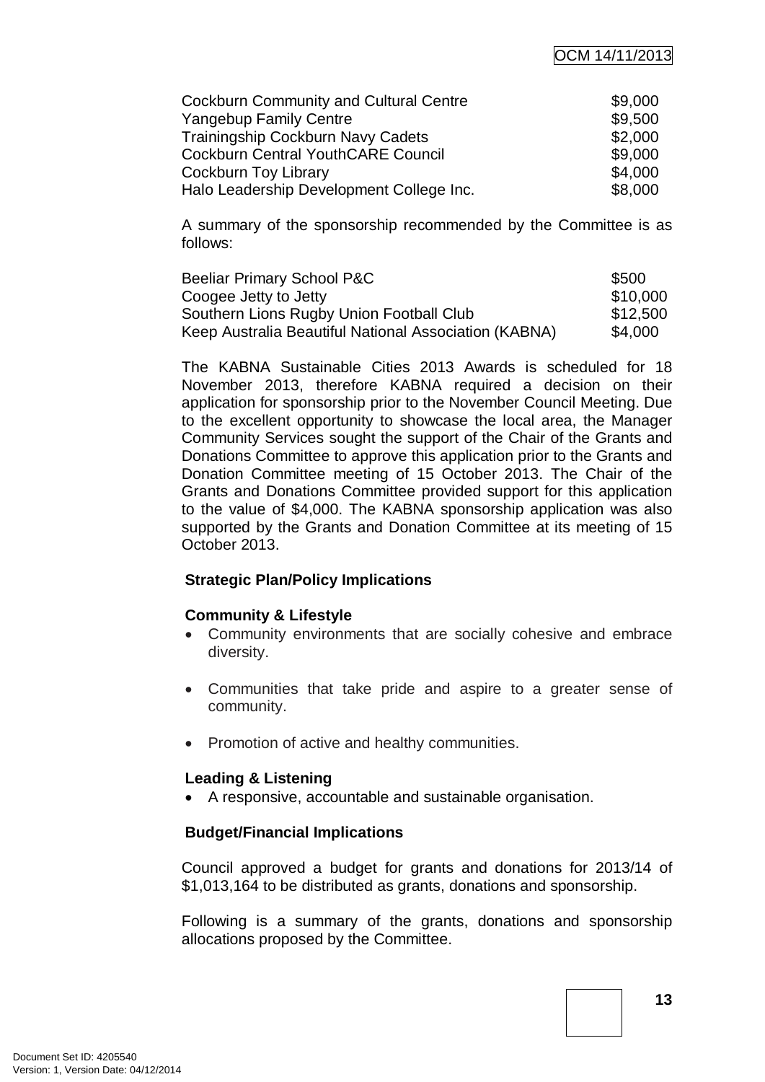| <b>Cockburn Community and Cultural Centre</b> | \$9,000 |
|-----------------------------------------------|---------|
| <b>Yangebup Family Centre</b>                 | \$9,500 |
| <b>Trainingship Cockburn Navy Cadets</b>      | \$2,000 |
| <b>Cockburn Central YouthCARE Council</b>     | \$9,000 |
| Cockburn Toy Library                          | \$4,000 |
| Halo Leadership Development College Inc.      | \$8,000 |

A summary of the sponsorship recommended by the Committee is as follows:

| <b>Beeliar Primary School P&amp;C</b>                 | \$500    |
|-------------------------------------------------------|----------|
| Coogee Jetty to Jetty                                 | \$10,000 |
| Southern Lions Rugby Union Football Club              | \$12,500 |
| Keep Australia Beautiful National Association (KABNA) | \$4,000  |

The KABNA Sustainable Cities 2013 Awards is scheduled for 18 November 2013, therefore KABNA required a decision on their application for sponsorship prior to the November Council Meeting. Due to the excellent opportunity to showcase the local area, the Manager Community Services sought the support of the Chair of the Grants and Donations Committee to approve this application prior to the Grants and Donation Committee meeting of 15 October 2013. The Chair of the Grants and Donations Committee provided support for this application to the value of \$4,000. The KABNA sponsorship application was also supported by the Grants and Donation Committee at its meeting of 15 October 2013.

#### **Strategic Plan/Policy Implications**

#### **Community & Lifestyle**

- Community environments that are socially cohesive and embrace diversity.
- Communities that take pride and aspire to a greater sense of community.
- Promotion of active and healthy communities.

#### **Leading & Listening**

• A responsive, accountable and sustainable organisation.

#### **Budget/Financial Implications**

Council approved a budget for grants and donations for 2013/14 of \$1,013,164 to be distributed as grants, donations and sponsorship.

Following is a summary of the grants, donations and sponsorship allocations proposed by the Committee.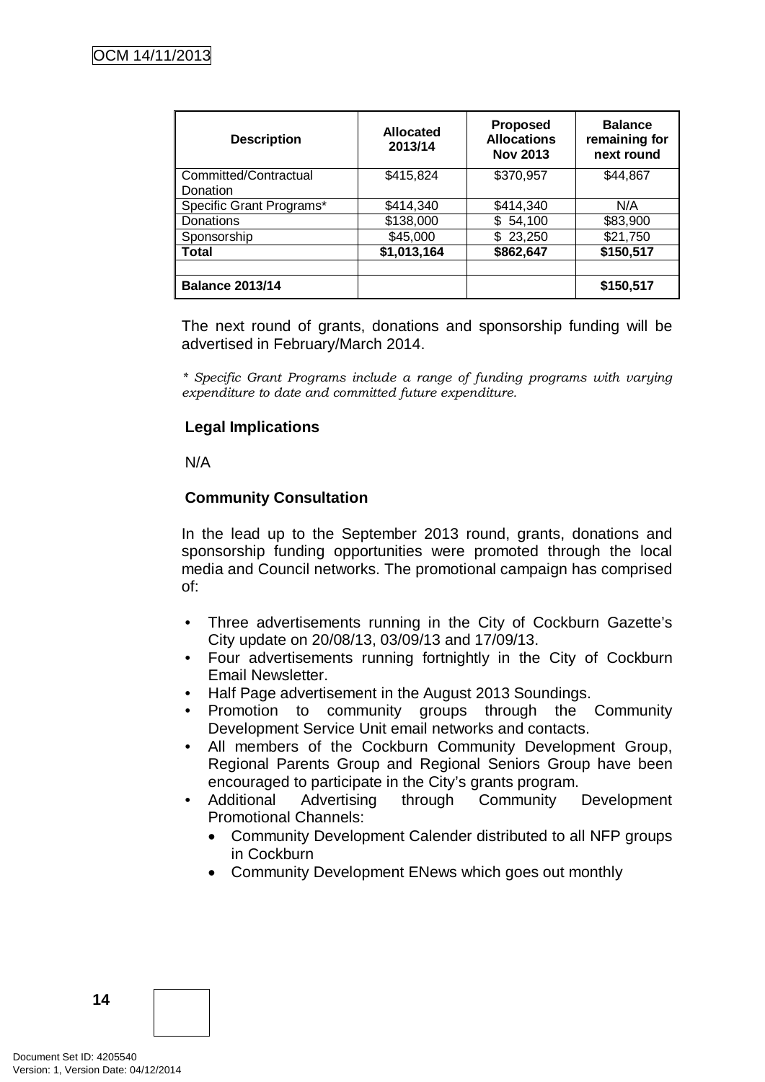| <b>Description</b>       | <b>Allocated</b><br>2013/14 | <b>Proposed</b><br><b>Allocations</b><br><b>Nov 2013</b> | <b>Balance</b><br>remaining for<br>next round |
|--------------------------|-----------------------------|----------------------------------------------------------|-----------------------------------------------|
| Committed/Contractual    | \$415,824                   | \$370,957                                                | \$44,867                                      |
| Donation                 |                             |                                                          |                                               |
| Specific Grant Programs* | \$414,340                   | \$414,340                                                | N/A                                           |
| Donations                | \$138,000                   | \$54,100                                                 | \$83,900                                      |
| Sponsorship              | \$45,000                    | \$23,250                                                 | \$21,750                                      |
| <b>Total</b>             | \$1,013,164                 | \$862,647                                                | \$150,517                                     |
|                          |                             |                                                          |                                               |
| <b>Balance 2013/14</b>   |                             |                                                          | \$150,517                                     |

The next round of grants, donations and sponsorship funding will be advertised in February/March 2014.

*\* Specific Grant Programs include a range of funding programs with varying expenditure to date and committed future expenditure.*

#### **Legal Implications**

N/A

#### **Community Consultation**

In the lead up to the September 2013 round, grants, donations and sponsorship funding opportunities were promoted through the local media and Council networks. The promotional campaign has comprised of:

- Three advertisements running in the City of Cockburn Gazette's City update on 20/08/13, 03/09/13 and 17/09/13.
- Four advertisements running fortnightly in the City of Cockburn Email Newsletter.
- Half Page advertisement in the August 2013 Soundings.
- Promotion to community groups through the Community Development Service Unit email networks and contacts.
- All members of the Cockburn Community Development Group, Regional Parents Group and Regional Seniors Group have been encouraged to participate in the City's grants program.
- Additional Advertising through Community Development Promotional Channels:
	- Community Development Calender distributed to all NFP groups in Cockburn
	- Community Development ENews which goes out monthly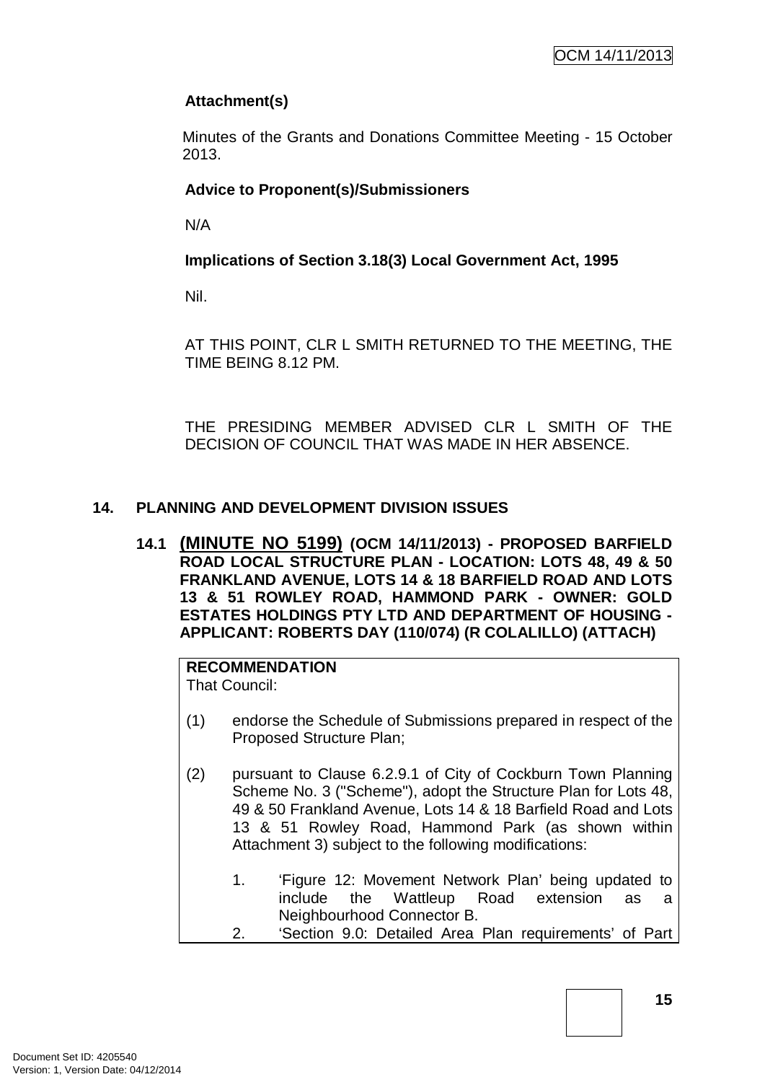# **Attachment(s)**

Minutes of the Grants and Donations Committee Meeting - 15 October 2013.

# **Advice to Proponent(s)/Submissioners**

N/A

# **Implications of Section 3.18(3) Local Government Act, 1995**

Nil.

AT THIS POINT, CLR L SMITH RETURNED TO THE MEETING, THE TIME BEING 8.12 PM.

THE PRESIDING MEMBER ADVISED CLR L SMITH OF THE DECISION OF COUNCIL THAT WAS MADE IN HER ABSENCE.

# **14. PLANNING AND DEVELOPMENT DIVISION ISSUES**

**14.1 (MINUTE NO 5199) (OCM 14/11/2013) - PROPOSED BARFIELD ROAD LOCAL STRUCTURE PLAN - LOCATION: LOTS 48, 49 & 50 FRANKLAND AVENUE, LOTS 14 & 18 BARFIELD ROAD AND LOTS 13 & 51 ROWLEY ROAD, HAMMOND PARK - OWNER: GOLD ESTATES HOLDINGS PTY LTD AND DEPARTMENT OF HOUSING - APPLICANT: ROBERTS DAY (110/074) (R COLALILLO) (ATTACH)**

# **RECOMMENDATION**

That Council:

- (1) endorse the Schedule of Submissions prepared in respect of the Proposed Structure Plan;
- (2) pursuant to Clause 6.2.9.1 of City of Cockburn Town Planning Scheme No. 3 ("Scheme"), adopt the Structure Plan for Lots 48, 49 & 50 Frankland Avenue, Lots 14 & 18 Barfield Road and Lots 13 & 51 Rowley Road, Hammond Park (as shown within Attachment 3) subject to the following modifications:
	- 1. 'Figure 12: Movement Network Plan' being updated to include the Wattleup Road extension as a Neighbourhood Connector B.
	- 2. 'Section 9.0: Detailed Area Plan requirements' of Part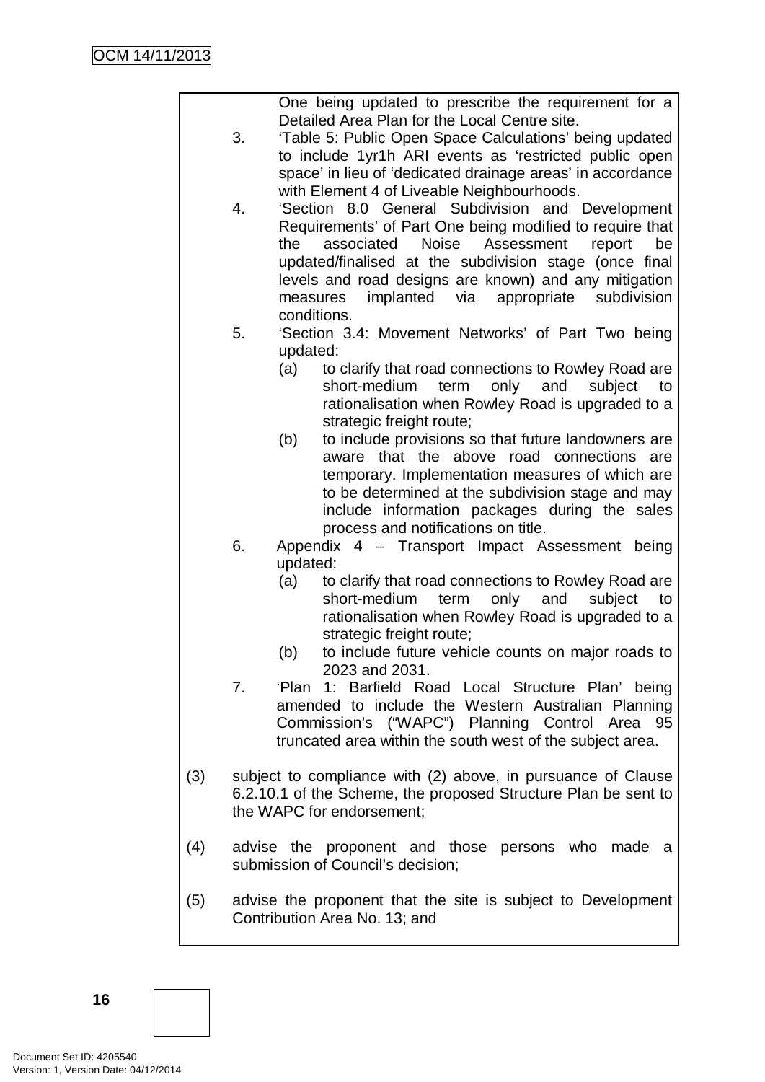One being updated to prescribe the requirement for a Detailed Area Plan for the Local Centre site.

- 3. 'Table 5: Public Open Space Calculations' being updated to include 1yr1h ARI events as 'restricted public open space' in lieu of 'dedicated drainage areas' in accordance with Element 4 of Liveable Neighbourhoods.
- 4. 'Section 8.0 General Subdivision and Development Requirements' of Part One being modified to require that the associated Noise Assessment report be updated/finalised at the subdivision stage (once final levels and road designs are known) and any mitigation measures implanted via appropriate subdivision conditions.
- 5. 'Section 3.4: Movement Networks' of Part Two being updated:
	- (a) to clarify that road connections to Rowley Road are short-medium term only and subject to rationalisation when Rowley Road is upgraded to a strategic freight route;
	- (b) to include provisions so that future landowners are aware that the above road connections are temporary. Implementation measures of which are to be determined at the subdivision stage and may include information packages during the sales process and notifications on title.
- 6. Appendix 4 Transport Impact Assessment being updated:
	- (a) to clarify that road connections to Rowley Road are short-medium term only and subject to rationalisation when Rowley Road is upgraded to a strategic freight route;
	- (b) to include future vehicle counts on major roads to 2023 and 2031.
- 7. 'Plan 1: Barfield Road Local Structure Plan' being amended to include the Western Australian Planning Commission's ("WAPC") Planning Control Area 95 truncated area within the south west of the subject area.
- (3) subject to compliance with (2) above, in pursuance of Clause 6.2.10.1 of the Scheme, the proposed Structure Plan be sent to the WAPC for endorsement;
- (4) advise the proponent and those persons who made a submission of Council's decision;
- (5) advise the proponent that the site is subject to Development Contribution Area No. 13; and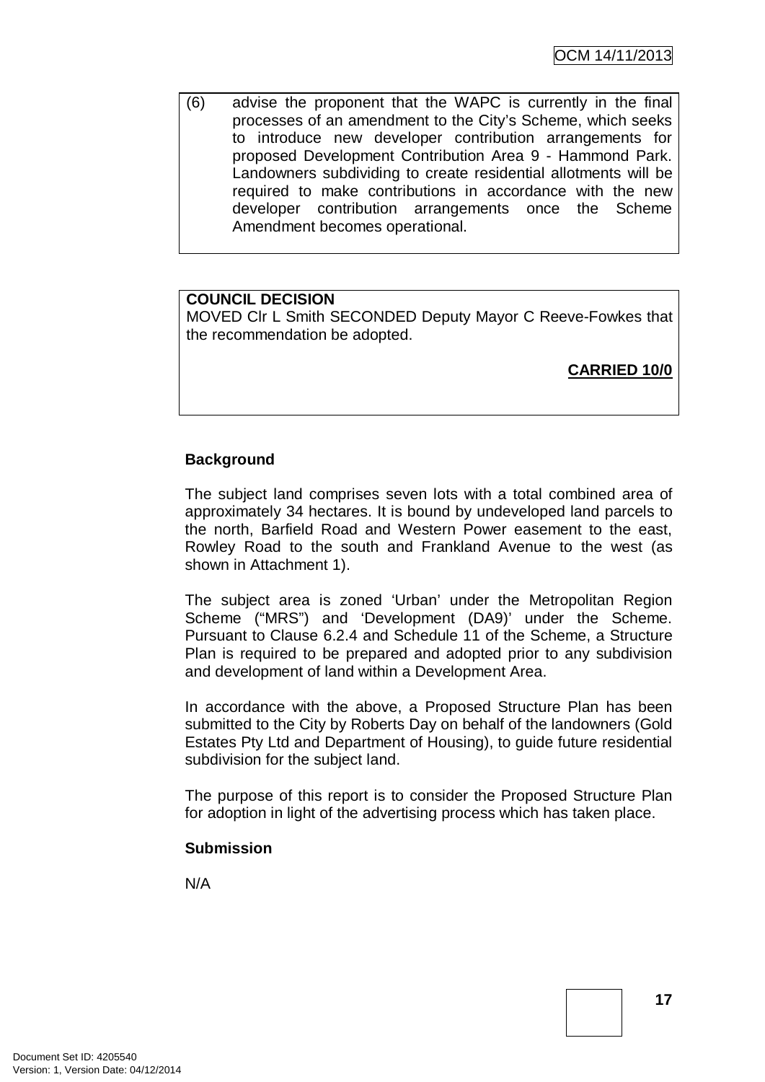(6) advise the proponent that the WAPC is currently in the final processes of an amendment to the City's Scheme, which seeks to introduce new developer contribution arrangements for proposed Development Contribution Area 9 - Hammond Park. Landowners subdividing to create residential allotments will be required to make contributions in accordance with the new developer contribution arrangements once the Scheme Amendment becomes operational.

#### **COUNCIL DECISION**

MOVED Clr L Smith SECONDED Deputy Mayor C Reeve-Fowkes that the recommendation be adopted.

**CARRIED 10/0**

# **Background**

The subject land comprises seven lots with a total combined area of approximately 34 hectares. It is bound by undeveloped land parcels to the north, Barfield Road and Western Power easement to the east, Rowley Road to the south and Frankland Avenue to the west (as shown in Attachment 1).

The subject area is zoned 'Urban' under the Metropolitan Region Scheme ("MRS") and 'Development (DA9)' under the Scheme. Pursuant to Clause 6.2.4 and Schedule 11 of the Scheme, a Structure Plan is required to be prepared and adopted prior to any subdivision and development of land within a Development Area.

In accordance with the above, a Proposed Structure Plan has been submitted to the City by Roberts Day on behalf of the landowners (Gold Estates Pty Ltd and Department of Housing), to guide future residential subdivision for the subject land.

The purpose of this report is to consider the Proposed Structure Plan for adoption in light of the advertising process which has taken place.

#### **Submission**

N/A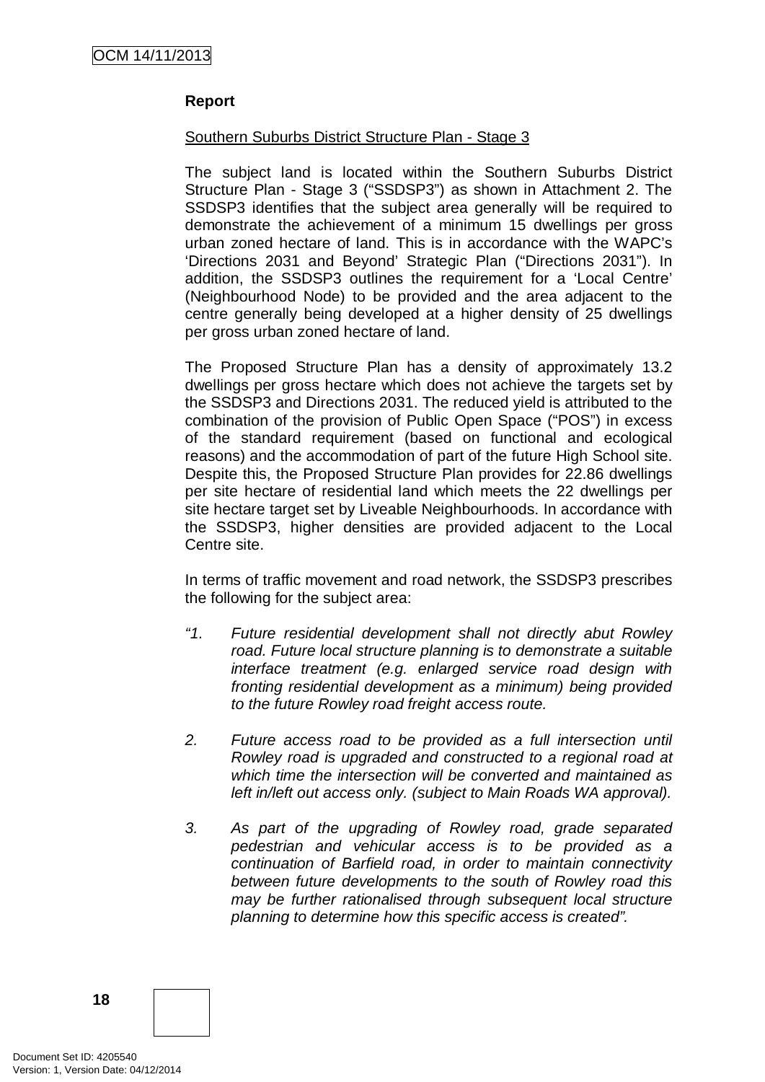#### **Report**

#### Southern Suburbs District Structure Plan - Stage 3

The subject land is located within the Southern Suburbs District Structure Plan - Stage 3 ("SSDSP3") as shown in Attachment 2. The SSDSP3 identifies that the subject area generally will be required to demonstrate the achievement of a minimum 15 dwellings per gross urban zoned hectare of land. This is in accordance with the WAPC's 'Directions 2031 and Beyond' Strategic Plan ("Directions 2031"). In addition, the SSDSP3 outlines the requirement for a 'Local Centre' (Neighbourhood Node) to be provided and the area adjacent to the centre generally being developed at a higher density of 25 dwellings per gross urban zoned hectare of land.

The Proposed Structure Plan has a density of approximately 13.2 dwellings per gross hectare which does not achieve the targets set by the SSDSP3 and Directions 2031. The reduced yield is attributed to the combination of the provision of Public Open Space ("POS") in excess of the standard requirement (based on functional and ecological reasons) and the accommodation of part of the future High School site. Despite this, the Proposed Structure Plan provides for 22.86 dwellings per site hectare of residential land which meets the 22 dwellings per site hectare target set by Liveable Neighbourhoods. In accordance with the SSDSP3, higher densities are provided adjacent to the Local Centre site.

In terms of traffic movement and road network, the SSDSP3 prescribes the following for the subject area:

- *"1. Future residential development shall not directly abut Rowley road. Future local structure planning is to demonstrate a suitable interface treatment (e.g. enlarged service road design with fronting residential development as a minimum) being provided to the future Rowley road freight access route.*
- *2. Future access road to be provided as a full intersection until Rowley road is upgraded and constructed to a regional road at which time the intersection will be converted and maintained as left in/left out access only. (subject to Main Roads WA approval).*
- *3. As part of the upgrading of Rowley road, grade separated pedestrian and vehicular access is to be provided as a continuation of Barfield road, in order to maintain connectivity between future developments to the south of Rowley road this may be further rationalised through subsequent local structure planning to determine how this specific access is created".*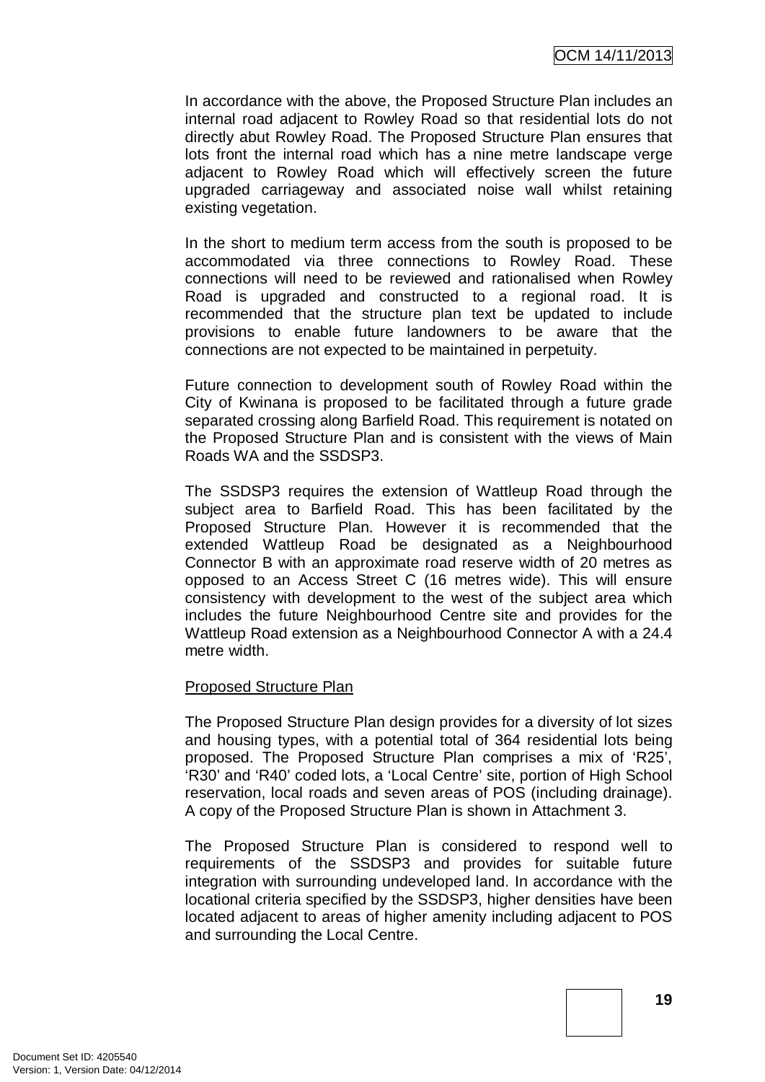In accordance with the above, the Proposed Structure Plan includes an internal road adjacent to Rowley Road so that residential lots do not directly abut Rowley Road. The Proposed Structure Plan ensures that lots front the internal road which has a nine metre landscape verge adjacent to Rowley Road which will effectively screen the future upgraded carriageway and associated noise wall whilst retaining existing vegetation.

In the short to medium term access from the south is proposed to be accommodated via three connections to Rowley Road. These connections will need to be reviewed and rationalised when Rowley Road is upgraded and constructed to a regional road. It is recommended that the structure plan text be updated to include provisions to enable future landowners to be aware that the connections are not expected to be maintained in perpetuity.

Future connection to development south of Rowley Road within the City of Kwinana is proposed to be facilitated through a future grade separated crossing along Barfield Road. This requirement is notated on the Proposed Structure Plan and is consistent with the views of Main Roads WA and the SSDSP3.

The SSDSP3 requires the extension of Wattleup Road through the subject area to Barfield Road. This has been facilitated by the Proposed Structure Plan. However it is recommended that the extended Wattleup Road be designated as a Neighbourhood Connector B with an approximate road reserve width of 20 metres as opposed to an Access Street C (16 metres wide). This will ensure consistency with development to the west of the subject area which includes the future Neighbourhood Centre site and provides for the Wattleup Road extension as a Neighbourhood Connector A with a 24.4 metre width.

#### Proposed Structure Plan

The Proposed Structure Plan design provides for a diversity of lot sizes and housing types, with a potential total of 364 residential lots being proposed. The Proposed Structure Plan comprises a mix of 'R25', 'R30' and 'R40' coded lots, a 'Local Centre' site, portion of High School reservation, local roads and seven areas of POS (including drainage). A copy of the Proposed Structure Plan is shown in Attachment 3.

The Proposed Structure Plan is considered to respond well to requirements of the SSDSP3 and provides for suitable future integration with surrounding undeveloped land. In accordance with the locational criteria specified by the SSDSP3, higher densities have been located adjacent to areas of higher amenity including adjacent to POS and surrounding the Local Centre.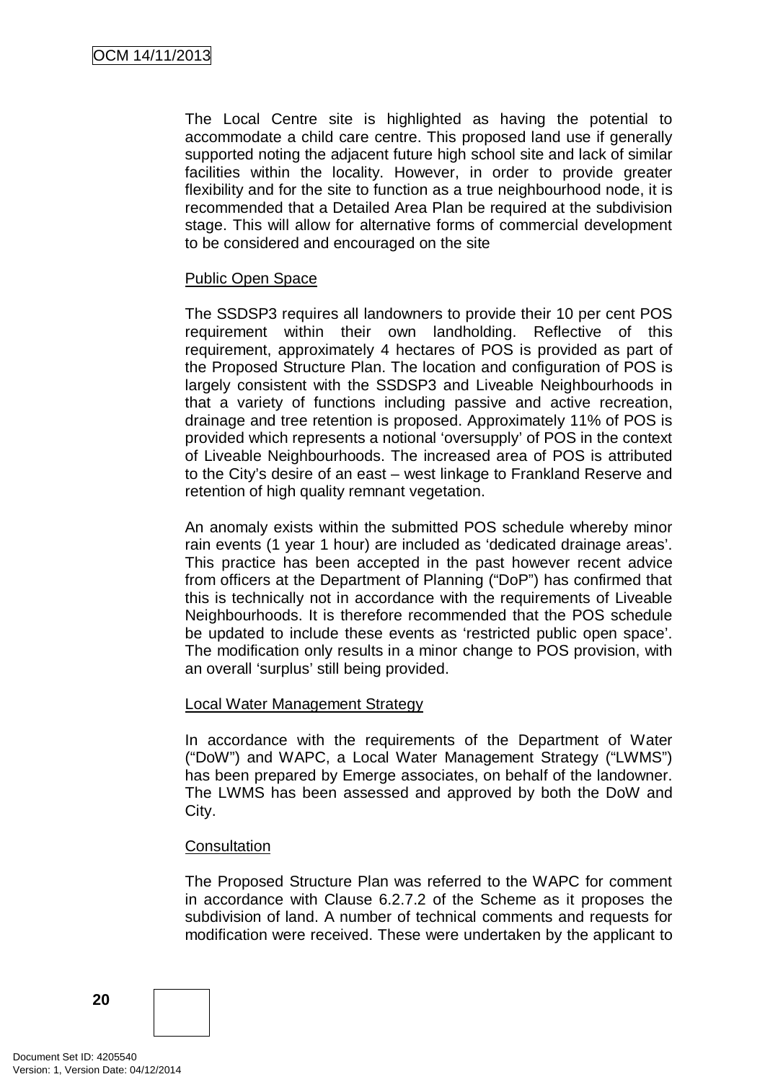The Local Centre site is highlighted as having the potential to accommodate a child care centre. This proposed land use if generally supported noting the adjacent future high school site and lack of similar facilities within the locality. However, in order to provide greater flexibility and for the site to function as a true neighbourhood node, it is recommended that a Detailed Area Plan be required at the subdivision stage. This will allow for alternative forms of commercial development to be considered and encouraged on the site

#### Public Open Space

The SSDSP3 requires all landowners to provide their 10 per cent POS requirement within their own landholding. Reflective of this requirement, approximately 4 hectares of POS is provided as part of the Proposed Structure Plan. The location and configuration of POS is largely consistent with the SSDSP3 and Liveable Neighbourhoods in that a variety of functions including passive and active recreation, drainage and tree retention is proposed. Approximately 11% of POS is provided which represents a notional 'oversupply' of POS in the context of Liveable Neighbourhoods. The increased area of POS is attributed to the City's desire of an east – west linkage to Frankland Reserve and retention of high quality remnant vegetation.

An anomaly exists within the submitted POS schedule whereby minor rain events (1 year 1 hour) are included as 'dedicated drainage areas'. This practice has been accepted in the past however recent advice from officers at the Department of Planning ("DoP") has confirmed that this is technically not in accordance with the requirements of Liveable Neighbourhoods. It is therefore recommended that the POS schedule be updated to include these events as 'restricted public open space'. The modification only results in a minor change to POS provision, with an overall 'surplus' still being provided.

#### Local Water Management Strategy

In accordance with the requirements of the Department of Water ("DoW") and WAPC, a Local Water Management Strategy ("LWMS") has been prepared by Emerge associates, on behalf of the landowner. The LWMS has been assessed and approved by both the DoW and City.

#### **Consultation**

The Proposed Structure Plan was referred to the WAPC for comment in accordance with Clause 6.2.7.2 of the Scheme as it proposes the subdivision of land. A number of technical comments and requests for modification were received. These were undertaken by the applicant to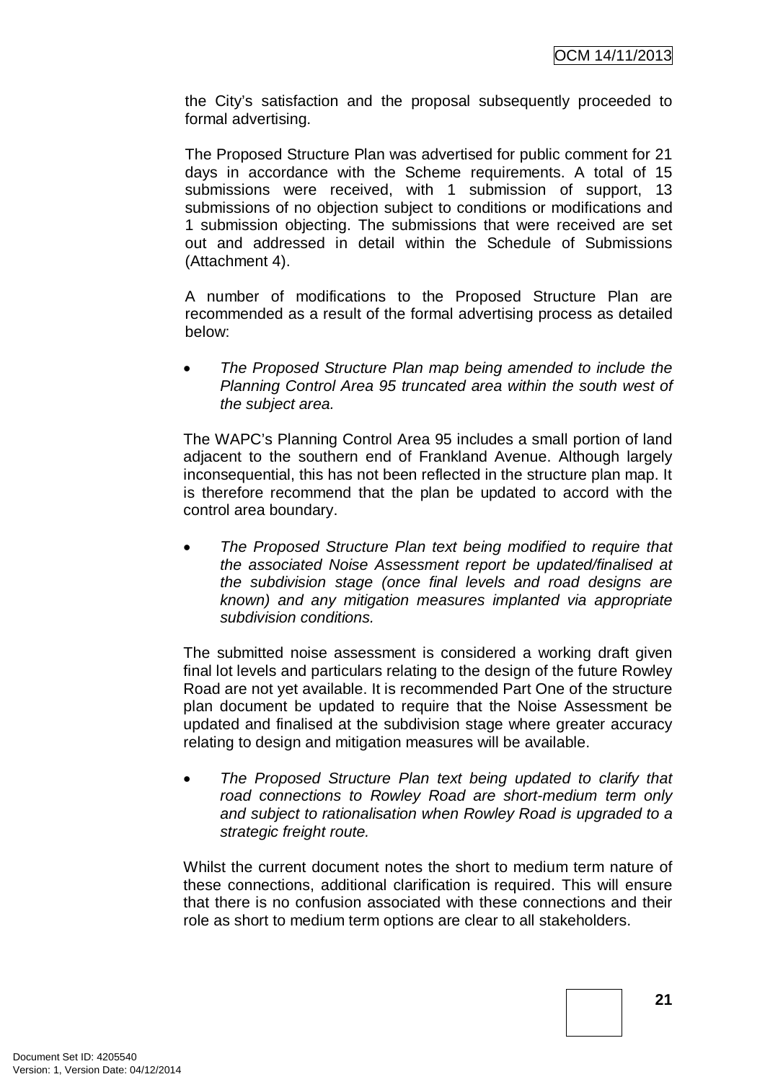the City's satisfaction and the proposal subsequently proceeded to formal advertising.

The Proposed Structure Plan was advertised for public comment for 21 days in accordance with the Scheme requirements. A total of 15 submissions were received, with 1 submission of support, 13 submissions of no objection subject to conditions or modifications and 1 submission objecting. The submissions that were received are set out and addressed in detail within the Schedule of Submissions (Attachment 4).

A number of modifications to the Proposed Structure Plan are recommended as a result of the formal advertising process as detailed below:

• *The Proposed Structure Plan map being amended to include the Planning Control Area 95 truncated area within the south west of the subject area.*

The WAPC's Planning Control Area 95 includes a small portion of land adjacent to the southern end of Frankland Avenue. Although largely inconsequential, this has not been reflected in the structure plan map. It is therefore recommend that the plan be updated to accord with the control area boundary.

• *The Proposed Structure Plan text being modified to require that the associated Noise Assessment report be updated/finalised at the subdivision stage (once final levels and road designs are known) and any mitigation measures implanted via appropriate subdivision conditions.*

The submitted noise assessment is considered a working draft given final lot levels and particulars relating to the design of the future Rowley Road are not yet available. It is recommended Part One of the structure plan document be updated to require that the Noise Assessment be updated and finalised at the subdivision stage where greater accuracy relating to design and mitigation measures will be available.

• *The Proposed Structure Plan text being updated to clarify that road connections to Rowley Road are short-medium term only and subject to rationalisation when Rowley Road is upgraded to a strategic freight route.*

Whilst the current document notes the short to medium term nature of these connections, additional clarification is required. This will ensure that there is no confusion associated with these connections and their role as short to medium term options are clear to all stakeholders.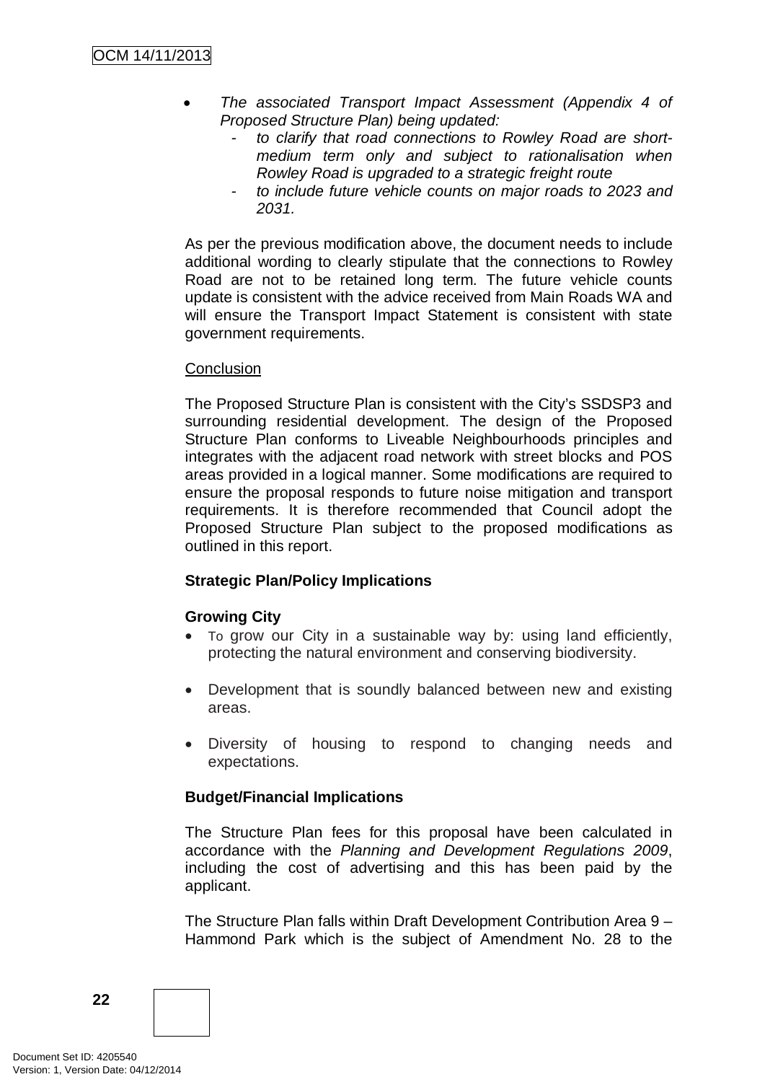- *The associated Transport Impact Assessment (Appendix 4 of Proposed Structure Plan) being updated:*
	- *- to clarify that road connections to Rowley Road are shortmedium term only and subject to rationalisation when Rowley Road is upgraded to a strategic freight route*
	- *- to include future vehicle counts on major roads to 2023 and 2031.*

As per the previous modification above, the document needs to include additional wording to clearly stipulate that the connections to Rowley Road are not to be retained long term. The future vehicle counts update is consistent with the advice received from Main Roads WA and will ensure the Transport Impact Statement is consistent with state government requirements.

#### **Conclusion**

The Proposed Structure Plan is consistent with the City's SSDSP3 and surrounding residential development. The design of the Proposed Structure Plan conforms to Liveable Neighbourhoods principles and integrates with the adjacent road network with street blocks and POS areas provided in a logical manner. Some modifications are required to ensure the proposal responds to future noise mitigation and transport requirements. It is therefore recommended that Council adopt the Proposed Structure Plan subject to the proposed modifications as outlined in this report.

#### **Strategic Plan/Policy Implications**

#### **Growing City**

- To grow our City in a sustainable way by: using land efficiently, protecting the natural environment and conserving biodiversity.
- Development that is soundly balanced between new and existing areas.
- Diversity of housing to respond to changing needs and expectations.

#### **Budget/Financial Implications**

The Structure Plan fees for this proposal have been calculated in accordance with the *Planning and Development Regulations 2009*, including the cost of advertising and this has been paid by the applicant.

The Structure Plan falls within Draft Development Contribution Area 9 – Hammond Park which is the subject of Amendment No. 28 to the

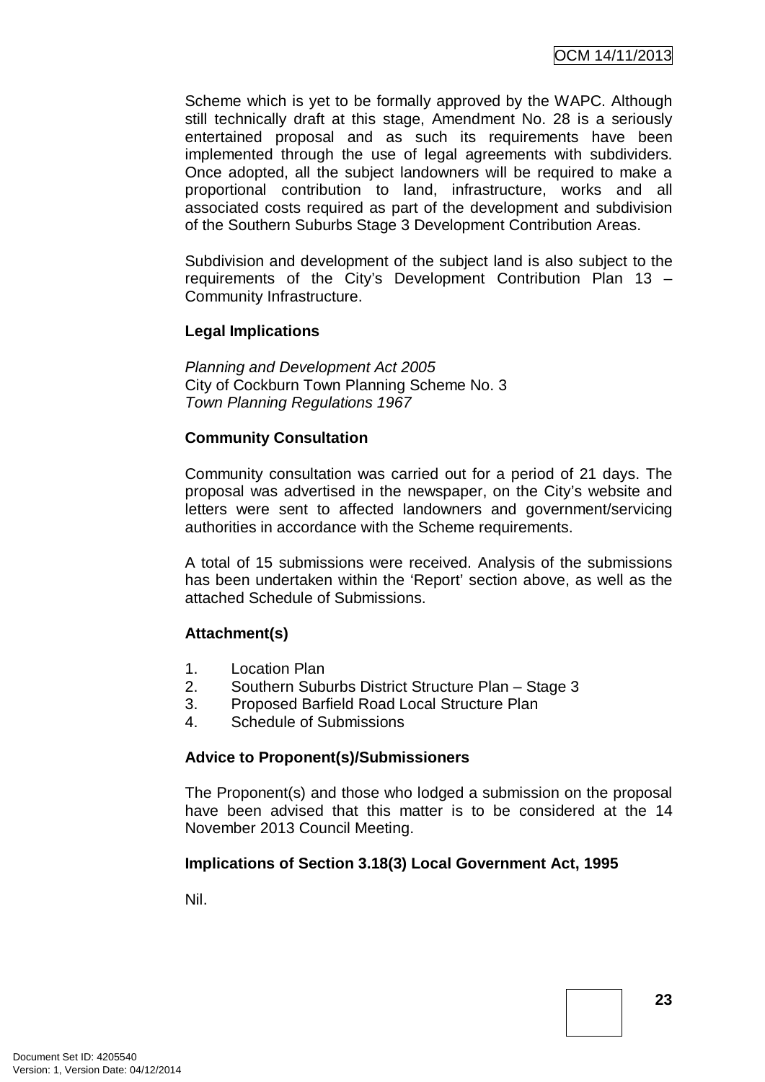Scheme which is yet to be formally approved by the WAPC. Although still technically draft at this stage, Amendment No. 28 is a seriously entertained proposal and as such its requirements have been implemented through the use of legal agreements with subdividers. Once adopted, all the subject landowners will be required to make a proportional contribution to land, infrastructure, works and all associated costs required as part of the development and subdivision of the Southern Suburbs Stage 3 Development Contribution Areas.

Subdivision and development of the subject land is also subject to the requirements of the City's Development Contribution Plan 13 – Community Infrastructure.

#### **Legal Implications**

*Planning and Development Act 2005* City of Cockburn Town Planning Scheme No. 3 *Town Planning Regulations 1967*

#### **Community Consultation**

Community consultation was carried out for a period of 21 days. The proposal was advertised in the newspaper, on the City's website and letters were sent to affected landowners and government/servicing authorities in accordance with the Scheme requirements.

A total of 15 submissions were received. Analysis of the submissions has been undertaken within the 'Report' section above, as well as the attached Schedule of Submissions.

#### **Attachment(s)**

- 1. Location Plan
- 2. Southern Suburbs District Structure Plan Stage 3
- 3. Proposed Barfield Road Local Structure Plan
- 4. Schedule of Submissions

#### **Advice to Proponent(s)/Submissioners**

The Proponent(s) and those who lodged a submission on the proposal have been advised that this matter is to be considered at the 14 November 2013 Council Meeting.

# **Implications of Section 3.18(3) Local Government Act, 1995**

Nil.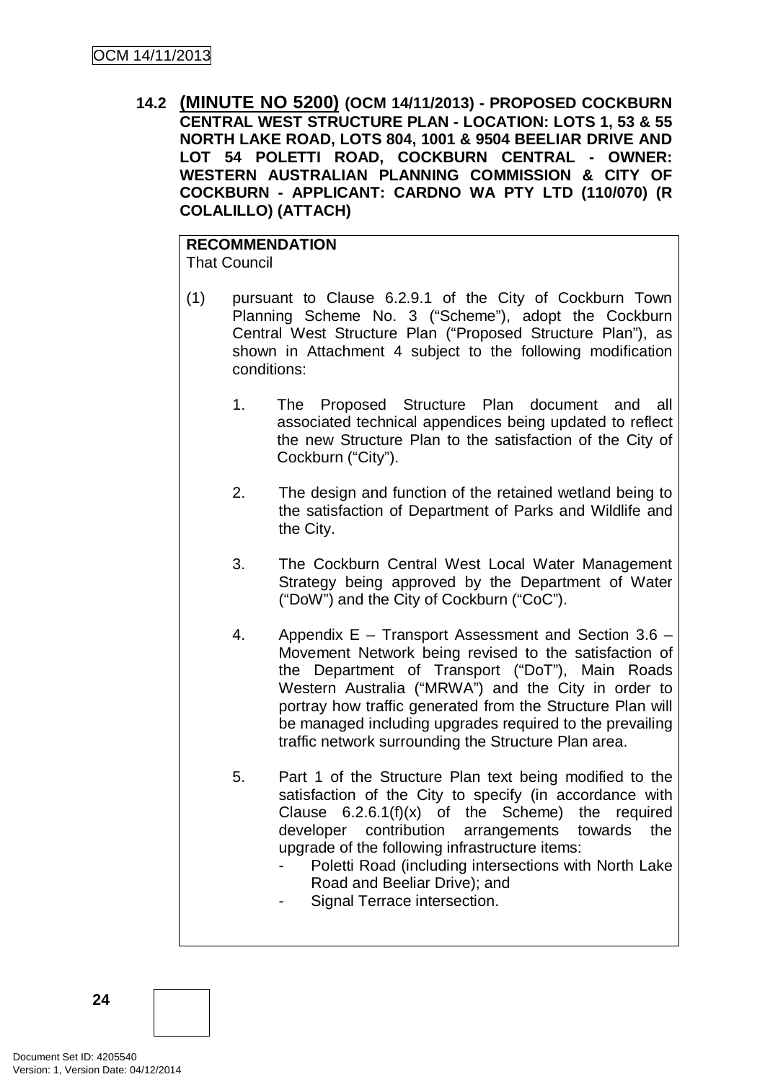**14.2 (MINUTE NO 5200) (OCM 14/11/2013) - PROPOSED COCKBURN CENTRAL WEST STRUCTURE PLAN - LOCATION: LOTS 1, 53 & 55 NORTH LAKE ROAD, LOTS 804, 1001 & 9504 BEELIAR DRIVE AND LOT 54 POLETTI ROAD, COCKBURN CENTRAL - OWNER: WESTERN AUSTRALIAN PLANNING COMMISSION & CITY OF COCKBURN - APPLICANT: CARDNO WA PTY LTD (110/070) (R COLALILLO) (ATTACH)**

#### **RECOMMENDATION**

That Council

- (1) pursuant to Clause 6.2.9.1 of the City of Cockburn Town Planning Scheme No. 3 ("Scheme"), adopt the Cockburn Central West Structure Plan ("Proposed Structure Plan"), as shown in Attachment 4 subject to the following modification conditions:
	- 1. The Proposed Structure Plan document and all associated technical appendices being updated to reflect the new Structure Plan to the satisfaction of the City of Cockburn ("City").
	- 2. The design and function of the retained wetland being to the satisfaction of Department of Parks and Wildlife and the City.
	- 3. The Cockburn Central West Local Water Management Strategy being approved by the Department of Water ("DoW") and the City of Cockburn ("CoC").
	- 4. Appendix E Transport Assessment and Section 3.6 Movement Network being revised to the satisfaction of the Department of Transport ("DoT"), Main Roads Western Australia ("MRWA") and the City in order to portray how traffic generated from the Structure Plan will be managed including upgrades required to the prevailing traffic network surrounding the Structure Plan area.
	- 5. Part 1 of the Structure Plan text being modified to the satisfaction of the City to specify (in accordance with Clause  $6.2.6.1(f)(x)$  of the Scheme) the required developer contribution arrangements towards the upgrade of the following infrastructure items:
		- Poletti Road (including intersections with North Lake Road and Beeliar Drive); and
		- Signal Terrace intersection.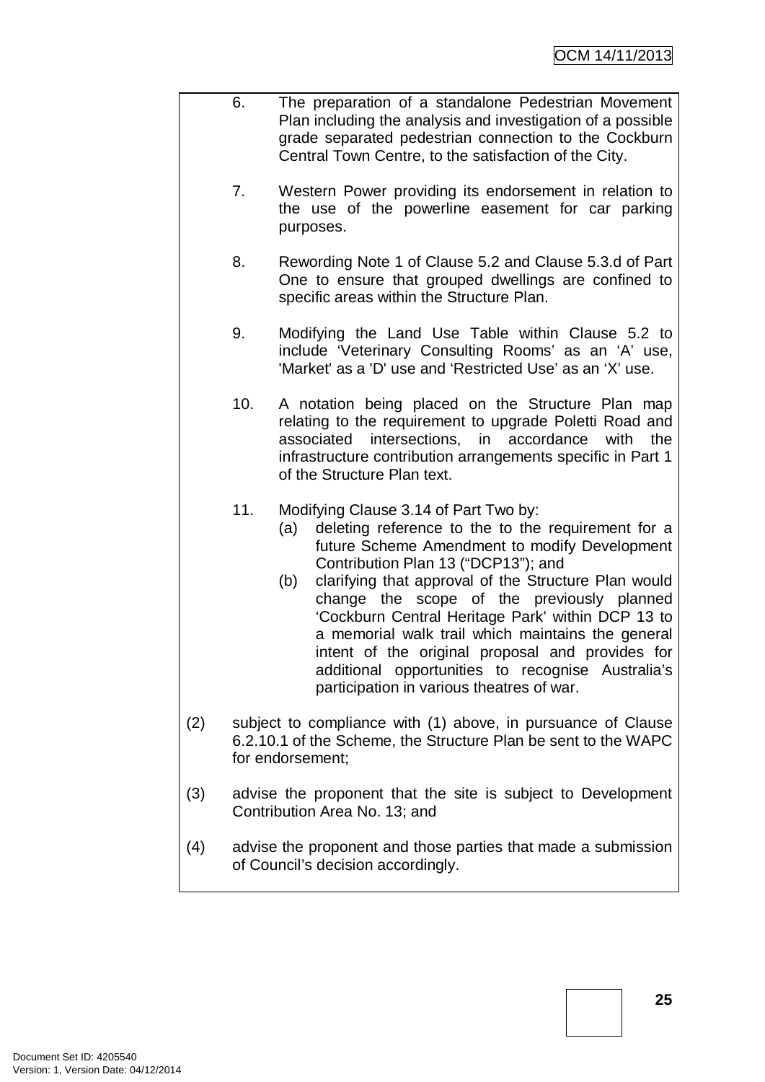- 6. The preparation of a standalone Pedestrian Movement Plan including the analysis and investigation of a possible grade separated pedestrian connection to the Cockburn Central Town Centre, to the satisfaction of the City.
	- 7. Western Power providing its endorsement in relation to the use of the powerline easement for car parking purposes.
	- 8. Rewording Note 1 of Clause 5.2 and Clause 5.3.d of Part One to ensure that grouped dwellings are confined to specific areas within the Structure Plan.
	- 9. Modifying the Land Use Table within Clause 5.2 to include 'Veterinary Consulting Rooms' as an 'A' use, 'Market' as a 'D' use and 'Restricted Use' as an 'X' use.
	- 10. A notation being placed on the Structure Plan map relating to the requirement to upgrade Poletti Road and associated intersections, in accordance with the infrastructure contribution arrangements specific in Part 1 of the Structure Plan text.
	- 11. Modifying Clause 3.14 of Part Two by:
		- (a) deleting reference to the to the requirement for a future Scheme Amendment to modify Development Contribution Plan 13 ("DCP13"); and
		- (b) clarifying that approval of the Structure Plan would change the scope of the previously planned 'Cockburn Central Heritage Park' within DCP 13 to a memorial walk trail which maintains the general intent of the original proposal and provides for additional opportunities to recognise Australia's participation in various theatres of war.
- (2) subject to compliance with (1) above, in pursuance of Clause 6.2.10.1 of the Scheme, the Structure Plan be sent to the WAPC for endorsement;
- (3) advise the proponent that the site is subject to Development Contribution Area No. 13; and
- (4) advise the proponent and those parties that made a submission of Council's decision accordingly.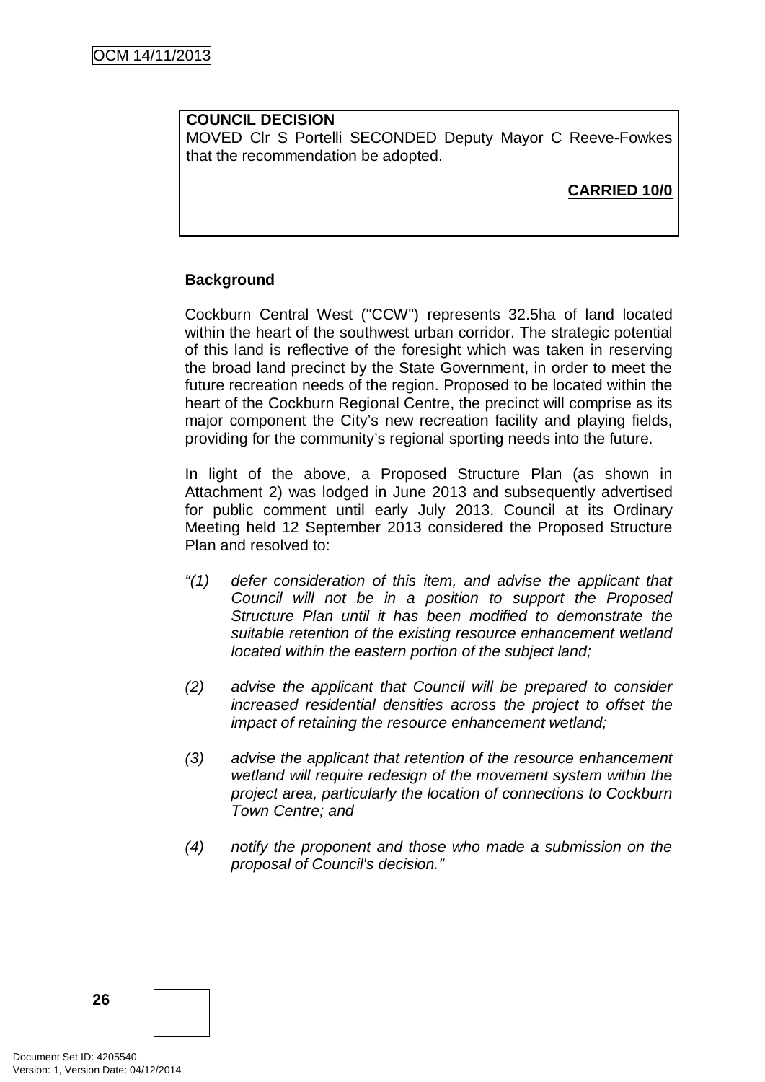#### **COUNCIL DECISION**

MOVED Clr S Portelli SECONDED Deputy Mayor C Reeve-Fowkes that the recommendation be adopted.

# **CARRIED 10/0**

#### **Background**

Cockburn Central West ("CCW") represents 32.5ha of land located within the heart of the southwest urban corridor. The strategic potential of this land is reflective of the foresight which was taken in reserving the broad land precinct by the State Government, in order to meet the future recreation needs of the region. Proposed to be located within the heart of the Cockburn Regional Centre, the precinct will comprise as its major component the City's new recreation facility and playing fields, providing for the community's regional sporting needs into the future.

In light of the above, a Proposed Structure Plan (as shown in Attachment 2) was lodged in June 2013 and subsequently advertised for public comment until early July 2013. Council at its Ordinary Meeting held 12 September 2013 considered the Proposed Structure Plan and resolved to:

- *"(1) defer consideration of this item, and advise the applicant that Council will not be in a position to support the Proposed Structure Plan until it has been modified to demonstrate the suitable retention of the existing resource enhancement wetland located within the eastern portion of the subject land;*
- *(2) advise the applicant that Council will be prepared to consider increased residential densities across the project to offset the impact of retaining the resource enhancement wetland;*
- *(3) advise the applicant that retention of the resource enhancement wetland will require redesign of the movement system within the project area, particularly the location of connections to Cockburn Town Centre; and*
- *(4) notify the proponent and those who made a submission on the proposal of Council's decision."*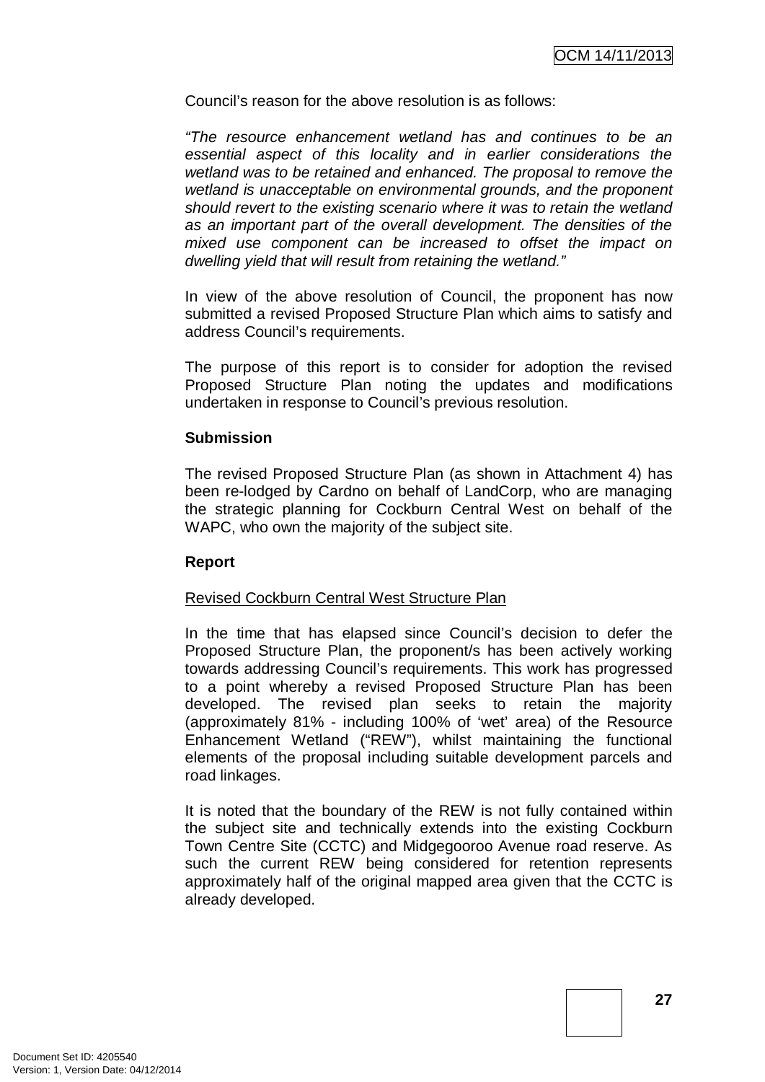Council's reason for the above resolution is as follows:

*"The resource enhancement wetland has and continues to be an essential aspect of this locality and in earlier considerations the wetland was to be retained and enhanced. The proposal to remove the wetland is unacceptable on environmental grounds, and the proponent should revert to the existing scenario where it was to retain the wetland as an important part of the overall development. The densities of the mixed use component can be increased to offset the impact on dwelling yield that will result from retaining the wetland."*

In view of the above resolution of Council, the proponent has now submitted a revised Proposed Structure Plan which aims to satisfy and address Council's requirements.

The purpose of this report is to consider for adoption the revised Proposed Structure Plan noting the updates and modifications undertaken in response to Council's previous resolution.

#### **Submission**

The revised Proposed Structure Plan (as shown in Attachment 4) has been re-lodged by Cardno on behalf of LandCorp, who are managing the strategic planning for Cockburn Central West on behalf of the WAPC, who own the majority of the subject site.

#### **Report**

#### Revised Cockburn Central West Structure Plan

In the time that has elapsed since Council's decision to defer the Proposed Structure Plan, the proponent/s has been actively working towards addressing Council's requirements. This work has progressed to a point whereby a revised Proposed Structure Plan has been developed. The revised plan seeks to retain the majority (approximately 81% - including 100% of 'wet' area) of the Resource Enhancement Wetland ("REW"), whilst maintaining the functional elements of the proposal including suitable development parcels and road linkages.

It is noted that the boundary of the REW is not fully contained within the subject site and technically extends into the existing Cockburn Town Centre Site (CCTC) and Midgegooroo Avenue road reserve. As such the current REW being considered for retention represents approximately half of the original mapped area given that the CCTC is already developed.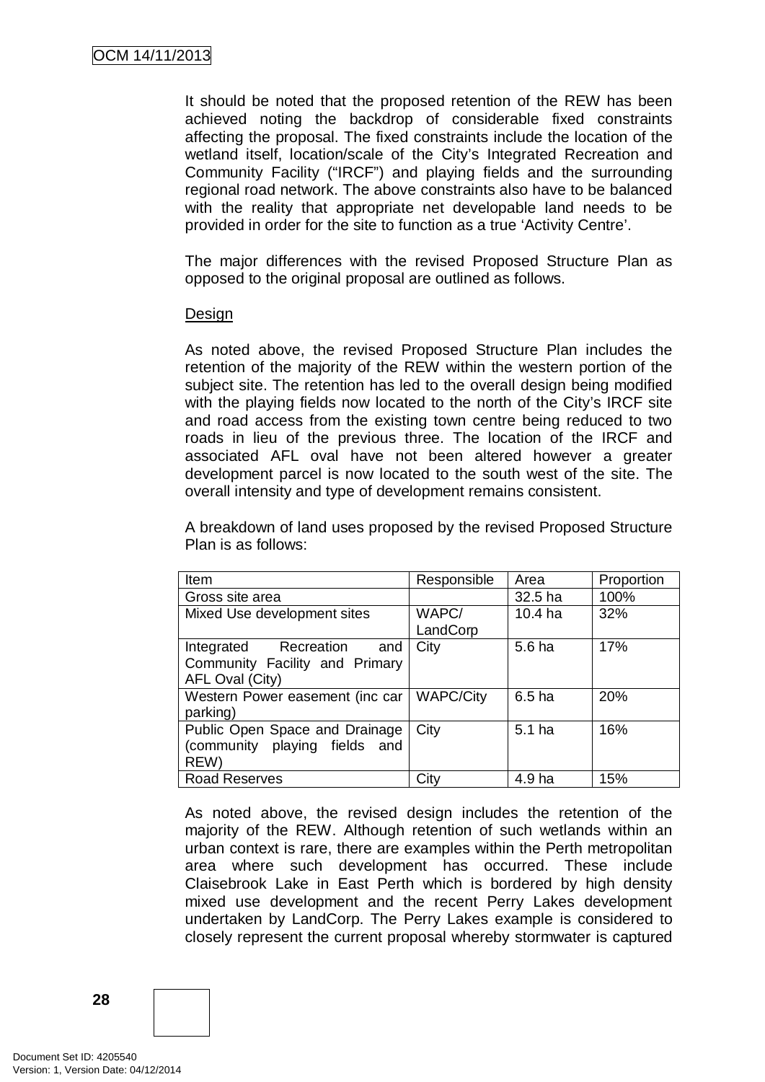It should be noted that the proposed retention of the REW has been achieved noting the backdrop of considerable fixed constraints affecting the proposal. The fixed constraints include the location of the wetland itself, location/scale of the City's Integrated Recreation and Community Facility ("IRCF") and playing fields and the surrounding regional road network. The above constraints also have to be balanced with the reality that appropriate net developable land needs to be provided in order for the site to function as a true 'Activity Centre'.

The major differences with the revised Proposed Structure Plan as opposed to the original proposal are outlined as follows.

#### **Design**

As noted above, the revised Proposed Structure Plan includes the retention of the majority of the REW within the western portion of the subject site. The retention has led to the overall design being modified with the playing fields now located to the north of the City's IRCF site and road access from the existing town centre being reduced to two roads in lieu of the previous three. The location of the IRCF and associated AFL oval have not been altered however a greater development parcel is now located to the south west of the site. The overall intensity and type of development remains consistent.

A breakdown of land uses proposed by the revised Proposed Structure Plan is as follows:

| <b>Item</b>                                                                       | Responsible       | Area              | Proportion |
|-----------------------------------------------------------------------------------|-------------------|-------------------|------------|
| Gross site area                                                                   |                   | 32.5 ha           | 100%       |
| Mixed Use development sites                                                       | WAPC/<br>LandCorp | 10.4 ha           | 32%        |
| Integrated Recreation<br>and<br>Community Facility and Primary<br>AFL Oval (City) | City              | 5.6 ha            | 17%        |
| Western Power easement (inc car<br>parking)                                       | <b>WAPC/City</b>  | 6.5 <sub>ha</sub> | 20%        |
| Public Open Space and Drainage<br>(community playing fields and<br>REW)           | City              | 5.1 ha            | 16%        |
| <b>Road Reserves</b>                                                              | City              | 4.9 ha            | 15%        |

As noted above, the revised design includes the retention of the majority of the REW. Although retention of such wetlands within an urban context is rare, there are examples within the Perth metropolitan area where such development has occurred. These include Claisebrook Lake in East Perth which is bordered by high density mixed use development and the recent Perry Lakes development undertaken by LandCorp. The Perry Lakes example is considered to closely represent the current proposal whereby stormwater is captured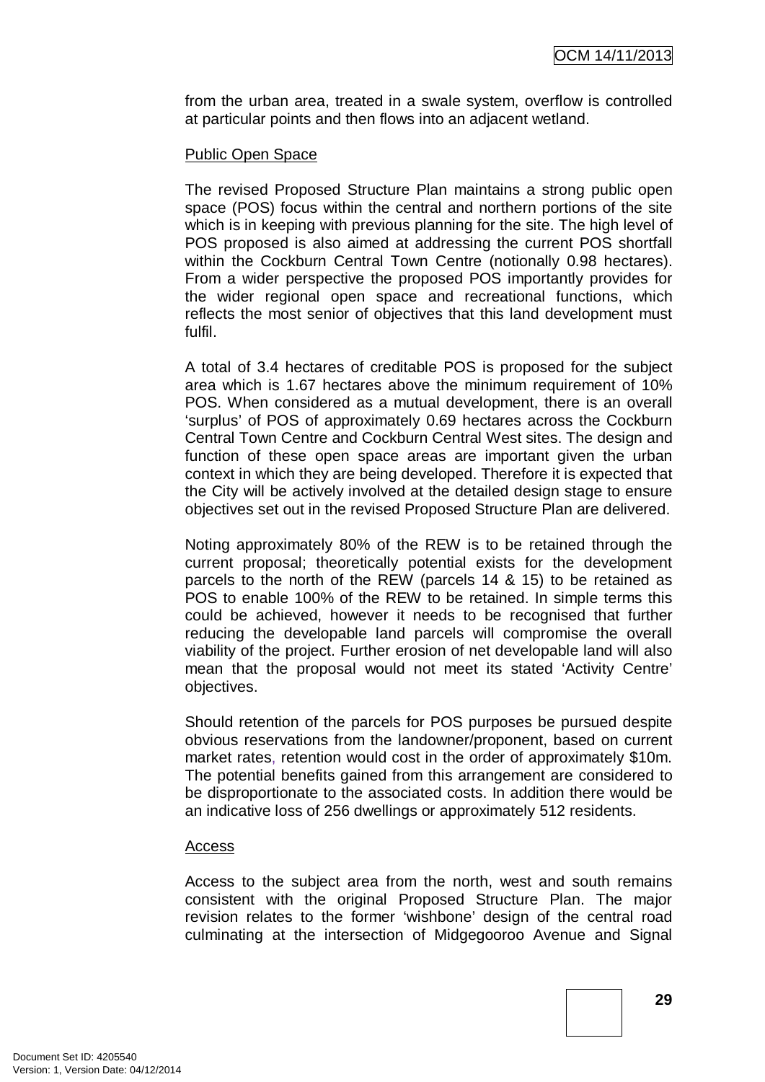from the urban area, treated in a swale system, overflow is controlled at particular points and then flows into an adjacent wetland.

#### Public Open Space

The revised Proposed Structure Plan maintains a strong public open space (POS) focus within the central and northern portions of the site which is in keeping with previous planning for the site. The high level of POS proposed is also aimed at addressing the current POS shortfall within the Cockburn Central Town Centre (notionally 0.98 hectares). From a wider perspective the proposed POS importantly provides for the wider regional open space and recreational functions, which reflects the most senior of objectives that this land development must fulfil.

A total of 3.4 hectares of creditable POS is proposed for the subject area which is 1.67 hectares above the minimum requirement of 10% POS. When considered as a mutual development, there is an overall 'surplus' of POS of approximately 0.69 hectares across the Cockburn Central Town Centre and Cockburn Central West sites. The design and function of these open space areas are important given the urban context in which they are being developed. Therefore it is expected that the City will be actively involved at the detailed design stage to ensure objectives set out in the revised Proposed Structure Plan are delivered.

Noting approximately 80% of the REW is to be retained through the current proposal; theoretically potential exists for the development parcels to the north of the REW (parcels 14 & 15) to be retained as POS to enable 100% of the REW to be retained. In simple terms this could be achieved, however it needs to be recognised that further reducing the developable land parcels will compromise the overall viability of the project. Further erosion of net developable land will also mean that the proposal would not meet its stated 'Activity Centre' objectives.

Should retention of the parcels for POS purposes be pursued despite obvious reservations from the landowner/proponent, based on current market rates, retention would cost in the order of approximately \$10m. The potential benefits gained from this arrangement are considered to be disproportionate to the associated costs. In addition there would be an indicative loss of 256 dwellings or approximately 512 residents.

#### Access

Access to the subject area from the north, west and south remains consistent with the original Proposed Structure Plan. The major revision relates to the former 'wishbone' design of the central road culminating at the intersection of Midgegooroo Avenue and Signal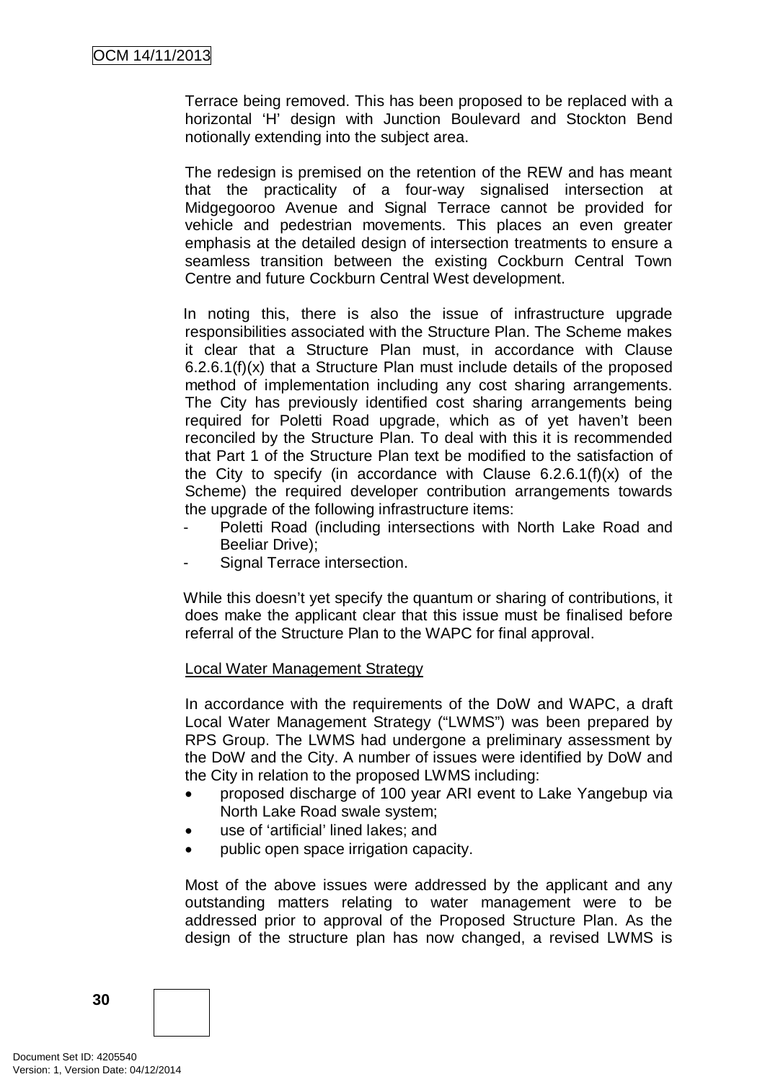Terrace being removed. This has been proposed to be replaced with a horizontal 'H' design with Junction Boulevard and Stockton Bend notionally extending into the subject area.

The redesign is premised on the retention of the REW and has meant that the practicality of a four-way signalised intersection at Midgegooroo Avenue and Signal Terrace cannot be provided for vehicle and pedestrian movements. This places an even greater emphasis at the detailed design of intersection treatments to ensure a seamless transition between the existing Cockburn Central Town Centre and future Cockburn Central West development.

In noting this, there is also the issue of infrastructure upgrade responsibilities associated with the Structure Plan. The Scheme makes it clear that a Structure Plan must, in accordance with Clause  $6.2.6.1(f)(x)$  that a Structure Plan must include details of the proposed method of implementation including any cost sharing arrangements. The City has previously identified cost sharing arrangements being required for Poletti Road upgrade, which as of yet haven't been reconciled by the Structure Plan. To deal with this it is recommended that Part 1 of the Structure Plan text be modified to the satisfaction of the City to specify (in accordance with Clause 6.2.6.1(f)(x) of the Scheme) the required developer contribution arrangements towards the upgrade of the following infrastructure items:

- Poletti Road (including intersections with North Lake Road and Beeliar Drive);
- Signal Terrace intersection.

While this doesn't yet specify the quantum or sharing of contributions, it does make the applicant clear that this issue must be finalised before referral of the Structure Plan to the WAPC for final approval.

#### Local Water Management Strategy

In accordance with the requirements of the DoW and WAPC, a draft Local Water Management Strategy ("LWMS") was been prepared by RPS Group. The LWMS had undergone a preliminary assessment by the DoW and the City. A number of issues were identified by DoW and the City in relation to the proposed LWMS including:

- proposed discharge of 100 year ARI event to Lake Yangebup via North Lake Road swale system;
- use of 'artificial' lined lakes; and
- public open space irrigation capacity.

Most of the above issues were addressed by the applicant and any outstanding matters relating to water management were to be addressed prior to approval of the Proposed Structure Plan. As the design of the structure plan has now changed, a revised LWMS is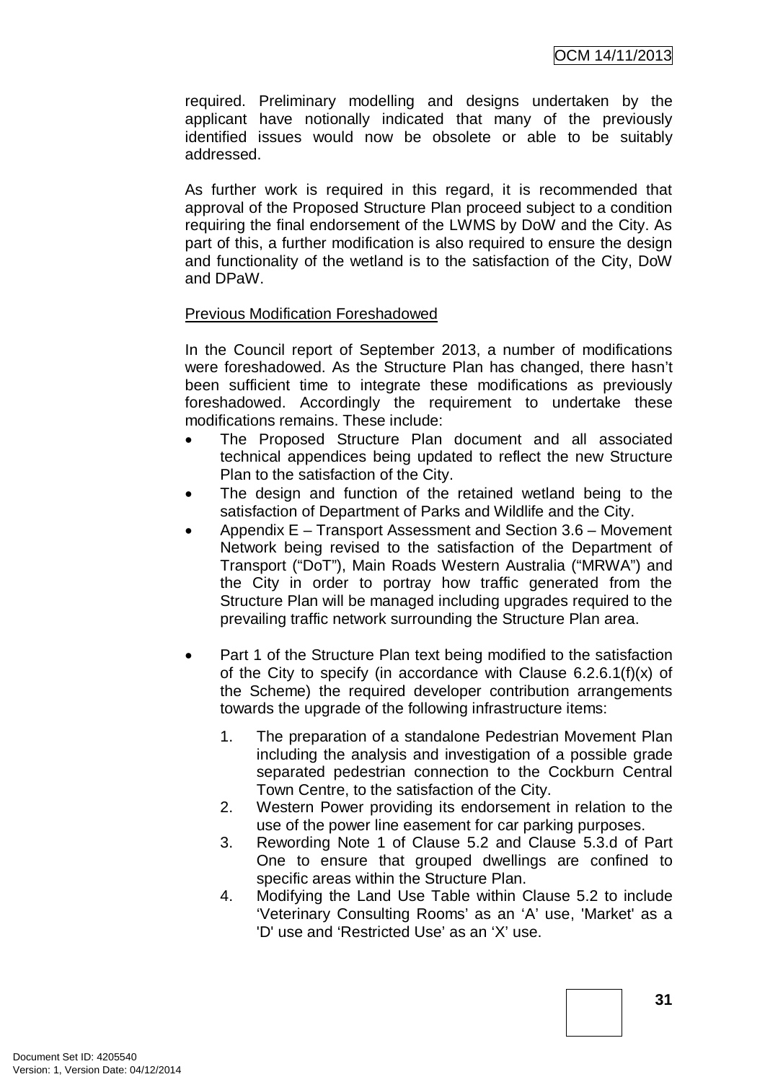required. Preliminary modelling and designs undertaken by the applicant have notionally indicated that many of the previously identified issues would now be obsolete or able to be suitably addressed.

As further work is required in this regard, it is recommended that approval of the Proposed Structure Plan proceed subject to a condition requiring the final endorsement of the LWMS by DoW and the City. As part of this, a further modification is also required to ensure the design and functionality of the wetland is to the satisfaction of the City, DoW and DPaW.

#### Previous Modification Foreshadowed

In the Council report of September 2013, a number of modifications were foreshadowed. As the Structure Plan has changed, there hasn't been sufficient time to integrate these modifications as previously foreshadowed. Accordingly the requirement to undertake these modifications remains. These include:

- The Proposed Structure Plan document and all associated technical appendices being updated to reflect the new Structure Plan to the satisfaction of the City.
- The design and function of the retained wetland being to the satisfaction of Department of Parks and Wildlife and the City.
- Appendix E Transport Assessment and Section 3.6 Movement Network being revised to the satisfaction of the Department of Transport ("DoT"), Main Roads Western Australia ("MRWA") and the City in order to portray how traffic generated from the Structure Plan will be managed including upgrades required to the prevailing traffic network surrounding the Structure Plan area.
- Part 1 of the Structure Plan text being modified to the satisfaction of the City to specify (in accordance with Clause  $6.2.6.1(f)(x)$  of the Scheme) the required developer contribution arrangements towards the upgrade of the following infrastructure items:
	- 1. The preparation of a standalone Pedestrian Movement Plan including the analysis and investigation of a possible grade separated pedestrian connection to the Cockburn Central Town Centre, to the satisfaction of the City.
	- 2. Western Power providing its endorsement in relation to the use of the power line easement for car parking purposes.
	- 3. Rewording Note 1 of Clause 5.2 and Clause 5.3.d of Part One to ensure that grouped dwellings are confined to specific areas within the Structure Plan.
	- 4. Modifying the Land Use Table within Clause 5.2 to include 'Veterinary Consulting Rooms' as an 'A' use, 'Market' as a 'D' use and 'Restricted Use' as an 'X' use.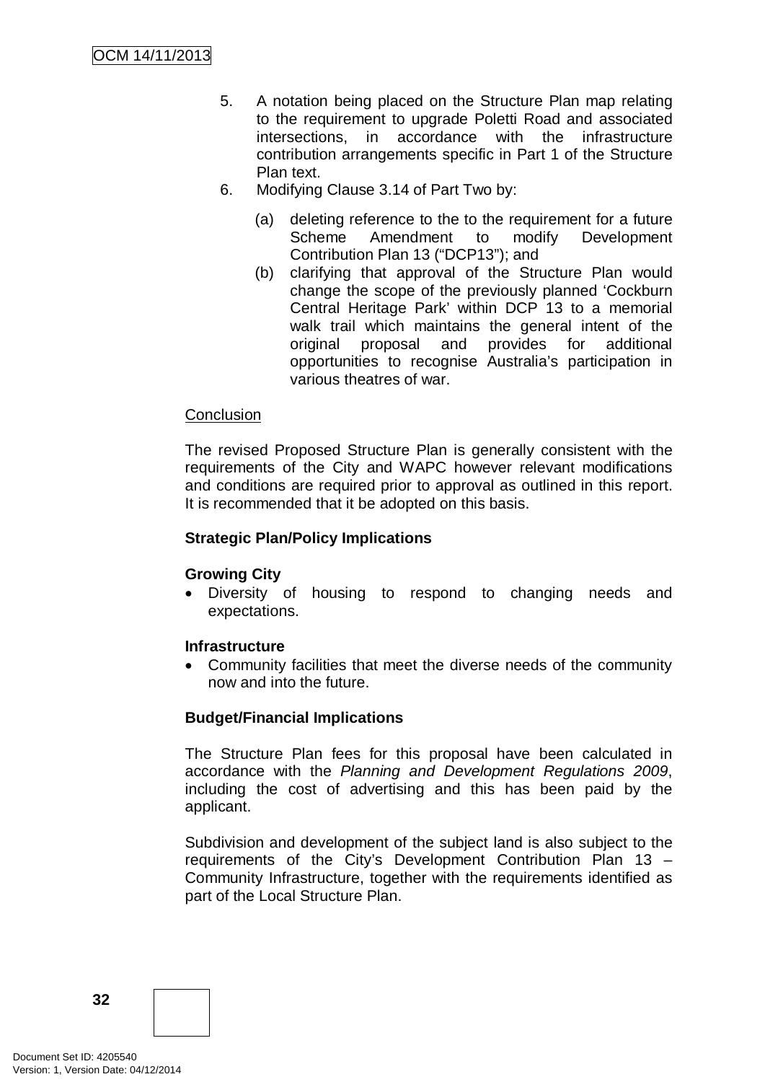- 5. A notation being placed on the Structure Plan map relating to the requirement to upgrade Poletti Road and associated intersections, in accordance with the infrastructure contribution arrangements specific in Part 1 of the Structure Plan text.
- 6. Modifying Clause 3.14 of Part Two by:
	- (a) deleting reference to the to the requirement for a future Scheme Amendment to modify Development Contribution Plan 13 ("DCP13"); and
	- (b) clarifying that approval of the Structure Plan would change the scope of the previously planned 'Cockburn Central Heritage Park' within DCP 13 to a memorial walk trail which maintains the general intent of the original proposal and provides for additional opportunities to recognise Australia's participation in various theatres of war.

#### **Conclusion**

The revised Proposed Structure Plan is generally consistent with the requirements of the City and WAPC however relevant modifications and conditions are required prior to approval as outlined in this report. It is recommended that it be adopted on this basis.

#### **Strategic Plan/Policy Implications**

#### **Growing City**

• Diversity of housing to respond to changing needs and expectations.

#### **Infrastructure**

• Community facilities that meet the diverse needs of the community now and into the future.

#### **Budget/Financial Implications**

The Structure Plan fees for this proposal have been calculated in accordance with the *Planning and Development Regulations 2009*, including the cost of advertising and this has been paid by the applicant.

Subdivision and development of the subject land is also subject to the requirements of the City's Development Contribution Plan 13 – Community Infrastructure, together with the requirements identified as part of the Local Structure Plan.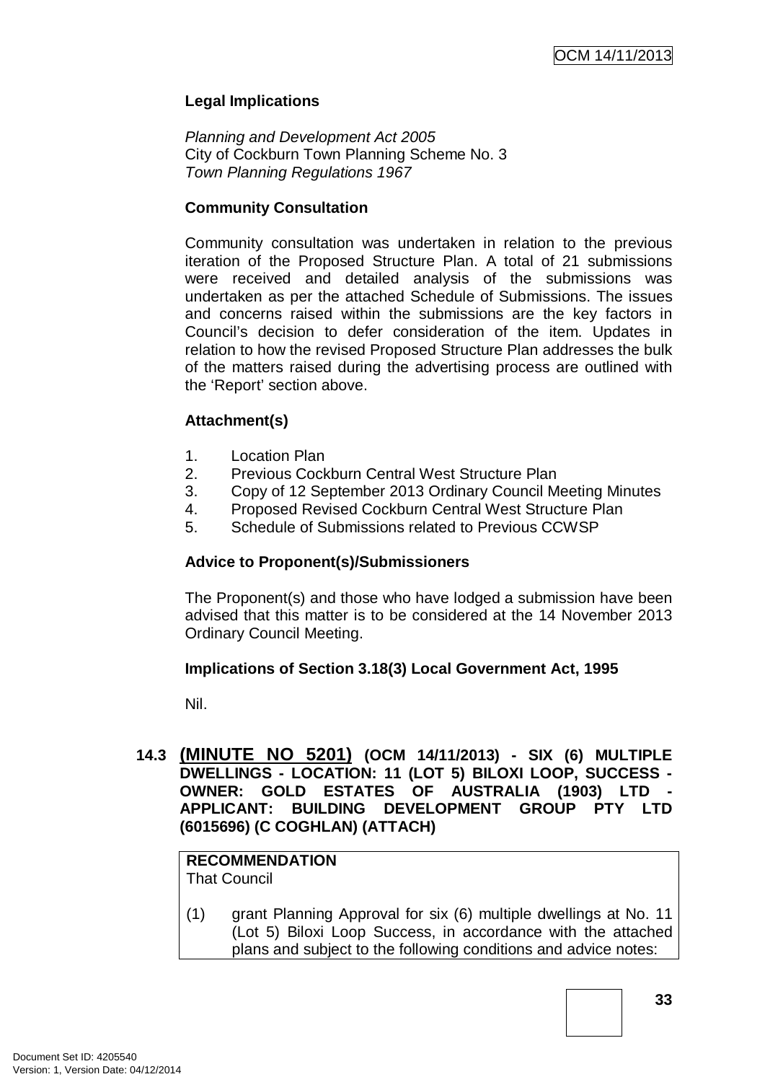# **Legal Implications**

*Planning and Development Act 2005* City of Cockburn Town Planning Scheme No. 3 *Town Planning Regulations 1967*

#### **Community Consultation**

Community consultation was undertaken in relation to the previous iteration of the Proposed Structure Plan. A total of 21 submissions were received and detailed analysis of the submissions was undertaken as per the attached Schedule of Submissions. The issues and concerns raised within the submissions are the key factors in Council's decision to defer consideration of the item. Updates in relation to how the revised Proposed Structure Plan addresses the bulk of the matters raised during the advertising process are outlined with the 'Report' section above.

## **Attachment(s)**

- 1. Location Plan
- 2. Previous Cockburn Central West Structure Plan
- 3. Copy of 12 September 2013 Ordinary Council Meeting Minutes
- 4. Proposed Revised Cockburn Central West Structure Plan
- 5. Schedule of Submissions related to Previous CCWSP

#### **Advice to Proponent(s)/Submissioners**

The Proponent(s) and those who have lodged a submission have been advised that this matter is to be considered at the 14 November 2013 Ordinary Council Meeting.

## **Implications of Section 3.18(3) Local Government Act, 1995**

Nil.

**14.3 (MINUTE NO 5201) (OCM 14/11/2013) - SIX (6) MULTIPLE DWELLINGS - LOCATION: 11 (LOT 5) BILOXI LOOP, SUCCESS - OWNER: GOLD ESTATES OF AUSTRALIA (1903) LTD - APPLICANT: BUILDING DEVELOPMENT GROUP PTY LTD (6015696) (C COGHLAN) (ATTACH)**

# **RECOMMENDATION**

That Council

(1) grant Planning Approval for six (6) multiple dwellings at No. 11 (Lot 5) Biloxi Loop Success, in accordance with the attached plans and subject to the following conditions and advice notes: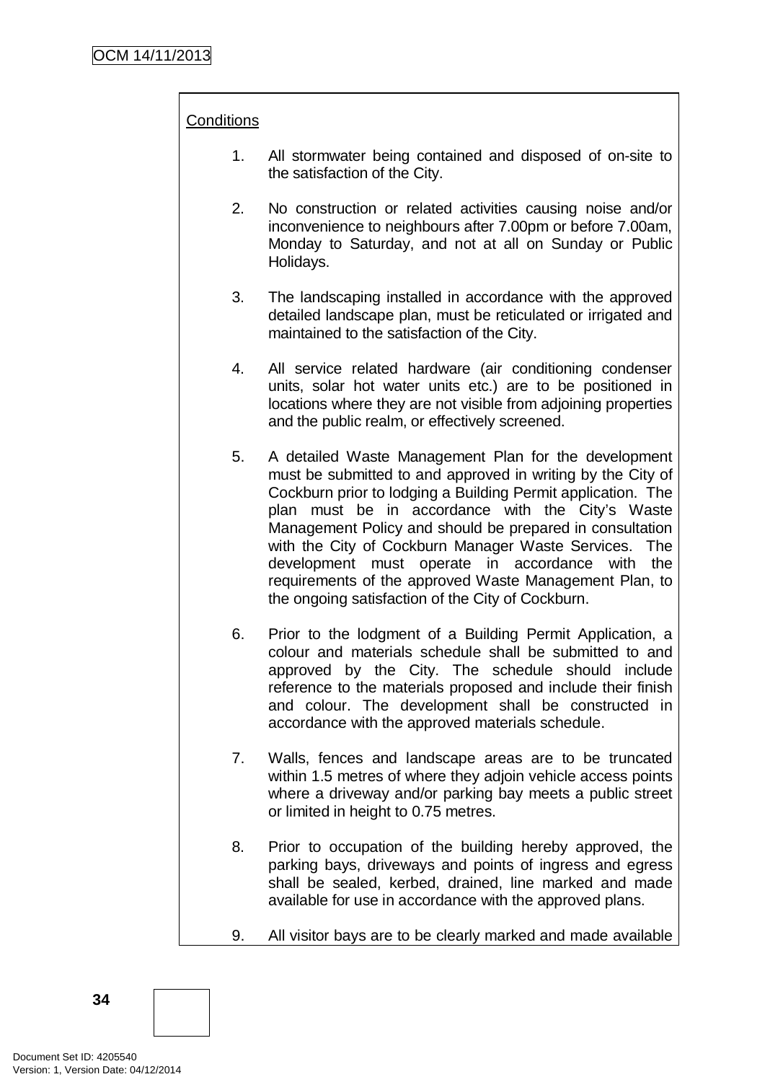# **Conditions**

- 1. All stormwater being contained and disposed of on-site to the satisfaction of the City.
- 2. No construction or related activities causing noise and/or inconvenience to neighbours after 7.00pm or before 7.00am, Monday to Saturday, and not at all on Sunday or Public Holidays.
- 3. The landscaping installed in accordance with the approved detailed landscape plan, must be reticulated or irrigated and maintained to the satisfaction of the City.
- 4. All service related hardware (air conditioning condenser units, solar hot water units etc.) are to be positioned in locations where they are not visible from adjoining properties and the public realm, or effectively screened.
- 5. A detailed Waste Management Plan for the development must be submitted to and approved in writing by the City of Cockburn prior to lodging a Building Permit application. The plan must be in accordance with the City's Waste Management Policy and should be prepared in consultation with the City of Cockburn Manager Waste Services. The development must operate in accordance with the requirements of the approved Waste Management Plan, to the ongoing satisfaction of the City of Cockburn.
- 6. Prior to the lodgment of a Building Permit Application, a colour and materials schedule shall be submitted to and approved by the City. The schedule should include reference to the materials proposed and include their finish and colour. The development shall be constructed in accordance with the approved materials schedule.
- 7. Walls, fences and landscape areas are to be truncated within 1.5 metres of where they adjoin vehicle access points where a driveway and/or parking bay meets a public street or limited in height to 0.75 metres.
- 8. Prior to occupation of the building hereby approved, the parking bays, driveways and points of ingress and egress shall be sealed, kerbed, drained, line marked and made available for use in accordance with the approved plans.
- 9. All visitor bays are to be clearly marked and made available

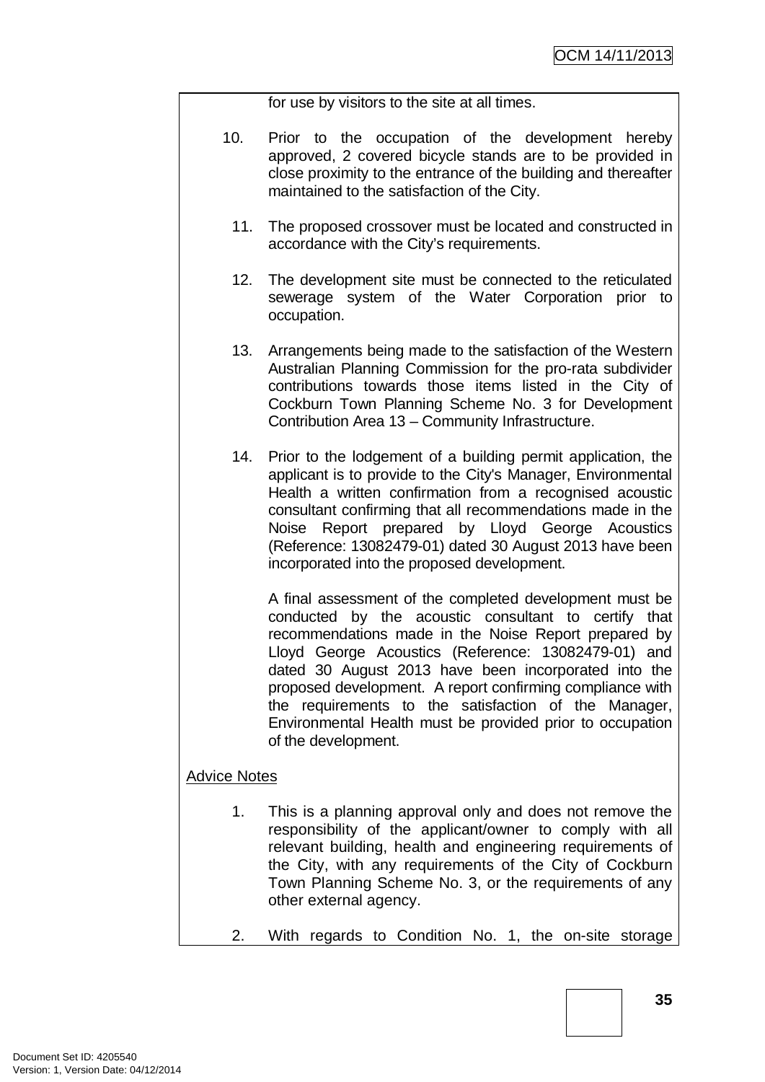for use by visitors to the site at all times.

- 10. Prior to the occupation of the development hereby approved, 2 covered bicycle stands are to be provided in close proximity to the entrance of the building and thereafter maintained to the satisfaction of the City.
	- 11. The proposed crossover must be located and constructed in accordance with the City's requirements.
	- 12. The development site must be connected to the reticulated sewerage system of the Water Corporation prior to occupation.
	- 13. Arrangements being made to the satisfaction of the Western Australian Planning Commission for the pro-rata subdivider contributions towards those items listed in the City of Cockburn Town Planning Scheme No. 3 for Development Contribution Area 13 – Community Infrastructure.
	- 14. Prior to the lodgement of a building permit application, the applicant is to provide to the City's Manager, Environmental Health a written confirmation from a recognised acoustic consultant confirming that all recommendations made in the Noise Report prepared by Lloyd George Acoustics (Reference: 13082479-01) dated 30 August 2013 have been incorporated into the proposed development.

A final assessment of the completed development must be conducted by the acoustic consultant to certify that recommendations made in the Noise Report prepared by Lloyd George Acoustics (Reference: 13082479-01) and dated 30 August 2013 have been incorporated into the proposed development. A report confirming compliance with the requirements to the satisfaction of the Manager, Environmental Health must be provided prior to occupation of the development.

# Advice Notes

- 1. This is a planning approval only and does not remove the responsibility of the applicant/owner to comply with all relevant building, health and engineering requirements of the City, with any requirements of the City of Cockburn Town Planning Scheme No. 3, or the requirements of any other external agency.
- 2. With regards to Condition No. 1, the on-site storage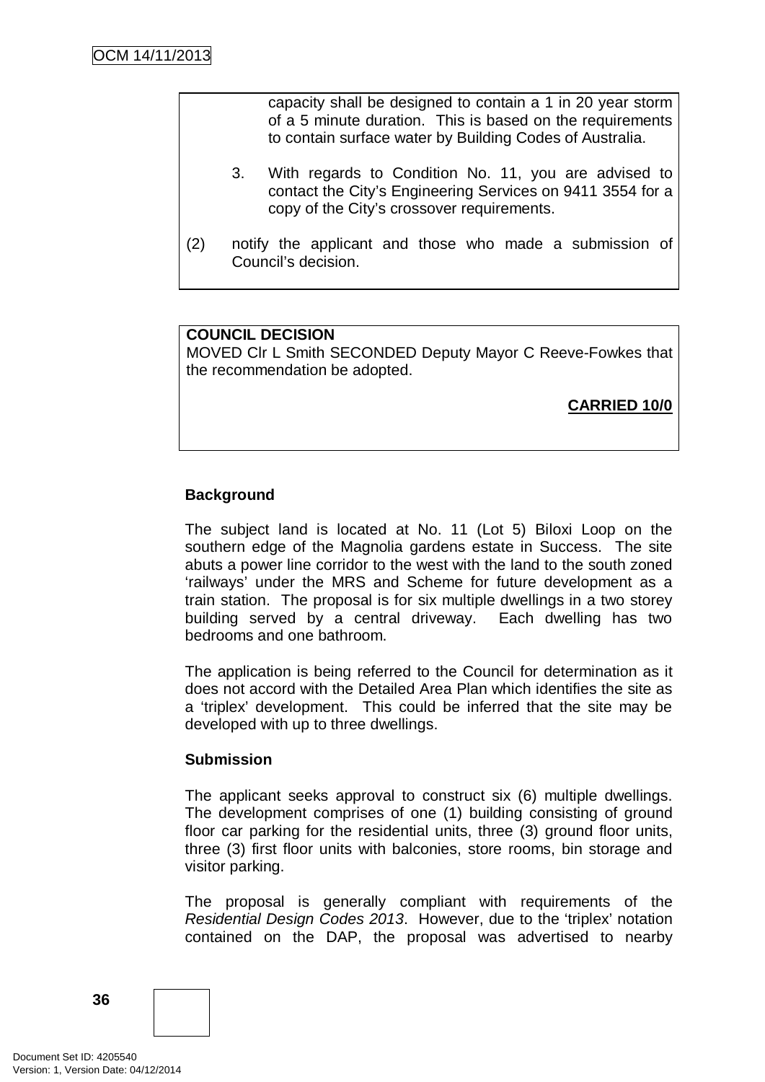capacity shall be designed to contain a 1 in 20 year storm of a 5 minute duration. This is based on the requirements to contain surface water by Building Codes of Australia.

- 3. With regards to Condition No. 11, you are advised to contact the City's Engineering Services on 9411 3554 for a copy of the City's crossover requirements.
- (2) notify the applicant and those who made a submission of Council's decision.

# **COUNCIL DECISION**

MOVED Clr L Smith SECONDED Deputy Mayor C Reeve-Fowkes that the recommendation be adopted.

**CARRIED 10/0**

# **Background**

The subject land is located at No. 11 (Lot 5) Biloxi Loop on the southern edge of the Magnolia gardens estate in Success. The site abuts a power line corridor to the west with the land to the south zoned 'railways' under the MRS and Scheme for future development as a train station. The proposal is for six multiple dwellings in a two storey building served by a central driveway. Each dwelling has two bedrooms and one bathroom.

The application is being referred to the Council for determination as it does not accord with the Detailed Area Plan which identifies the site as a 'triplex' development. This could be inferred that the site may be developed with up to three dwellings.

## **Submission**

The applicant seeks approval to construct six (6) multiple dwellings. The development comprises of one (1) building consisting of ground floor car parking for the residential units, three (3) ground floor units, three (3) first floor units with balconies, store rooms, bin storage and visitor parking.

The proposal is generally compliant with requirements of the *Residential Design Codes 2013*. However, due to the 'triplex' notation contained on the DAP, the proposal was advertised to nearby

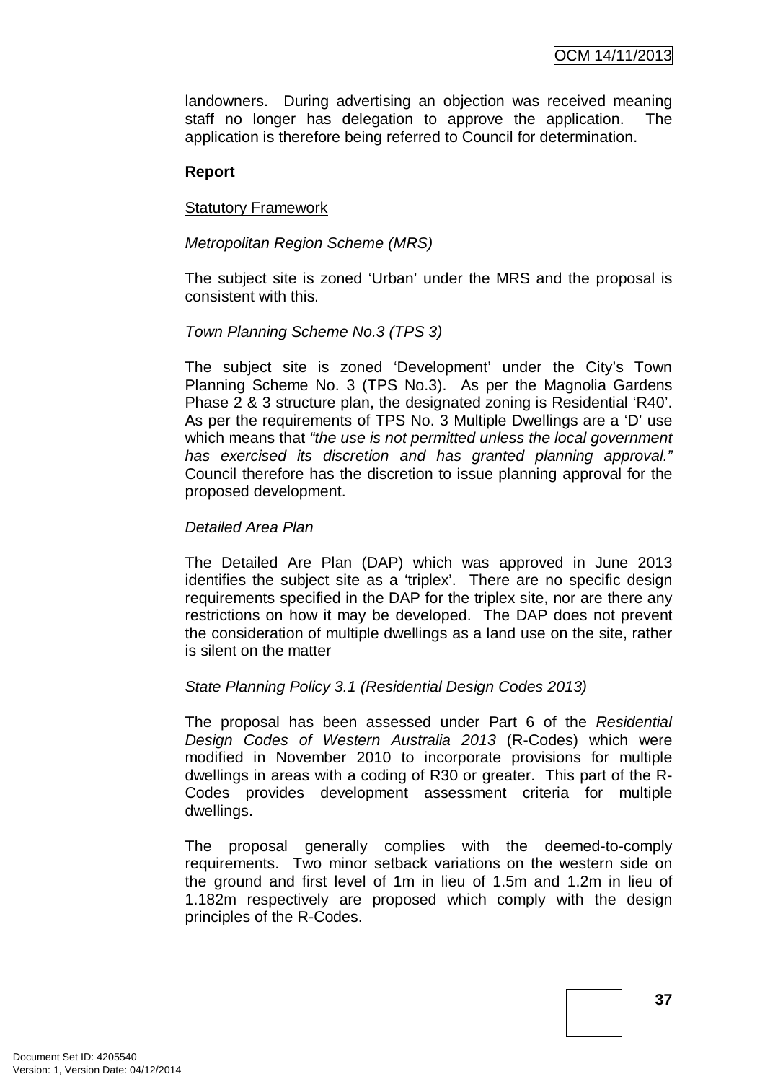landowners. During advertising an objection was received meaning staff no longer has delegation to approve the application. The application is therefore being referred to Council for determination.

#### **Report**

#### Statutory Framework

#### *Metropolitan Region Scheme (MRS)*

The subject site is zoned 'Urban' under the MRS and the proposal is consistent with this.

## *Town Planning Scheme No.3 (TPS 3)*

The subject site is zoned 'Development' under the City's Town Planning Scheme No. 3 (TPS No.3). As per the Magnolia Gardens Phase 2 & 3 structure plan, the designated zoning is Residential 'R40'. As per the requirements of TPS No. 3 Multiple Dwellings are a 'D' use which means that *"the use is not permitted unless the local government has exercised its discretion and has granted planning approval."* Council therefore has the discretion to issue planning approval for the proposed development.

#### *Detailed Area Plan*

The Detailed Are Plan (DAP) which was approved in June 2013 identifies the subject site as a 'triplex'. There are no specific design requirements specified in the DAP for the triplex site, nor are there any restrictions on how it may be developed. The DAP does not prevent the consideration of multiple dwellings as a land use on the site, rather is silent on the matter

#### *State Planning Policy 3.1 (Residential Design Codes 2013)*

The proposal has been assessed under Part 6 of the *Residential Design Codes of Western Australia 2013* (R-Codes) which were modified in November 2010 to incorporate provisions for multiple dwellings in areas with a coding of R30 or greater. This part of the R-Codes provides development assessment criteria for multiple dwellings.

The proposal generally complies with the deemed-to-comply requirements. Two minor setback variations on the western side on the ground and first level of 1m in lieu of 1.5m and 1.2m in lieu of 1.182m respectively are proposed which comply with the design principles of the R-Codes.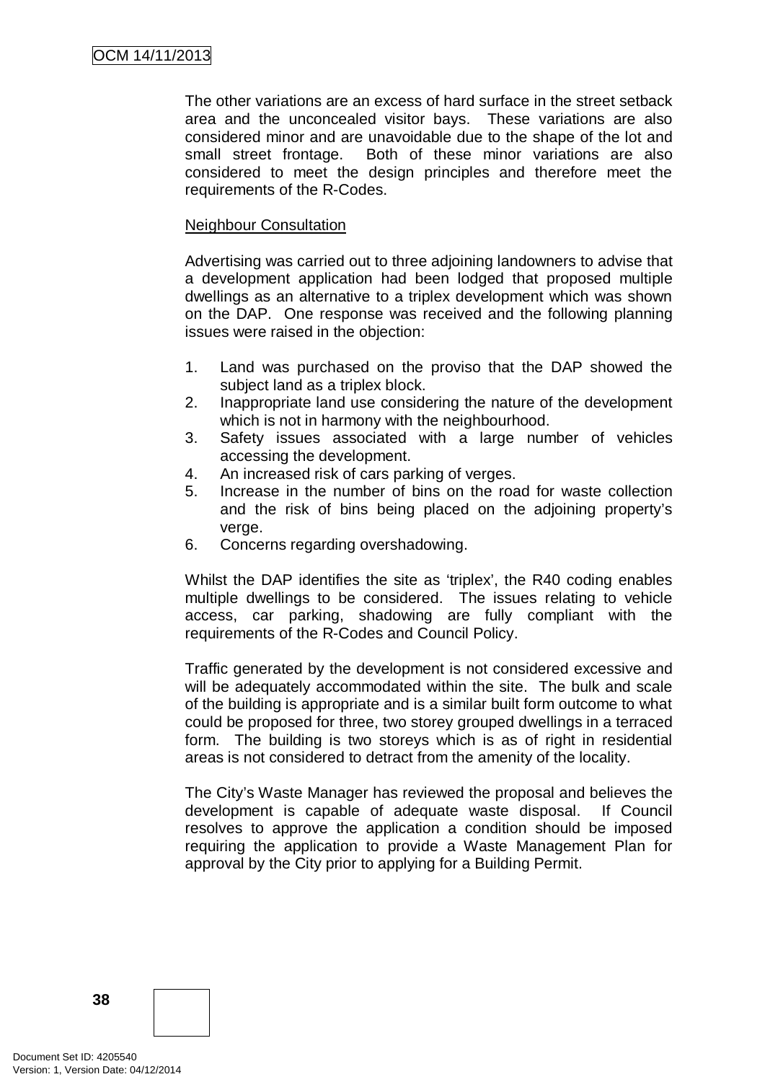The other variations are an excess of hard surface in the street setback area and the unconcealed visitor bays. These variations are also considered minor and are unavoidable due to the shape of the lot and small street frontage. Both of these minor variations are also considered to meet the design principles and therefore meet the requirements of the R-Codes.

## Neighbour Consultation

Advertising was carried out to three adjoining landowners to advise that a development application had been lodged that proposed multiple dwellings as an alternative to a triplex development which was shown on the DAP. One response was received and the following planning issues were raised in the objection:

- 1. Land was purchased on the proviso that the DAP showed the subject land as a triplex block.
- 2. Inappropriate land use considering the nature of the development which is not in harmony with the neighbourhood.
- 3. Safety issues associated with a large number of vehicles accessing the development.
- 4. An increased risk of cars parking of verges.
- 5. Increase in the number of bins on the road for waste collection and the risk of bins being placed on the adjoining property's verge.
- 6. Concerns regarding overshadowing.

Whilst the DAP identifies the site as 'triplex', the R40 coding enables multiple dwellings to be considered. The issues relating to vehicle access, car parking, shadowing are fully compliant with the requirements of the R-Codes and Council Policy.

Traffic generated by the development is not considered excessive and will be adequately accommodated within the site. The bulk and scale of the building is appropriate and is a similar built form outcome to what could be proposed for three, two storey grouped dwellings in a terraced form. The building is two storeys which is as of right in residential areas is not considered to detract from the amenity of the locality.

The City's Waste Manager has reviewed the proposal and believes the development is capable of adequate waste disposal. If Council resolves to approve the application a condition should be imposed requiring the application to provide a Waste Management Plan for approval by the City prior to applying for a Building Permit.

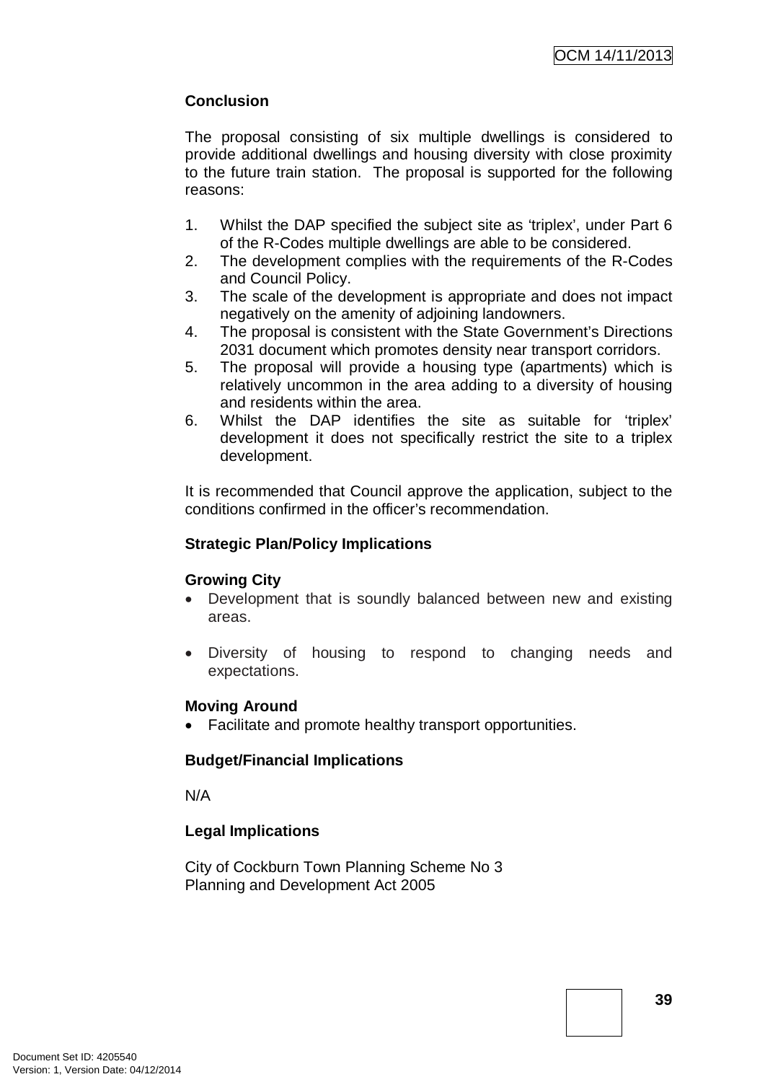# **Conclusion**

The proposal consisting of six multiple dwellings is considered to provide additional dwellings and housing diversity with close proximity to the future train station. The proposal is supported for the following reasons:

- 1. Whilst the DAP specified the subject site as 'triplex', under Part 6 of the R-Codes multiple dwellings are able to be considered.
- 2. The development complies with the requirements of the R-Codes and Council Policy.
- 3. The scale of the development is appropriate and does not impact negatively on the amenity of adjoining landowners.
- 4. The proposal is consistent with the State Government's Directions 2031 document which promotes density near transport corridors.
- 5. The proposal will provide a housing type (apartments) which is relatively uncommon in the area adding to a diversity of housing and residents within the area.
- 6. Whilst the DAP identifies the site as suitable for 'triplex' development it does not specifically restrict the site to a triplex development.

It is recommended that Council approve the application, subject to the conditions confirmed in the officer's recommendation.

# **Strategic Plan/Policy Implications**

## **Growing City**

- Development that is soundly balanced between new and existing areas.
- Diversity of housing to respond to changing needs and expectations.

## **Moving Around**

• Facilitate and promote healthy transport opportunities.

# **Budget/Financial Implications**

N/A

# **Legal Implications**

City of Cockburn Town Planning Scheme No 3 Planning and Development Act 2005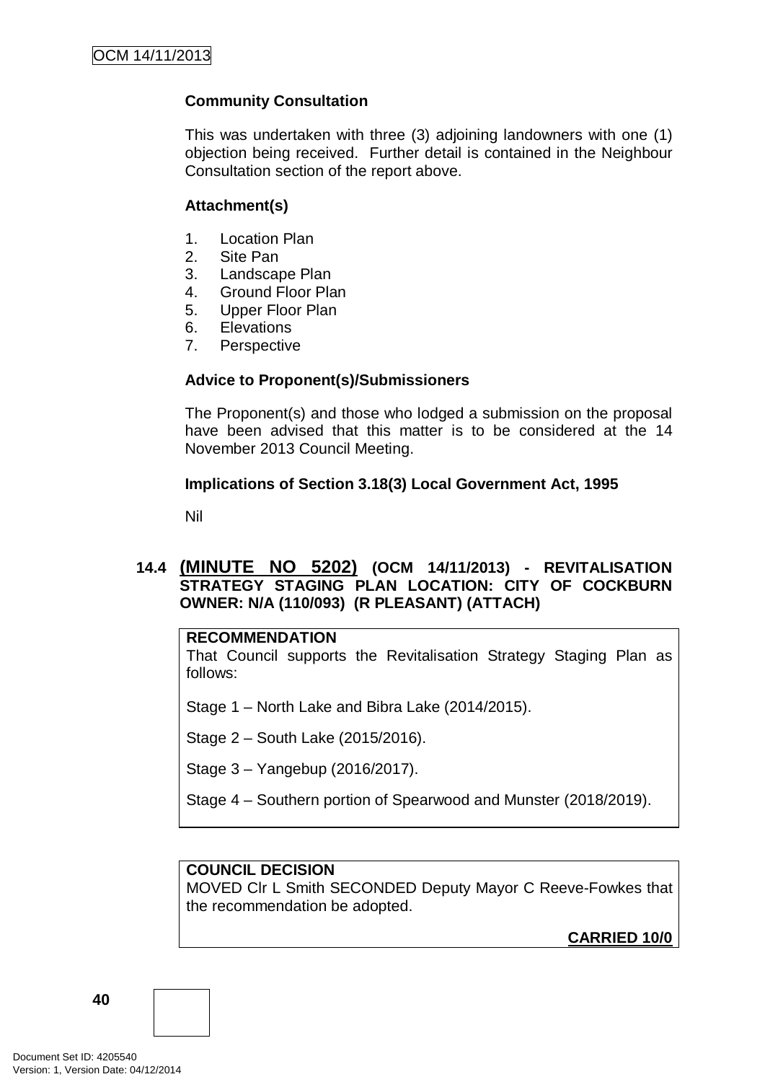## **Community Consultation**

This was undertaken with three (3) adjoining landowners with one (1) objection being received. Further detail is contained in the Neighbour Consultation section of the report above.

#### **Attachment(s)**

- 1. Location Plan
- 2. Site Pan
- 3. Landscape Plan
- 4. Ground Floor Plan
- 5. Upper Floor Plan
- 6. Elevations
- 7. Perspective

## **Advice to Proponent(s)/Submissioners**

The Proponent(s) and those who lodged a submission on the proposal have been advised that this matter is to be considered at the 14 November 2013 Council Meeting.

## **Implications of Section 3.18(3) Local Government Act, 1995**

Nil

# **14.4 (MINUTE NO 5202) (OCM 14/11/2013) - REVITALISATION STRATEGY STAGING PLAN LOCATION: CITY OF COCKBURN OWNER: N/A (110/093) (R PLEASANT) (ATTACH)**

#### **RECOMMENDATION**

That Council supports the Revitalisation Strategy Staging Plan as follows:

Stage 1 – North Lake and Bibra Lake (2014/2015).

Stage 2 – South Lake (2015/2016).

Stage 3 – Yangebup (2016/2017).

Stage 4 – Southern portion of Spearwood and Munster (2018/2019).

## **COUNCIL DECISION**

MOVED Clr L Smith SECONDED Deputy Mayor C Reeve-Fowkes that the recommendation be adopted.

**CARRIED 10/0**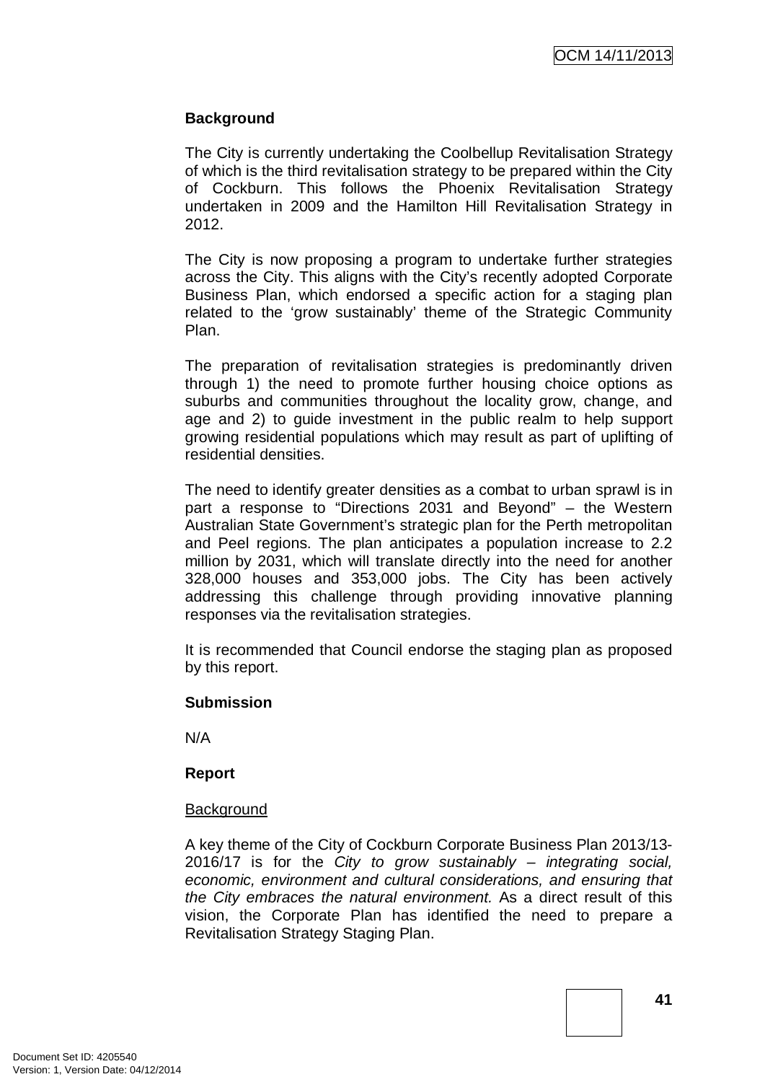## **Background**

The City is currently undertaking the Coolbellup Revitalisation Strategy of which is the third revitalisation strategy to be prepared within the City of Cockburn. This follows the Phoenix Revitalisation Strategy undertaken in 2009 and the Hamilton Hill Revitalisation Strategy in 2012.

The City is now proposing a program to undertake further strategies across the City. This aligns with the City's recently adopted Corporate Business Plan, which endorsed a specific action for a staging plan related to the 'grow sustainably' theme of the Strategic Community Plan.

The preparation of revitalisation strategies is predominantly driven through 1) the need to promote further housing choice options as suburbs and communities throughout the locality grow, change, and age and 2) to guide investment in the public realm to help support growing residential populations which may result as part of uplifting of residential densities.

The need to identify greater densities as a combat to urban sprawl is in part a response to "Directions 2031 and Beyond" – the Western Australian State Government's strategic plan for the Perth metropolitan and Peel regions. The plan anticipates a population increase to 2.2 million by 2031, which will translate directly into the need for another 328,000 houses and 353,000 jobs. The City has been actively addressing this challenge through providing innovative planning responses via the revitalisation strategies.

It is recommended that Council endorse the staging plan as proposed by this report.

## **Submission**

N/A

## **Report**

#### **Background**

A key theme of the City of Cockburn Corporate Business Plan 2013/13- 2016/17 is for the *City to grow sustainably – integrating social, economic, environment and cultural considerations, and ensuring that the City embraces the natural environment.* As a direct result of this vision, the Corporate Plan has identified the need to prepare a Revitalisation Strategy Staging Plan.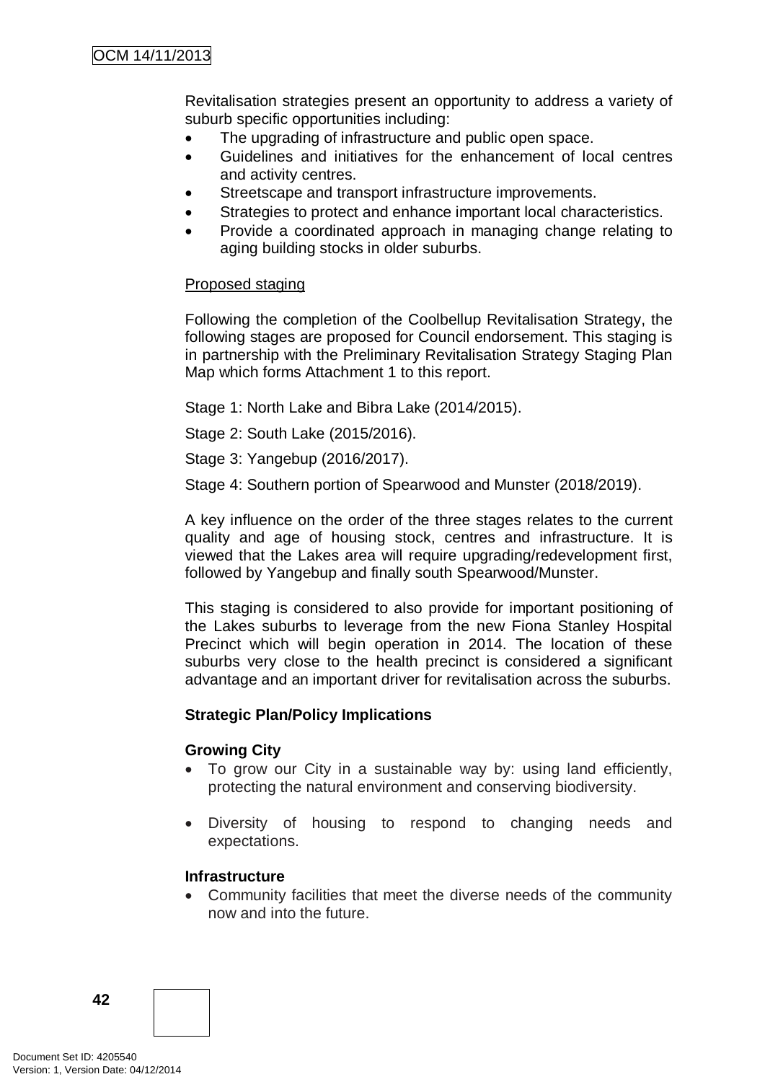Revitalisation strategies present an opportunity to address a variety of suburb specific opportunities including:

- The upgrading of infrastructure and public open space.
- Guidelines and initiatives for the enhancement of local centres and activity centres.
- Streetscape and transport infrastructure improvements.
- Strategies to protect and enhance important local characteristics.
- Provide a coordinated approach in managing change relating to aging building stocks in older suburbs.

## Proposed staging

Following the completion of the Coolbellup Revitalisation Strategy, the following stages are proposed for Council endorsement. This staging is in partnership with the Preliminary Revitalisation Strategy Staging Plan Map which forms Attachment 1 to this report.

Stage 1: North Lake and Bibra Lake (2014/2015).

Stage 2: South Lake (2015/2016).

Stage 3: Yangebup (2016/2017).

Stage 4: Southern portion of Spearwood and Munster (2018/2019).

A key influence on the order of the three stages relates to the current quality and age of housing stock, centres and infrastructure. It is viewed that the Lakes area will require upgrading/redevelopment first, followed by Yangebup and finally south Spearwood/Munster.

This staging is considered to also provide for important positioning of the Lakes suburbs to leverage from the new Fiona Stanley Hospital Precinct which will begin operation in 2014. The location of these suburbs very close to the health precinct is considered a significant advantage and an important driver for revitalisation across the suburbs.

## **Strategic Plan/Policy Implications**

#### **Growing City**

- To grow our City in a sustainable way by: using land efficiently, protecting the natural environment and conserving biodiversity.
- Diversity of housing to respond to changing needs and expectations.

#### **Infrastructure**

• Community facilities that meet the diverse needs of the community now and into the future.

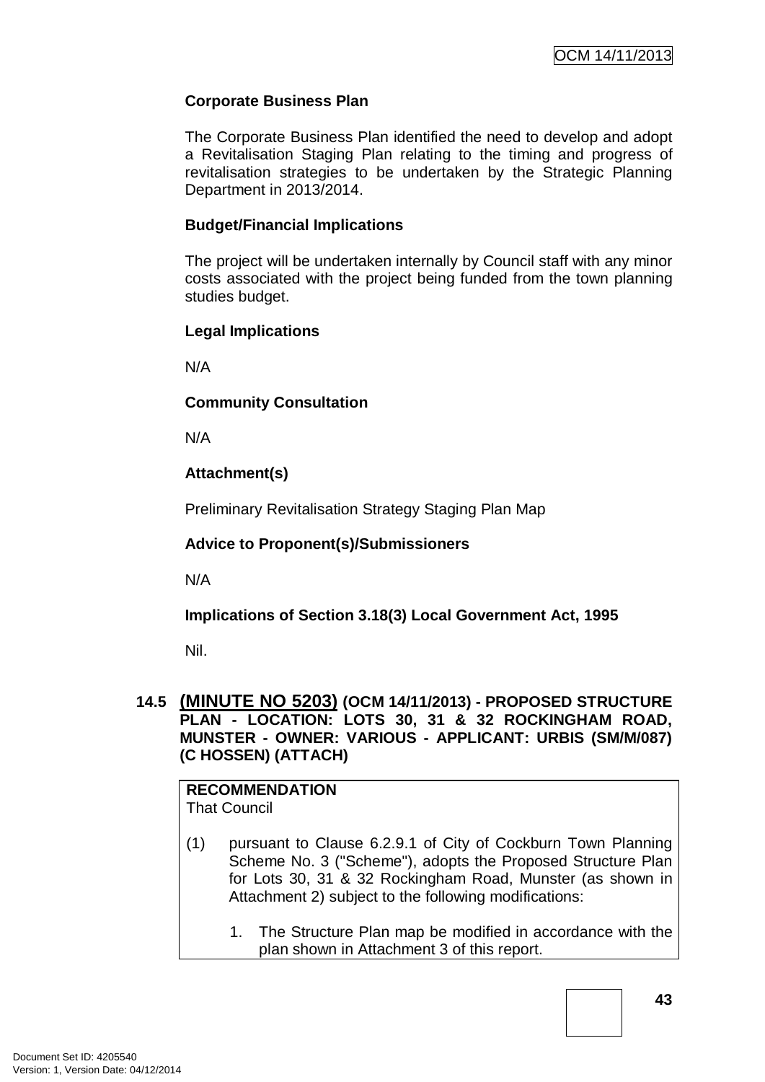## **Corporate Business Plan**

The Corporate Business Plan identified the need to develop and adopt a Revitalisation Staging Plan relating to the timing and progress of revitalisation strategies to be undertaken by the Strategic Planning Department in 2013/2014.

## **Budget/Financial Implications**

The project will be undertaken internally by Council staff with any minor costs associated with the project being funded from the town planning studies budget.

## **Legal Implications**

N/A

## **Community Consultation**

N/A

# **Attachment(s)**

Preliminary Revitalisation Strategy Staging Plan Map

# **Advice to Proponent(s)/Submissioners**

N/A

**Implications of Section 3.18(3) Local Government Act, 1995**

Nil.

#### **14.5 (MINUTE NO 5203) (OCM 14/11/2013) - PROPOSED STRUCTURE PLAN - LOCATION: LOTS 30, 31 & 32 ROCKINGHAM ROAD, MUNSTER - OWNER: VARIOUS - APPLICANT: URBIS (SM/M/087) (C HOSSEN) (ATTACH)**

# **RECOMMENDATION**

That Council

- (1) pursuant to Clause 6.2.9.1 of City of Cockburn Town Planning Scheme No. 3 ("Scheme"), adopts the Proposed Structure Plan for Lots 30, 31 & 32 Rockingham Road, Munster (as shown in Attachment 2) subject to the following modifications:
	- 1. The Structure Plan map be modified in accordance with the plan shown in Attachment 3 of this report.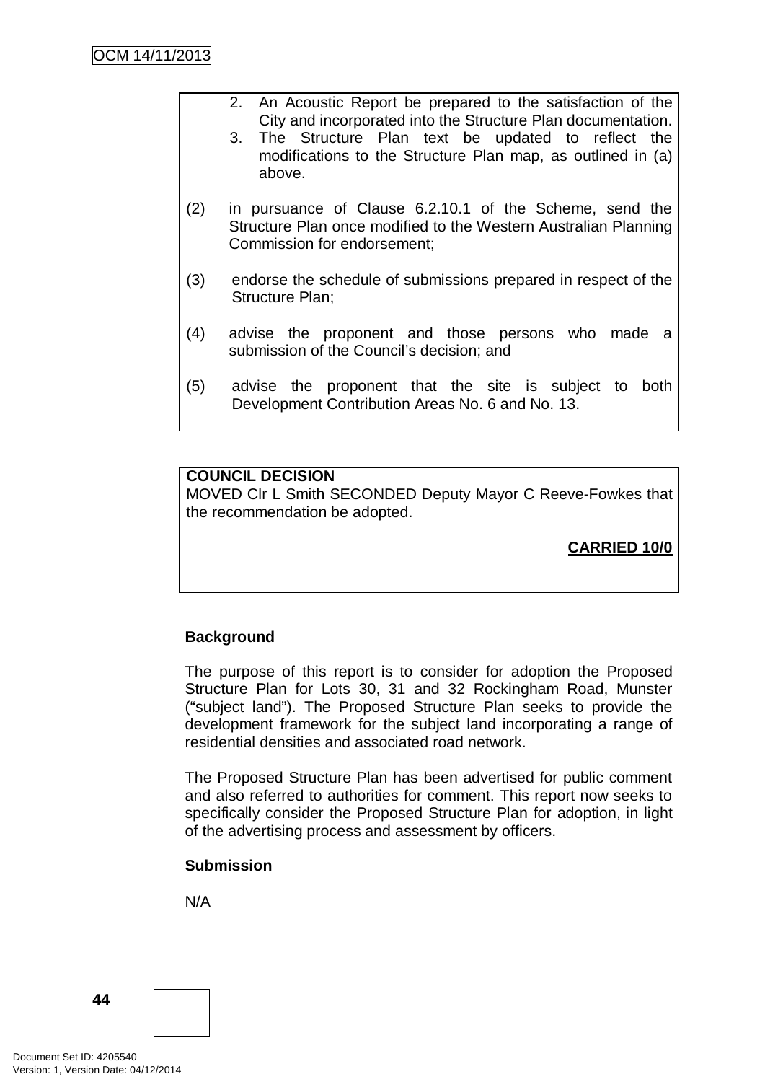- 2. An Acoustic Report be prepared to the satisfaction of the City and incorporated into the Structure Plan documentation.
	- 3. The Structure Plan text be updated to reflect the modifications to the Structure Plan map, as outlined in (a) above.
- (2) in pursuance of Clause 6.2.10.1 of the Scheme, send the Structure Plan once modified to the Western Australian Planning Commission for endorsement;
- (3) endorse the schedule of submissions prepared in respect of the Structure Plan;
- (4) advise the proponent and those persons who made a submission of the Council's decision; and
- (5) advise the proponent that the site is subject to both Development Contribution Areas No. 6 and No. 13.

# **COUNCIL DECISION**

MOVED Clr L Smith SECONDED Deputy Mayor C Reeve-Fowkes that the recommendation be adopted.

**CARRIED 10/0**

# **Background**

The purpose of this report is to consider for adoption the Proposed Structure Plan for Lots 30, 31 and 32 Rockingham Road, Munster ("subject land"). The Proposed Structure Plan seeks to provide the development framework for the subject land incorporating a range of residential densities and associated road network.

The Proposed Structure Plan has been advertised for public comment and also referred to authorities for comment. This report now seeks to specifically consider the Proposed Structure Plan for adoption, in light of the advertising process and assessment by officers.

## **Submission**

N/A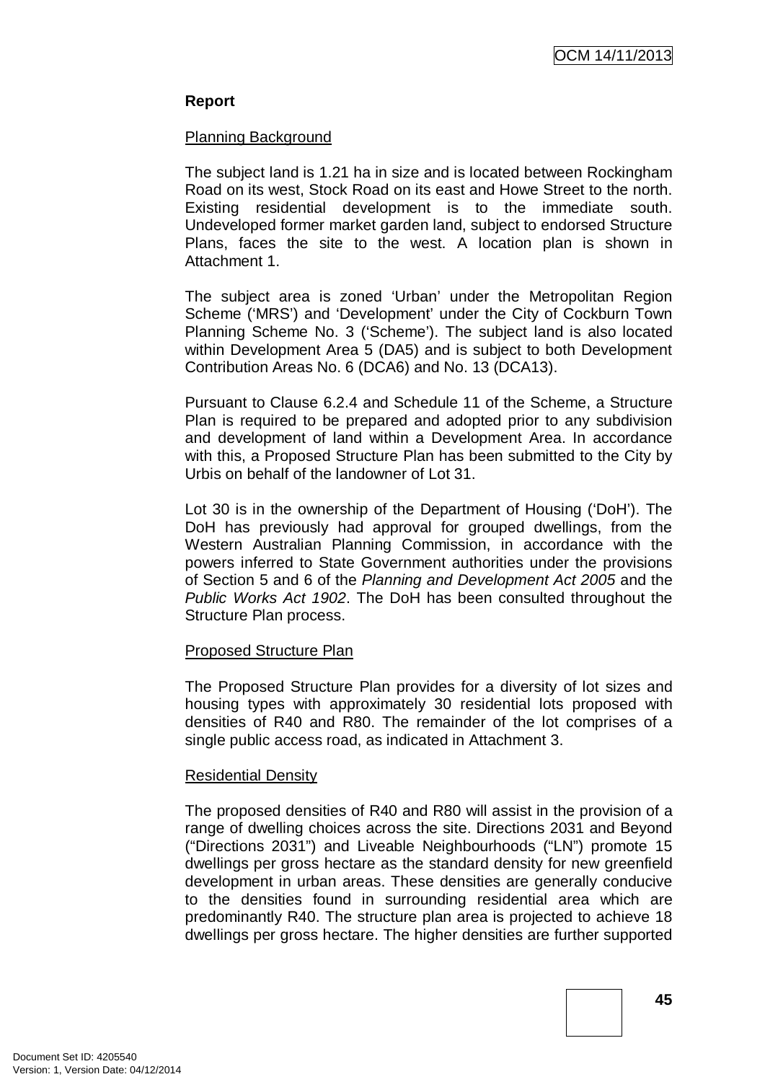## **Report**

#### Planning Background

The subject land is 1.21 ha in size and is located between Rockingham Road on its west, Stock Road on its east and Howe Street to the north. Existing residential development is to the immediate south. Undeveloped former market garden land, subject to endorsed Structure Plans, faces the site to the west. A location plan is shown in Attachment 1.

The subject area is zoned 'Urban' under the Metropolitan Region Scheme ('MRS') and 'Development' under the City of Cockburn Town Planning Scheme No. 3 ('Scheme'). The subject land is also located within Development Area 5 (DA5) and is subject to both Development Contribution Areas No. 6 (DCA6) and No. 13 (DCA13).

Pursuant to Clause 6.2.4 and Schedule 11 of the Scheme, a Structure Plan is required to be prepared and adopted prior to any subdivision and development of land within a Development Area. In accordance with this, a Proposed Structure Plan has been submitted to the City by Urbis on behalf of the landowner of Lot 31.

Lot 30 is in the ownership of the Department of Housing ('DoH'). The DoH has previously had approval for grouped dwellings, from the Western Australian Planning Commission, in accordance with the powers inferred to State Government authorities under the provisions of Section 5 and 6 of the *Planning and Development Act 2005* and the *Public Works Act 1902*. The DoH has been consulted throughout the Structure Plan process.

## Proposed Structure Plan

The Proposed Structure Plan provides for a diversity of lot sizes and housing types with approximately 30 residential lots proposed with densities of R40 and R80. The remainder of the lot comprises of a single public access road, as indicated in Attachment 3.

## **Residential Density**

The proposed densities of R40 and R80 will assist in the provision of a range of dwelling choices across the site. Directions 2031 and Beyond ("Directions 2031") and Liveable Neighbourhoods ("LN") promote 15 dwellings per gross hectare as the standard density for new greenfield development in urban areas. These densities are generally conducive to the densities found in surrounding residential area which are predominantly R40. The structure plan area is projected to achieve 18 dwellings per gross hectare. The higher densities are further supported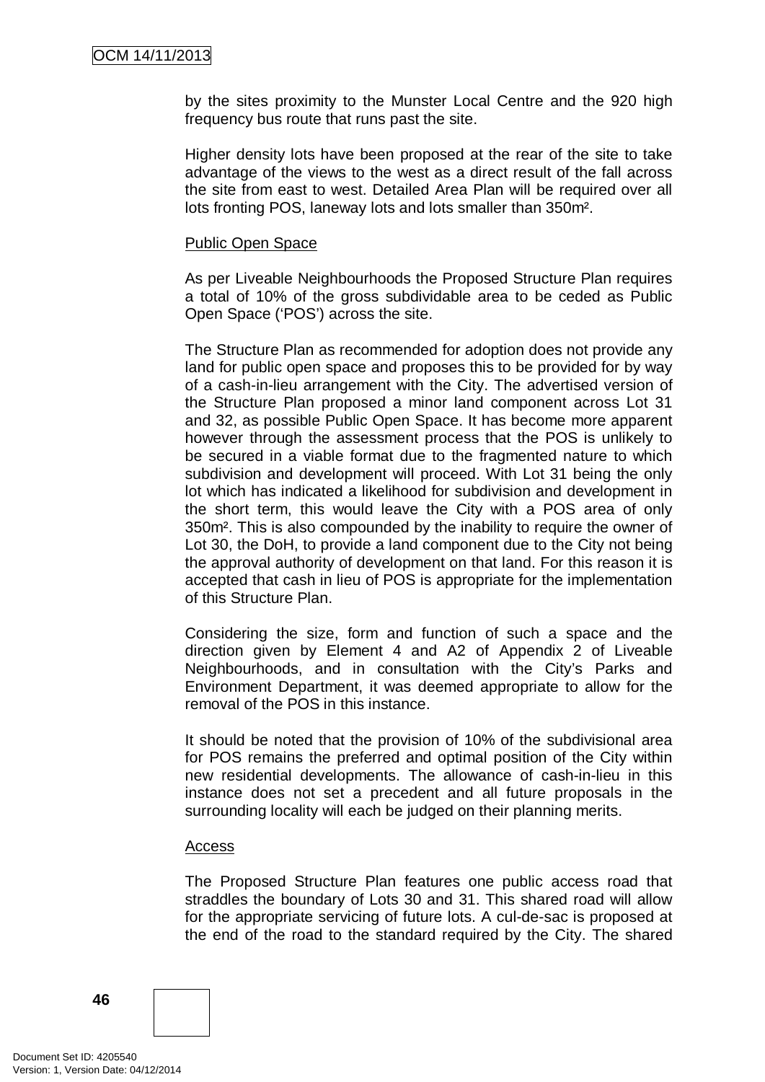by the sites proximity to the Munster Local Centre and the 920 high frequency bus route that runs past the site.

Higher density lots have been proposed at the rear of the site to take advantage of the views to the west as a direct result of the fall across the site from east to west. Detailed Area Plan will be required over all lots fronting POS, laneway lots and lots smaller than 350m².

#### Public Open Space

As per Liveable Neighbourhoods the Proposed Structure Plan requires a total of 10% of the gross subdividable area to be ceded as Public Open Space ('POS') across the site.

The Structure Plan as recommended for adoption does not provide any land for public open space and proposes this to be provided for by way of a cash-in-lieu arrangement with the City. The advertised version of the Structure Plan proposed a minor land component across Lot 31 and 32, as possible Public Open Space. It has become more apparent however through the assessment process that the POS is unlikely to be secured in a viable format due to the fragmented nature to which subdivision and development will proceed. With Lot 31 being the only lot which has indicated a likelihood for subdivision and development in the short term, this would leave the City with a POS area of only 350m². This is also compounded by the inability to require the owner of Lot 30, the DoH, to provide a land component due to the City not being the approval authority of development on that land. For this reason it is accepted that cash in lieu of POS is appropriate for the implementation of this Structure Plan.

Considering the size, form and function of such a space and the direction given by Element 4 and A2 of Appendix 2 of Liveable Neighbourhoods, and in consultation with the City's Parks and Environment Department, it was deemed appropriate to allow for the removal of the POS in this instance.

It should be noted that the provision of 10% of the subdivisional area for POS remains the preferred and optimal position of the City within new residential developments. The allowance of cash-in-lieu in this instance does not set a precedent and all future proposals in the surrounding locality will each be judged on their planning merits.

#### Access

The Proposed Structure Plan features one public access road that straddles the boundary of Lots 30 and 31. This shared road will allow for the appropriate servicing of future lots. A cul-de-sac is proposed at the end of the road to the standard required by the City. The shared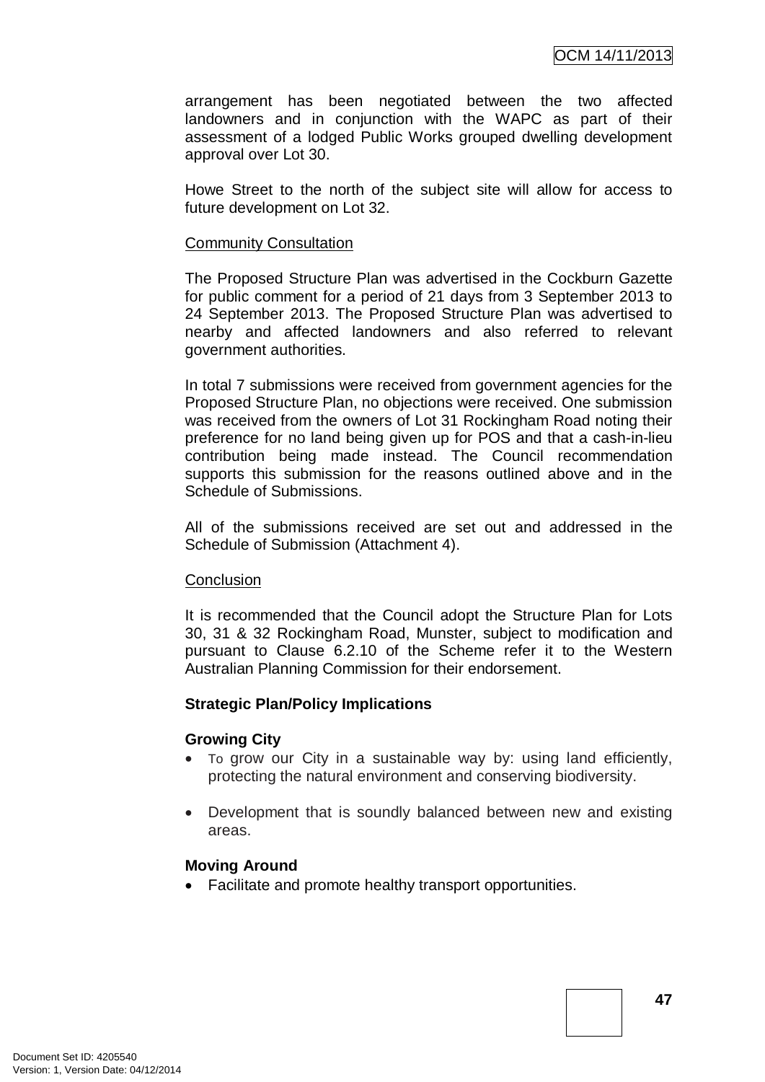arrangement has been negotiated between the two affected landowners and in conjunction with the WAPC as part of their assessment of a lodged Public Works grouped dwelling development approval over Lot 30.

Howe Street to the north of the subject site will allow for access to future development on Lot 32.

#### Community Consultation

The Proposed Structure Plan was advertised in the Cockburn Gazette for public comment for a period of 21 days from 3 September 2013 to 24 September 2013. The Proposed Structure Plan was advertised to nearby and affected landowners and also referred to relevant government authorities.

In total 7 submissions were received from government agencies for the Proposed Structure Plan, no objections were received. One submission was received from the owners of Lot 31 Rockingham Road noting their preference for no land being given up for POS and that a cash-in-lieu contribution being made instead. The Council recommendation supports this submission for the reasons outlined above and in the Schedule of Submissions.

All of the submissions received are set out and addressed in the Schedule of Submission (Attachment 4).

#### **Conclusion**

It is recommended that the Council adopt the Structure Plan for Lots 30, 31 & 32 Rockingham Road, Munster, subject to modification and pursuant to Clause 6.2.10 of the Scheme refer it to the Western Australian Planning Commission for their endorsement.

## **Strategic Plan/Policy Implications**

#### **Growing City**

- To grow our City in a sustainable way by: using land efficiently, protecting the natural environment and conserving biodiversity.
- Development that is soundly balanced between new and existing areas.

#### **Moving Around**

• Facilitate and promote healthy transport opportunities.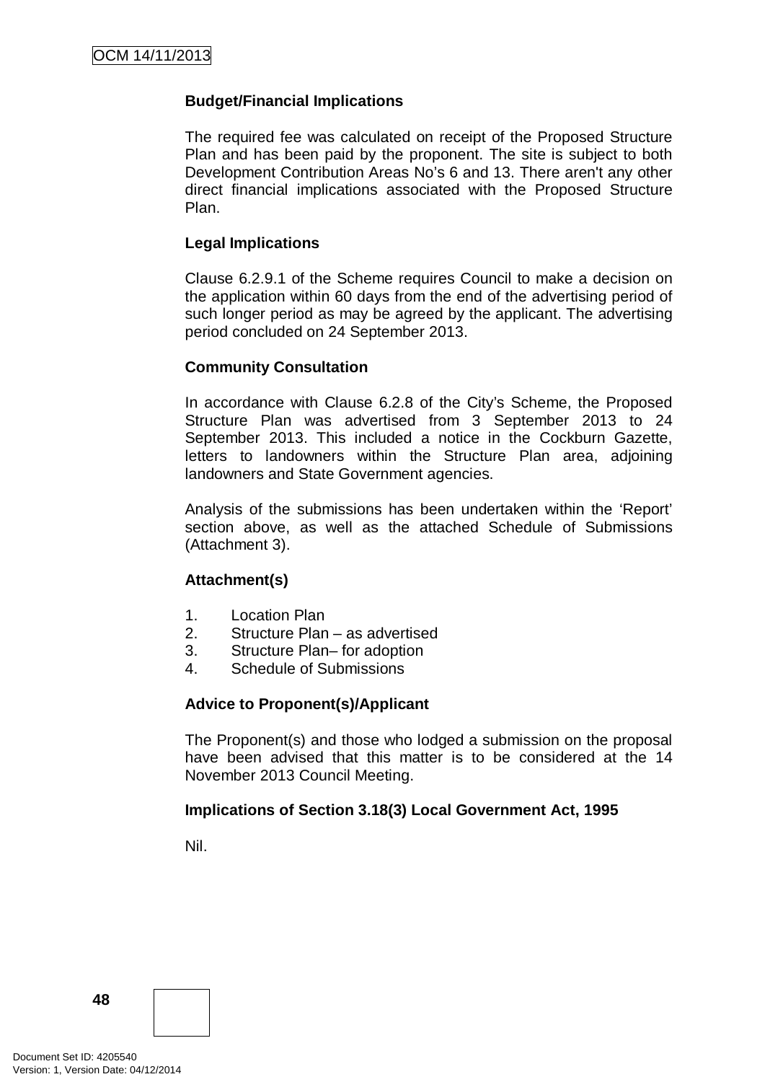## **Budget/Financial Implications**

The required fee was calculated on receipt of the Proposed Structure Plan and has been paid by the proponent. The site is subject to both Development Contribution Areas No's 6 and 13. There aren't any other direct financial implications associated with the Proposed Structure Plan.

## **Legal Implications**

Clause 6.2.9.1 of the Scheme requires Council to make a decision on the application within 60 days from the end of the advertising period of such longer period as may be agreed by the applicant. The advertising period concluded on 24 September 2013.

#### **Community Consultation**

In accordance with Clause 6.2.8 of the City's Scheme, the Proposed Structure Plan was advertised from 3 September 2013 to 24 September 2013. This included a notice in the Cockburn Gazette, letters to landowners within the Structure Plan area, adjoining landowners and State Government agencies.

Analysis of the submissions has been undertaken within the 'Report' section above, as well as the attached Schedule of Submissions (Attachment 3).

## **Attachment(s)**

- 1. Location Plan
- 2. Structure Plan as advertised
- 3. Structure Plan– for adoption
- 4. Schedule of Submissions

## **Advice to Proponent(s)/Applicant**

The Proponent(s) and those who lodged a submission on the proposal have been advised that this matter is to be considered at the 14 November 2013 Council Meeting.

## **Implications of Section 3.18(3) Local Government Act, 1995**

Nil.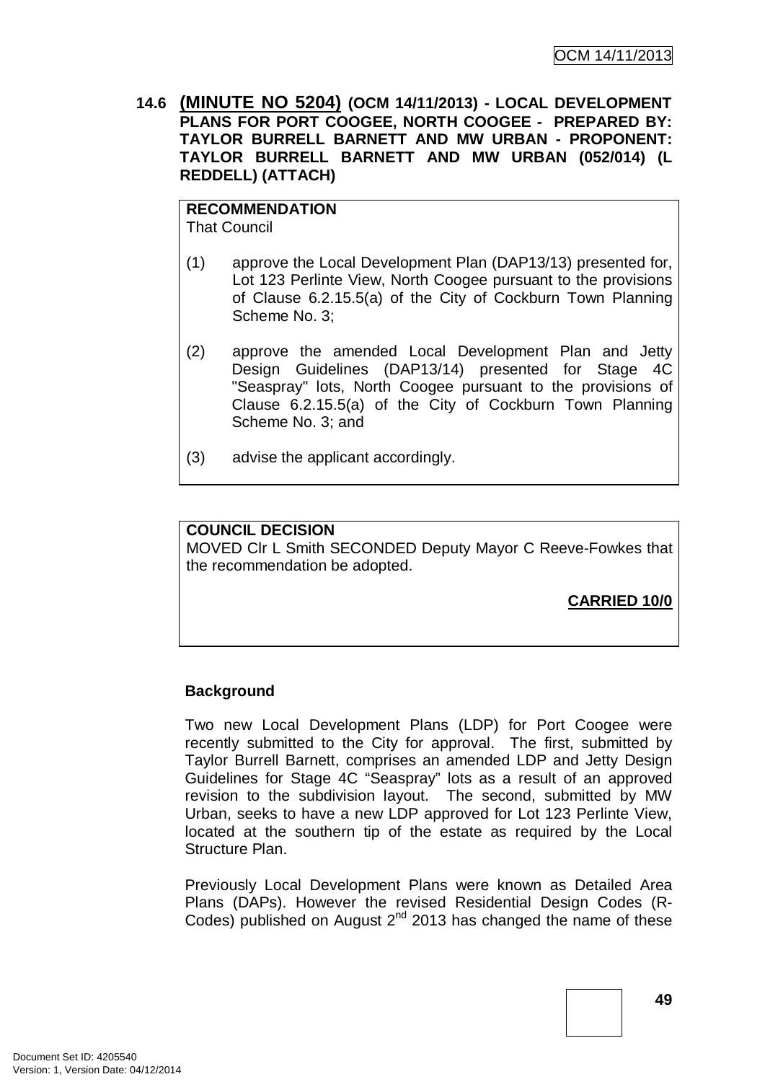**14.6 (MINUTE NO 5204) (OCM 14/11/2013) - LOCAL DEVELOPMENT PLANS FOR PORT COOGEE, NORTH COOGEE - PREPARED BY: TAYLOR BURRELL BARNETT AND MW URBAN - PROPONENT: TAYLOR BURRELL BARNETT AND MW URBAN (052/014) (L REDDELL) (ATTACH)**

# **RECOMMENDATION**

That Council

- (1) approve the Local Development Plan (DAP13/13) presented for, Lot 123 Perlinte View, North Coogee pursuant to the provisions of Clause 6.2.15.5(a) of the City of Cockburn Town Planning Scheme No. 3;
- (2) approve the amended Local Development Plan and Jetty Design Guidelines (DAP13/14) presented for Stage 4C "Seaspray" lots, North Coogee pursuant to the provisions of Clause 6.2.15.5(a) of the City of Cockburn Town Planning Scheme No. 3; and
- (3) advise the applicant accordingly.

# **COUNCIL DECISION**

MOVED Clr L Smith SECONDED Deputy Mayor C Reeve-Fowkes that the recommendation be adopted.

**CARRIED 10/0**

# **Background**

Two new Local Development Plans (LDP) for Port Coogee were recently submitted to the City for approval. The first, submitted by Taylor Burrell Barnett, comprises an amended LDP and Jetty Design Guidelines for Stage 4C "Seaspray" lots as a result of an approved revision to the subdivision layout. The second, submitted by MW Urban, seeks to have a new LDP approved for Lot 123 Perlinte View, located at the southern tip of the estate as required by the Local Structure Plan.

Previously Local Development Plans were known as Detailed Area Plans (DAPs). However the revised Residential Design Codes (R-Codes) published on August  $2^{nd}$  2013 has changed the name of these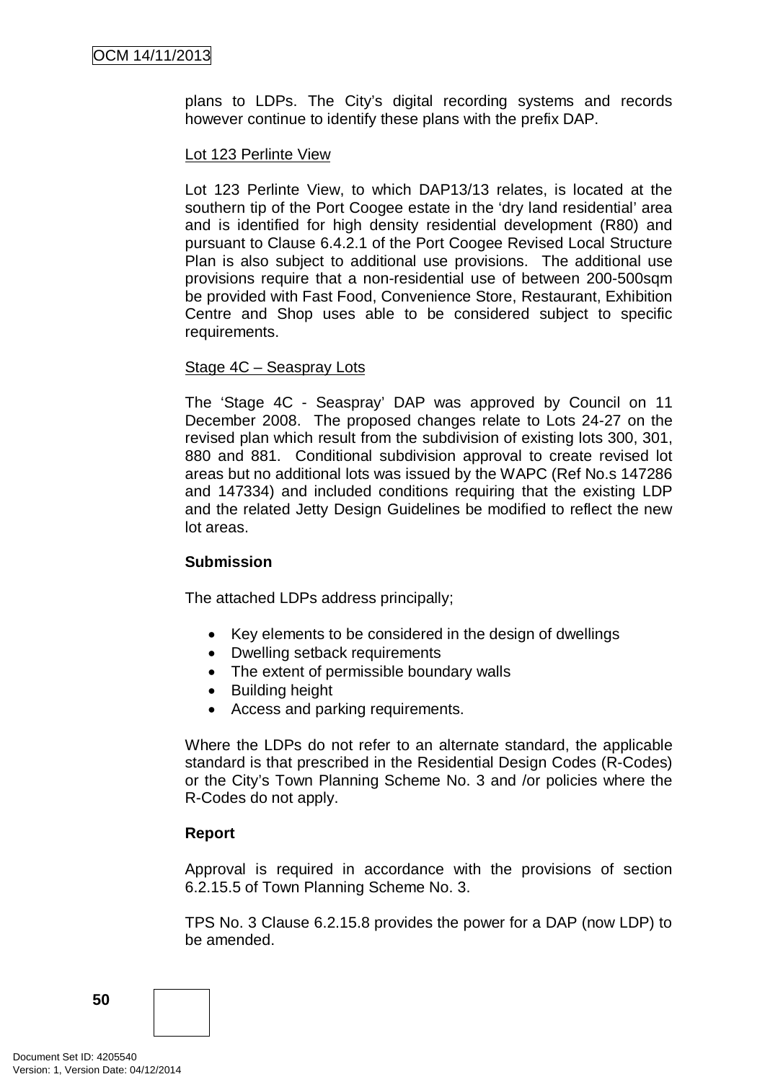plans to LDPs. The City's digital recording systems and records however continue to identify these plans with the prefix DAP.

#### Lot 123 Perlinte View

Lot 123 Perlinte View, to which DAP13/13 relates, is located at the southern tip of the Port Coogee estate in the 'dry land residential' area and is identified for high density residential development (R80) and pursuant to Clause 6.4.2.1 of the Port Coogee Revised Local Structure Plan is also subject to additional use provisions. The additional use provisions require that a non-residential use of between 200-500sqm be provided with Fast Food, Convenience Store, Restaurant, Exhibition Centre and Shop uses able to be considered subject to specific requirements.

#### Stage 4C – Seaspray Lots

The 'Stage 4C - Seaspray' DAP was approved by Council on 11 December 2008. The proposed changes relate to Lots 24-27 on the revised plan which result from the subdivision of existing lots 300, 301, 880 and 881. Conditional subdivision approval to create revised lot areas but no additional lots was issued by the WAPC (Ref No.s 147286 and 147334) and included conditions requiring that the existing LDP and the related Jetty Design Guidelines be modified to reflect the new lot areas.

## **Submission**

The attached LDPs address principally;

- Key elements to be considered in the design of dwellings
- Dwelling setback requirements
- The extent of permissible boundary walls
- Building height
- Access and parking requirements.

Where the LDPs do not refer to an alternate standard, the applicable standard is that prescribed in the Residential Design Codes (R-Codes) or the City's Town Planning Scheme No. 3 and /or policies where the R-Codes do not apply.

## **Report**

Approval is required in accordance with the provisions of section 6.2.15.5 of Town Planning Scheme No. 3.

TPS No. 3 Clause 6.2.15.8 provides the power for a DAP (now LDP) to be amended.

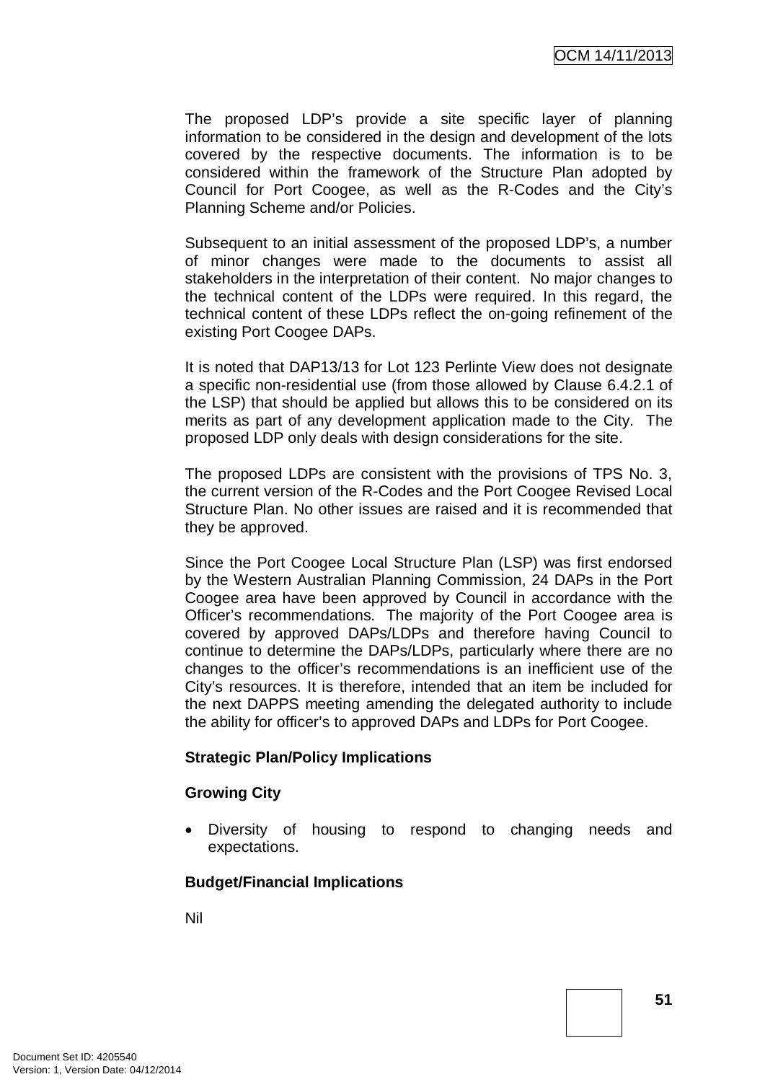The proposed LDP's provide a site specific layer of planning information to be considered in the design and development of the lots covered by the respective documents. The information is to be considered within the framework of the Structure Plan adopted by Council for Port Coogee, as well as the R-Codes and the City's Planning Scheme and/or Policies.

Subsequent to an initial assessment of the proposed LDP's, a number of minor changes were made to the documents to assist all stakeholders in the interpretation of their content. No major changes to the technical content of the LDPs were required. In this regard, the technical content of these LDPs reflect the on-going refinement of the existing Port Coogee DAPs.

It is noted that DAP13/13 for Lot 123 Perlinte View does not designate a specific non-residential use (from those allowed by Clause 6.4.2.1 of the LSP) that should be applied but allows this to be considered on its merits as part of any development application made to the City. The proposed LDP only deals with design considerations for the site.

The proposed LDPs are consistent with the provisions of TPS No. 3, the current version of the R-Codes and the Port Coogee Revised Local Structure Plan. No other issues are raised and it is recommended that they be approved.

Since the Port Coogee Local Structure Plan (LSP) was first endorsed by the Western Australian Planning Commission, 24 DAPs in the Port Coogee area have been approved by Council in accordance with the Officer's recommendations. The majority of the Port Coogee area is covered by approved DAPs/LDPs and therefore having Council to continue to determine the DAPs/LDPs, particularly where there are no changes to the officer's recommendations is an inefficient use of the City's resources. It is therefore, intended that an item be included for the next DAPPS meeting amending the delegated authority to include the ability for officer's to approved DAPs and LDPs for Port Coogee.

#### **Strategic Plan/Policy Implications**

## **Growing City**

• Diversity of housing to respond to changing needs and expectations.

## **Budget/Financial Implications**

Nil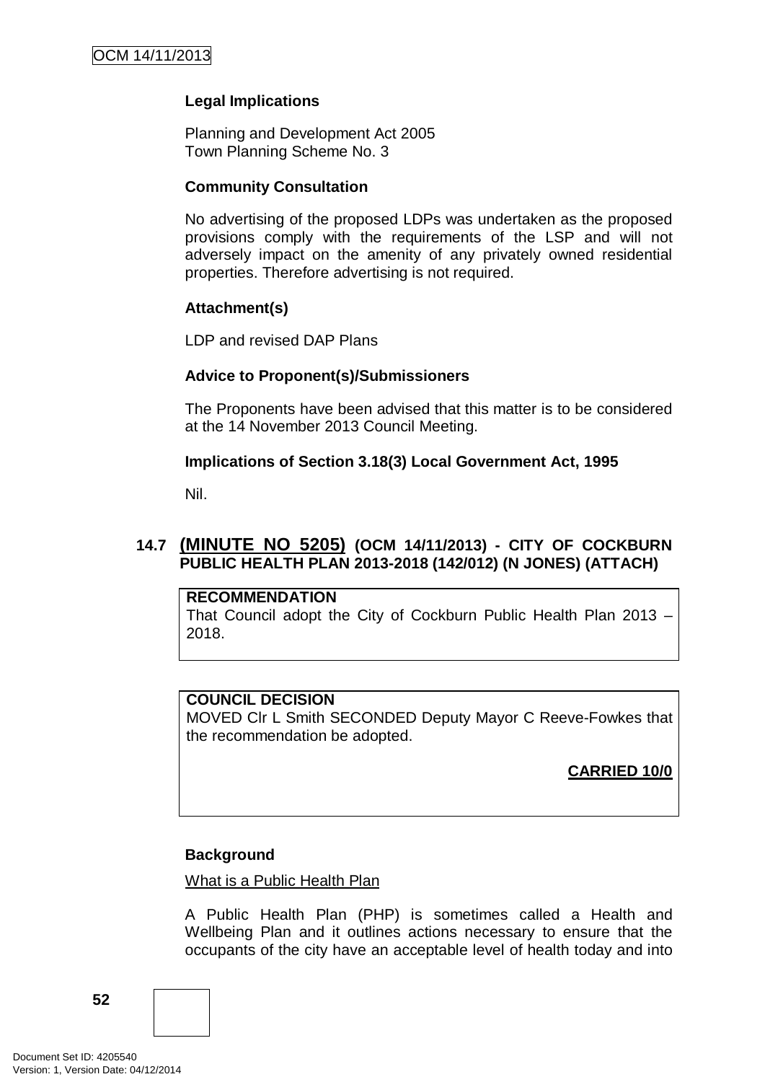## **Legal Implications**

Planning and Development Act 2005 Town Planning Scheme No. 3

#### **Community Consultation**

No advertising of the proposed LDPs was undertaken as the proposed provisions comply with the requirements of the LSP and will not adversely impact on the amenity of any privately owned residential properties. Therefore advertising is not required.

#### **Attachment(s)**

LDP and revised DAP Plans

#### **Advice to Proponent(s)/Submissioners**

The Proponents have been advised that this matter is to be considered at the 14 November 2013 Council Meeting.

#### **Implications of Section 3.18(3) Local Government Act, 1995**

Nil.

# **14.7 (MINUTE NO 5205) (OCM 14/11/2013) - CITY OF COCKBURN PUBLIC HEALTH PLAN 2013-2018 (142/012) (N JONES) (ATTACH)**

#### **RECOMMENDATION**

That Council adopt the City of Cockburn Public Health Plan 2013 – 2018.

# **COUNCIL DECISION**

MOVED Clr L Smith SECONDED Deputy Mayor C Reeve-Fowkes that the recommendation be adopted.

**CARRIED 10/0**

## **Background**

What is a Public Health Plan

A Public Health Plan (PHP) is sometimes called a Health and Wellbeing Plan and it outlines actions necessary to ensure that the occupants of the city have an acceptable level of health today and into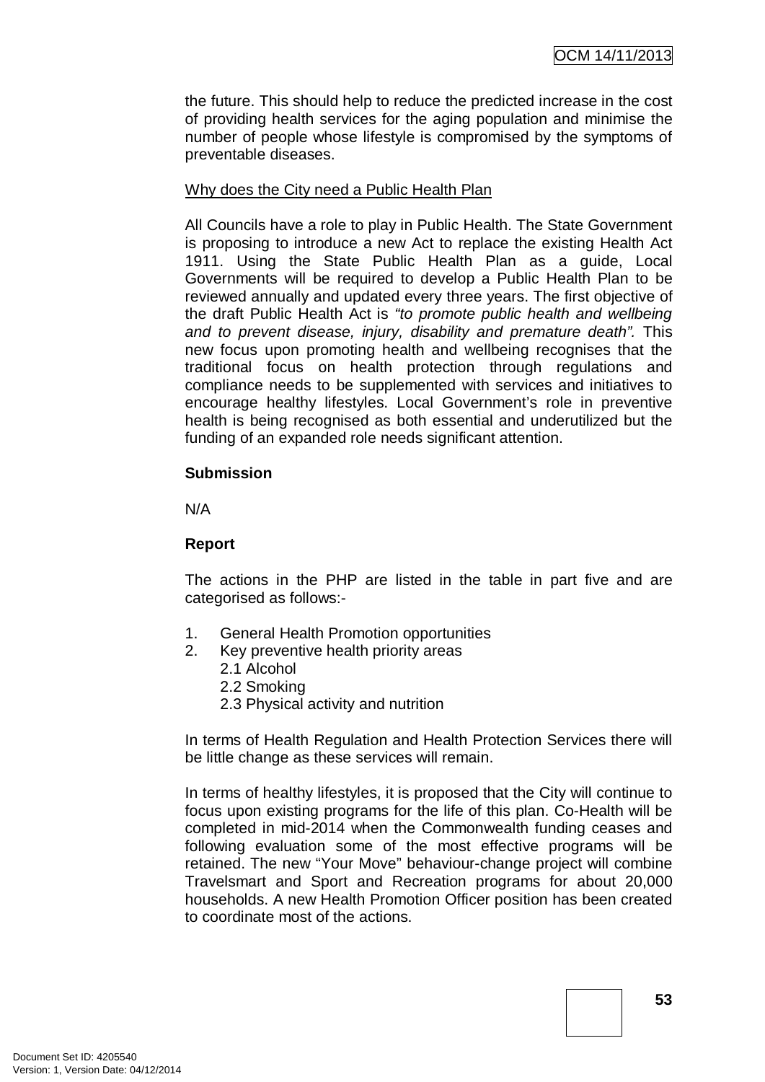the future. This should help to reduce the predicted increase in the cost of providing health services for the aging population and minimise the number of people whose lifestyle is compromised by the symptoms of preventable diseases.

## Why does the City need a Public Health Plan

All Councils have a role to play in Public Health. The State Government is proposing to introduce a new Act to replace the existing Health Act 1911. Using the State Public Health Plan as a guide, Local Governments will be required to develop a Public Health Plan to be reviewed annually and updated every three years. The first objective of the draft Public Health Act is *"to promote public health and wellbeing and to prevent disease, injury, disability and premature death".* This new focus upon promoting health and wellbeing recognises that the traditional focus on health protection through regulations and compliance needs to be supplemented with services and initiatives to encourage healthy lifestyles. Local Government's role in preventive health is being recognised as both essential and underutilized but the funding of an expanded role needs significant attention.

## **Submission**

N/A

## **Report**

The actions in the PHP are listed in the table in part five and are categorised as follows:-

- 1. General Health Promotion opportunities
- 2. Key preventive health priority areas
	- 2.1 Alcohol
		- 2.2 Smoking
		- 2.3 Physical activity and nutrition

In terms of Health Regulation and Health Protection Services there will be little change as these services will remain.

In terms of healthy lifestyles, it is proposed that the City will continue to focus upon existing programs for the life of this plan. Co-Health will be completed in mid-2014 when the Commonwealth funding ceases and following evaluation some of the most effective programs will be retained. The new "Your Move" behaviour-change project will combine Travelsmart and Sport and Recreation programs for about 20,000 households. A new Health Promotion Officer position has been created to coordinate most of the actions.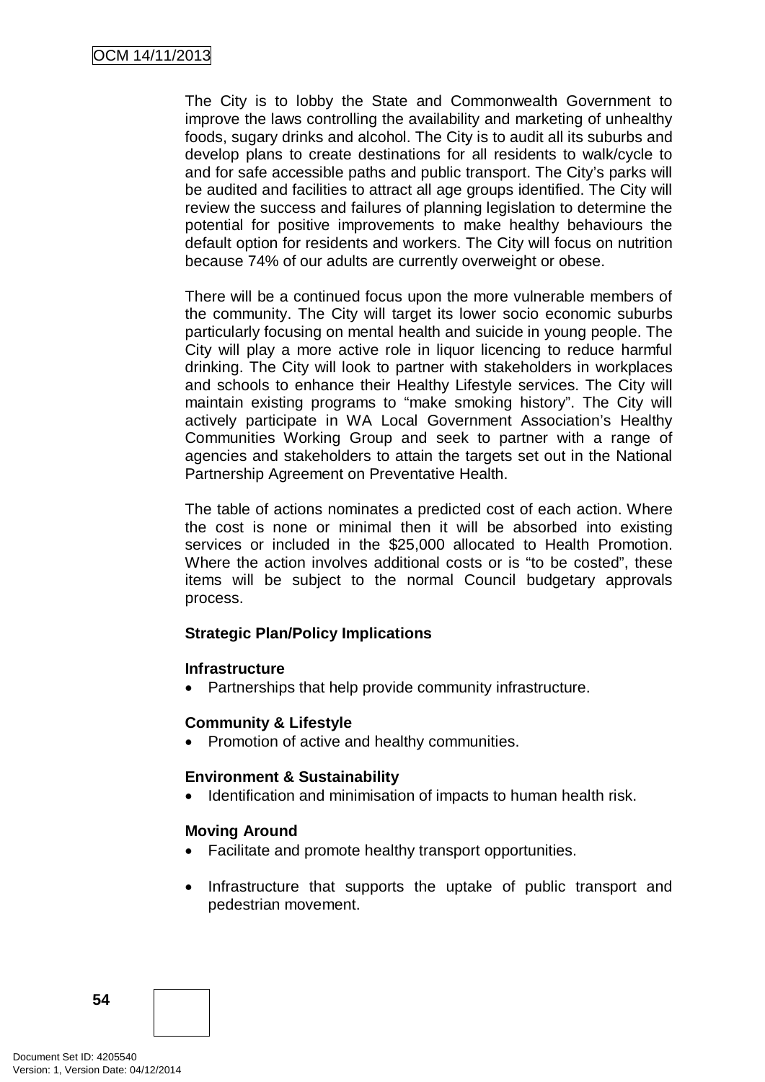The City is to lobby the State and Commonwealth Government to improve the laws controlling the availability and marketing of unhealthy foods, sugary drinks and alcohol. The City is to audit all its suburbs and develop plans to create destinations for all residents to walk/cycle to and for safe accessible paths and public transport. The City's parks will be audited and facilities to attract all age groups identified. The City will review the success and failures of planning legislation to determine the potential for positive improvements to make healthy behaviours the default option for residents and workers. The City will focus on nutrition because 74% of our adults are currently overweight or obese.

There will be a continued focus upon the more vulnerable members of the community. The City will target its lower socio economic suburbs particularly focusing on mental health and suicide in young people. The City will play a more active role in liquor licencing to reduce harmful drinking. The City will look to partner with stakeholders in workplaces and schools to enhance their Healthy Lifestyle services. The City will maintain existing programs to "make smoking history". The City will actively participate in WA Local Government Association's Healthy Communities Working Group and seek to partner with a range of agencies and stakeholders to attain the targets set out in the National Partnership Agreement on Preventative Health.

The table of actions nominates a predicted cost of each action. Where the cost is none or minimal then it will be absorbed into existing services or included in the \$25,000 allocated to Health Promotion. Where the action involves additional costs or is "to be costed", these items will be subject to the normal Council budgetary approvals process.

## **Strategic Plan/Policy Implications**

## **Infrastructure**

• Partnerships that help provide community infrastructure.

## **Community & Lifestyle**

• Promotion of active and healthy communities.

## **Environment & Sustainability**

• Identification and minimisation of impacts to human health risk.

## **Moving Around**

- Facilitate and promote healthy transport opportunities.
- Infrastructure that supports the uptake of public transport and pedestrian movement.

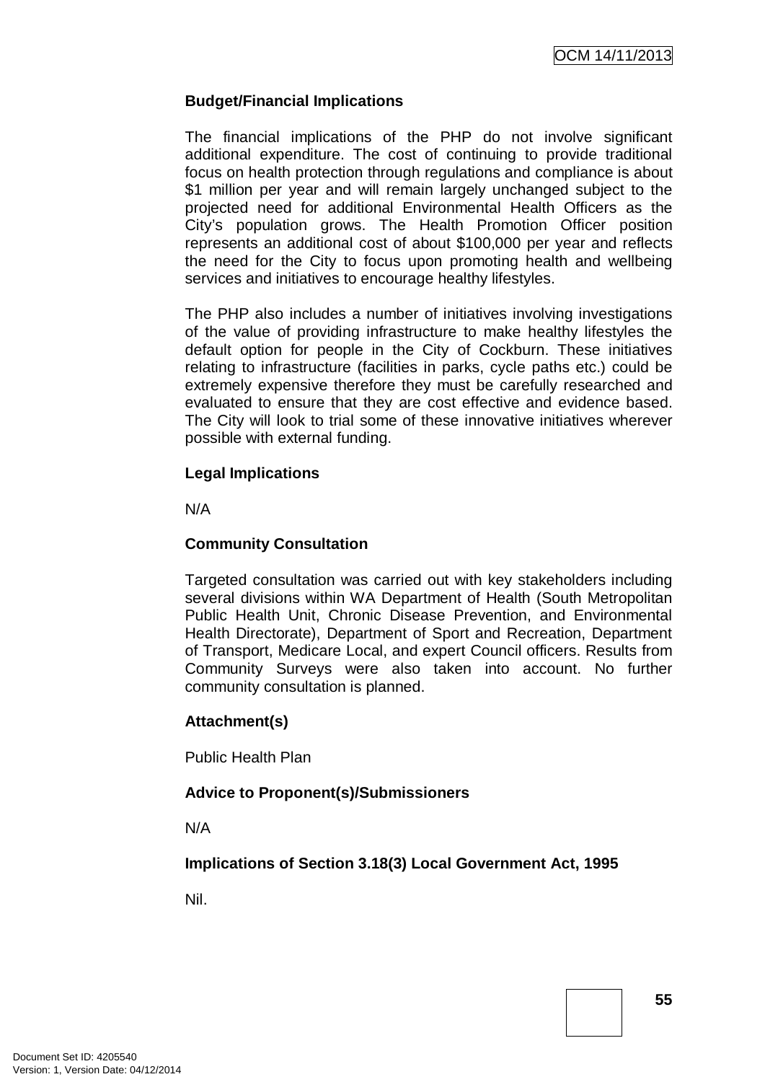## **Budget/Financial Implications**

The financial implications of the PHP do not involve significant additional expenditure. The cost of continuing to provide traditional focus on health protection through regulations and compliance is about \$1 million per year and will remain largely unchanged subject to the projected need for additional Environmental Health Officers as the City's population grows. The Health Promotion Officer position represents an additional cost of about \$100,000 per year and reflects the need for the City to focus upon promoting health and wellbeing services and initiatives to encourage healthy lifestyles.

The PHP also includes a number of initiatives involving investigations of the value of providing infrastructure to make healthy lifestyles the default option for people in the City of Cockburn. These initiatives relating to infrastructure (facilities in parks, cycle paths etc.) could be extremely expensive therefore they must be carefully researched and evaluated to ensure that they are cost effective and evidence based. The City will look to trial some of these innovative initiatives wherever possible with external funding.

## **Legal Implications**

N/A

## **Community Consultation**

Targeted consultation was carried out with key stakeholders including several divisions within WA Department of Health (South Metropolitan Public Health Unit, Chronic Disease Prevention, and Environmental Health Directorate), Department of Sport and Recreation, Department of Transport, Medicare Local, and expert Council officers. Results from Community Surveys were also taken into account. No further community consultation is planned.

## **Attachment(s)**

Public Health Plan

## **Advice to Proponent(s)/Submissioners**

N/A

**Implications of Section 3.18(3) Local Government Act, 1995**

Nil.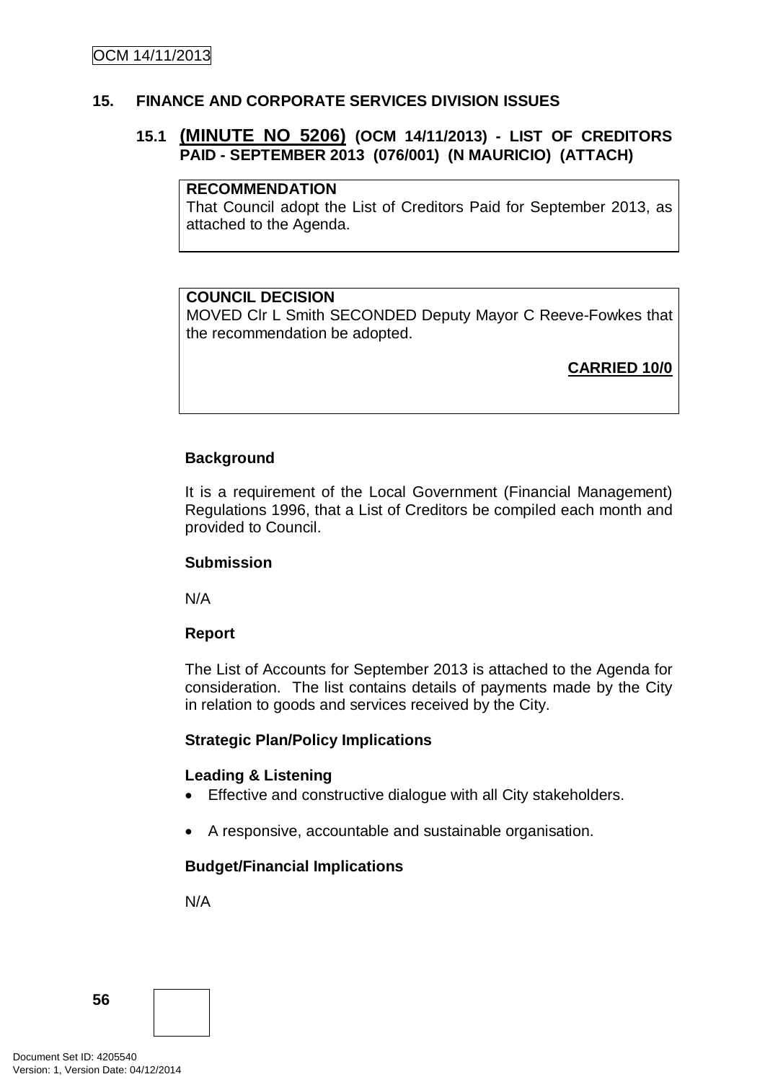### **15. FINANCE AND CORPORATE SERVICES DIVISION ISSUES**

## **15.1 (MINUTE NO 5206) (OCM 14/11/2013) - LIST OF CREDITORS PAID - SEPTEMBER 2013 (076/001) (N MAURICIO) (ATTACH)**

#### **RECOMMENDATION**

That Council adopt the List of Creditors Paid for September 2013, as attached to the Agenda.

#### **COUNCIL DECISION**

MOVED Clr L Smith SECONDED Deputy Mayor C Reeve-Fowkes that the recommendation be adopted.

**CARRIED 10/0**

## **Background**

It is a requirement of the Local Government (Financial Management) Regulations 1996, that a List of Creditors be compiled each month and provided to Council.

## **Submission**

N/A

## **Report**

The List of Accounts for September 2013 is attached to the Agenda for consideration. The list contains details of payments made by the City in relation to goods and services received by the City.

## **Strategic Plan/Policy Implications**

#### **Leading & Listening**

- Effective and constructive dialogue with all City stakeholders.
- A responsive, accountable and sustainable organisation.

## **Budget/Financial Implications**

N/A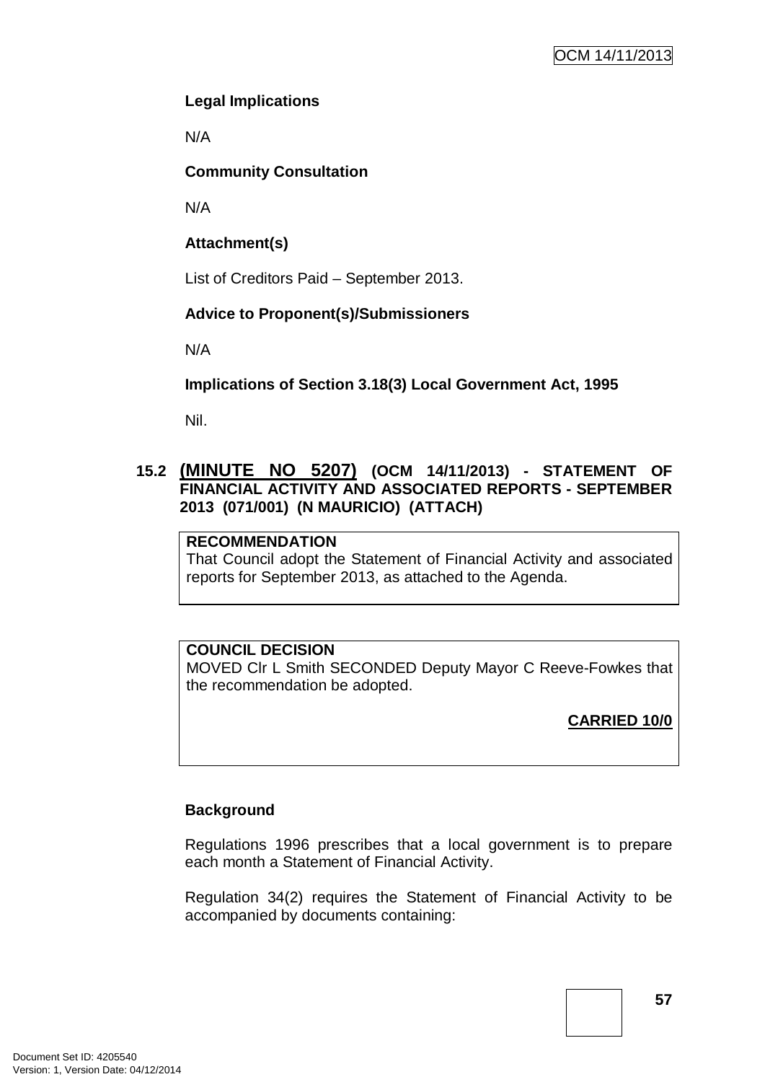# **Legal Implications**

N/A

# **Community Consultation**

N/A

# **Attachment(s)**

List of Creditors Paid – September 2013.

# **Advice to Proponent(s)/Submissioners**

N/A

# **Implications of Section 3.18(3) Local Government Act, 1995**

Nil.

# **15.2 (MINUTE NO 5207) (OCM 14/11/2013) - STATEMENT OF FINANCIAL ACTIVITY AND ASSOCIATED REPORTS - SEPTEMBER 2013 (071/001) (N MAURICIO) (ATTACH)**

## **RECOMMENDATION**

That Council adopt the Statement of Financial Activity and associated reports for September 2013, as attached to the Agenda.

# **COUNCIL DECISION**

MOVED Clr L Smith SECONDED Deputy Mayor C Reeve-Fowkes that the recommendation be adopted.

# **CARRIED 10/0**

# **Background**

Regulations 1996 prescribes that a local government is to prepare each month a Statement of Financial Activity.

Regulation 34(2) requires the Statement of Financial Activity to be accompanied by documents containing: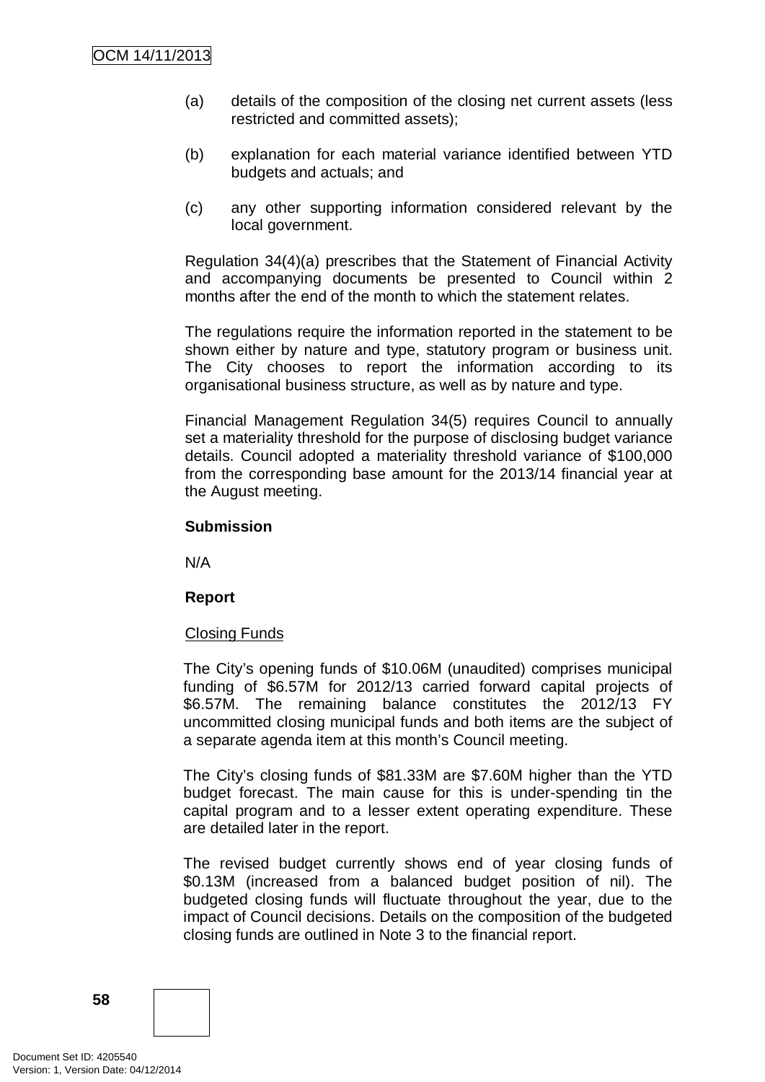- (a) details of the composition of the closing net current assets (less restricted and committed assets);
- (b) explanation for each material variance identified between YTD budgets and actuals; and
- (c) any other supporting information considered relevant by the local government.

Regulation 34(4)(a) prescribes that the Statement of Financial Activity and accompanying documents be presented to Council within 2 months after the end of the month to which the statement relates.

The regulations require the information reported in the statement to be shown either by nature and type, statutory program or business unit. The City chooses to report the information according to its organisational business structure, as well as by nature and type.

Financial Management Regulation 34(5) requires Council to annually set a materiality threshold for the purpose of disclosing budget variance details. Council adopted a materiality threshold variance of \$100,000 from the corresponding base amount for the 2013/14 financial year at the August meeting.

## **Submission**

N/A

## **Report**

## Closing Funds

The City's opening funds of \$10.06M (unaudited) comprises municipal funding of \$6.57M for 2012/13 carried forward capital projects of \$6.57M. The remaining balance constitutes the 2012/13 FY uncommitted closing municipal funds and both items are the subject of a separate agenda item at this month's Council meeting.

The City's closing funds of \$81.33M are \$7.60M higher than the YTD budget forecast. The main cause for this is under-spending tin the capital program and to a lesser extent operating expenditure. These are detailed later in the report.

The revised budget currently shows end of year closing funds of \$0.13M (increased from a balanced budget position of nil). The budgeted closing funds will fluctuate throughout the year, due to the impact of Council decisions. Details on the composition of the budgeted closing funds are outlined in Note 3 to the financial report.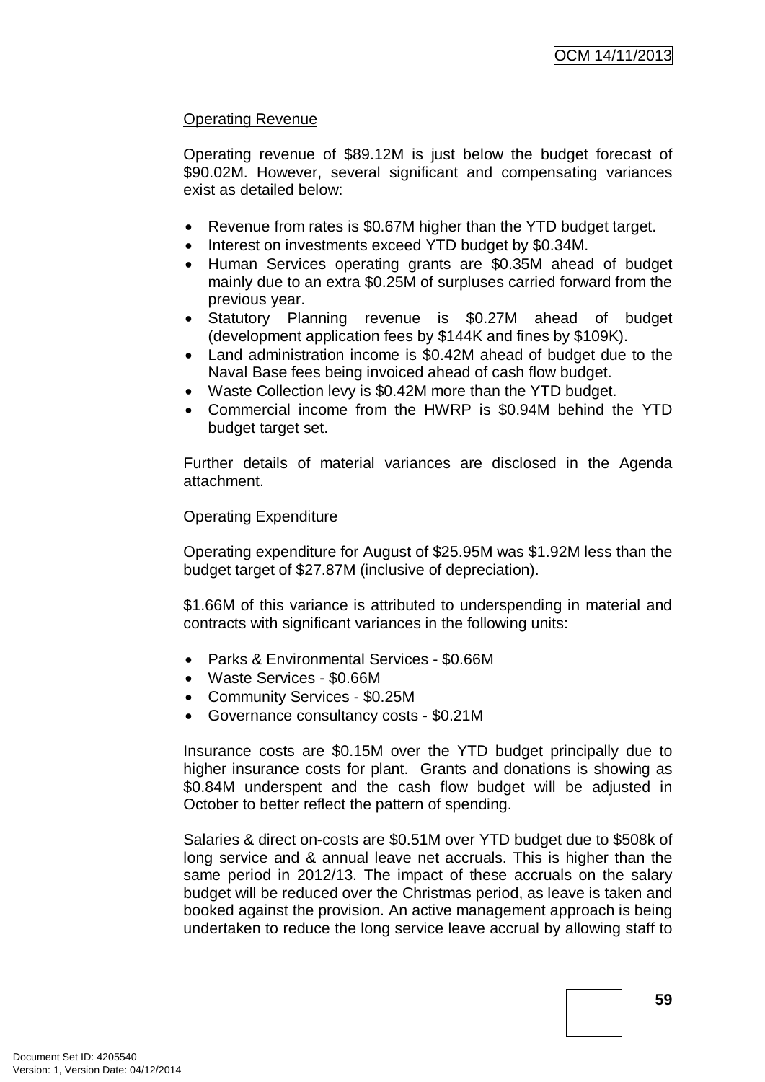### Operating Revenue

Operating revenue of \$89.12M is just below the budget forecast of \$90.02M. However, several significant and compensating variances exist as detailed below:

- Revenue from rates is \$0.67M higher than the YTD budget target.
- Interest on investments exceed YTD budget by \$0.34M.
- Human Services operating grants are \$0.35M ahead of budget mainly due to an extra \$0.25M of surpluses carried forward from the previous year.
- Statutory Planning revenue is \$0.27M ahead of budget (development application fees by \$144K and fines by \$109K).
- Land administration income is \$0.42M ahead of budget due to the Naval Base fees being invoiced ahead of cash flow budget.
- Waste Collection levy is \$0.42M more than the YTD budget.
- Commercial income from the HWRP is \$0.94M behind the YTD budget target set.

Further details of material variances are disclosed in the Agenda attachment.

#### Operating Expenditure

Operating expenditure for August of \$25.95M was \$1.92M less than the budget target of \$27.87M (inclusive of depreciation).

\$1.66M of this variance is attributed to underspending in material and contracts with significant variances in the following units:

- Parks & Environmental Services \$0.66M
- Waste Services \$0.66M
- Community Services \$0.25M
- Governance consultancy costs \$0.21M

Insurance costs are \$0.15M over the YTD budget principally due to higher insurance costs for plant. Grants and donations is showing as \$0.84M underspent and the cash flow budget will be adjusted in October to better reflect the pattern of spending.

Salaries & direct on-costs are \$0.51M over YTD budget due to \$508k of long service and & annual leave net accruals. This is higher than the same period in 2012/13. The impact of these accruals on the salary budget will be reduced over the Christmas period, as leave is taken and booked against the provision. An active management approach is being undertaken to reduce the long service leave accrual by allowing staff to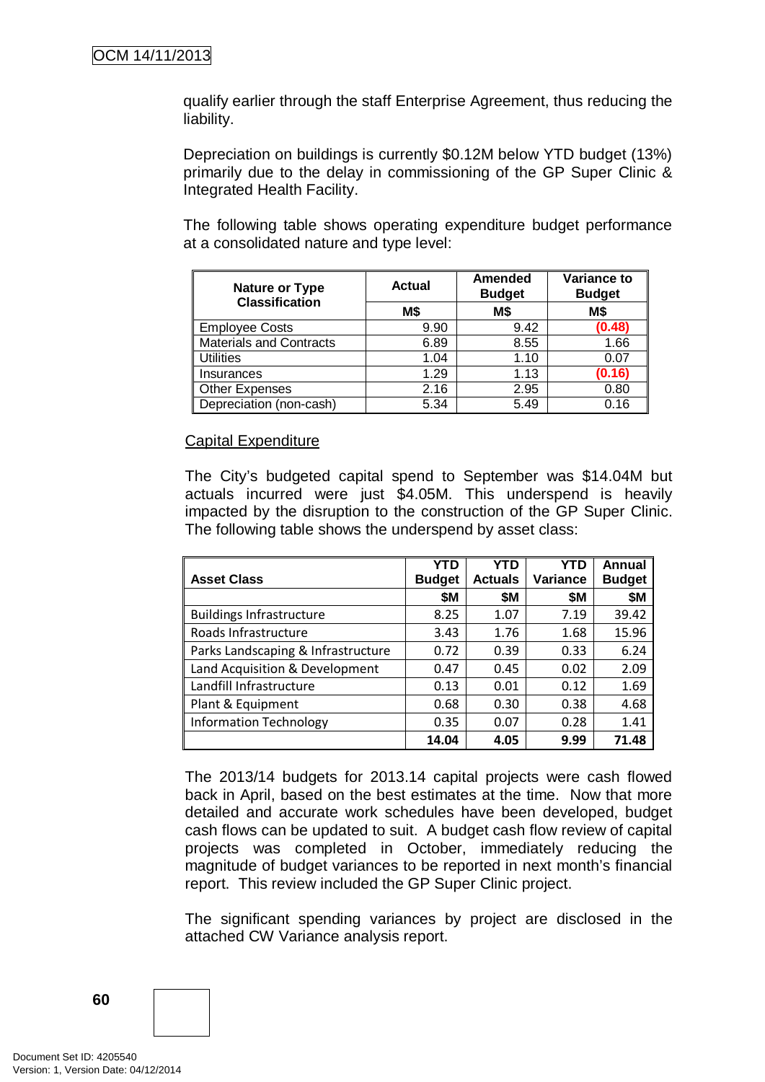qualify earlier through the staff Enterprise Agreement, thus reducing the liability.

Depreciation on buildings is currently \$0.12M below YTD budget (13%) primarily due to the delay in commissioning of the GP Super Clinic & Integrated Health Facility.

The following table shows operating expenditure budget performance at a consolidated nature and type level:

| <b>Nature or Type</b><br><b>Classification</b> | <b>Actual</b> | <b>Amended</b><br><b>Budget</b> | <b>Variance to</b><br><b>Budget</b> |  |
|------------------------------------------------|---------------|---------------------------------|-------------------------------------|--|
|                                                | <b>M\$</b>    | M\$                             | M\$                                 |  |
| <b>Employee Costs</b>                          | 9.90          | 9.42                            | (0.48)                              |  |
| <b>Materials and Contracts</b>                 | 6.89          | 8.55                            | 1.66                                |  |
| <b>Utilities</b>                               | 1.04          | 1.10                            | 0.07                                |  |
| Insurances                                     | 1.29          | 1.13                            | (0.16)                              |  |
| <b>Other Expenses</b>                          | 2.16          | 2.95                            | 0.80                                |  |
| Depreciation (non-cash)                        | 5.34          | 5.49                            | 0.16                                |  |

#### Capital Expenditure

The City's budgeted capital spend to September was \$14.04M but actuals incurred were just \$4.05M. This underspend is heavily impacted by the disruption to the construction of the GP Super Clinic. The following table shows the underspend by asset class:

|                                    | YTD           | YTD            | <b>YTD</b> | Annual        |
|------------------------------------|---------------|----------------|------------|---------------|
| <b>Asset Class</b>                 | <b>Budget</b> | <b>Actuals</b> | Variance   | <b>Budget</b> |
|                                    | \$M           | \$M            | \$M        | \$M           |
| <b>Buildings Infrastructure</b>    | 8.25          | 1.07           | 7.19       | 39.42         |
| Roads Infrastructure               | 3.43          | 1.76           | 1.68       | 15.96         |
| Parks Landscaping & Infrastructure | 0.72          | 0.39           | 0.33       | 6.24          |
| Land Acquisition & Development     | 0.47          | 0.45           | 0.02       | 2.09          |
| Landfill Infrastructure            | 0.13          | 0.01           | 0.12       | 1.69          |
| Plant & Equipment                  | 0.68          | 0.30           | 0.38       | 4.68          |
| <b>Information Technology</b>      | 0.35          | 0.07           | 0.28       | 1.41          |
|                                    | 14.04         | 4.05           | 9.99       | 71.48         |

The 2013/14 budgets for 2013.14 capital projects were cash flowed back in April, based on the best estimates at the time. Now that more detailed and accurate work schedules have been developed, budget cash flows can be updated to suit. A budget cash flow review of capital projects was completed in October, immediately reducing the magnitude of budget variances to be reported in next month's financial report. This review included the GP Super Clinic project.

The significant spending variances by project are disclosed in the attached CW Variance analysis report.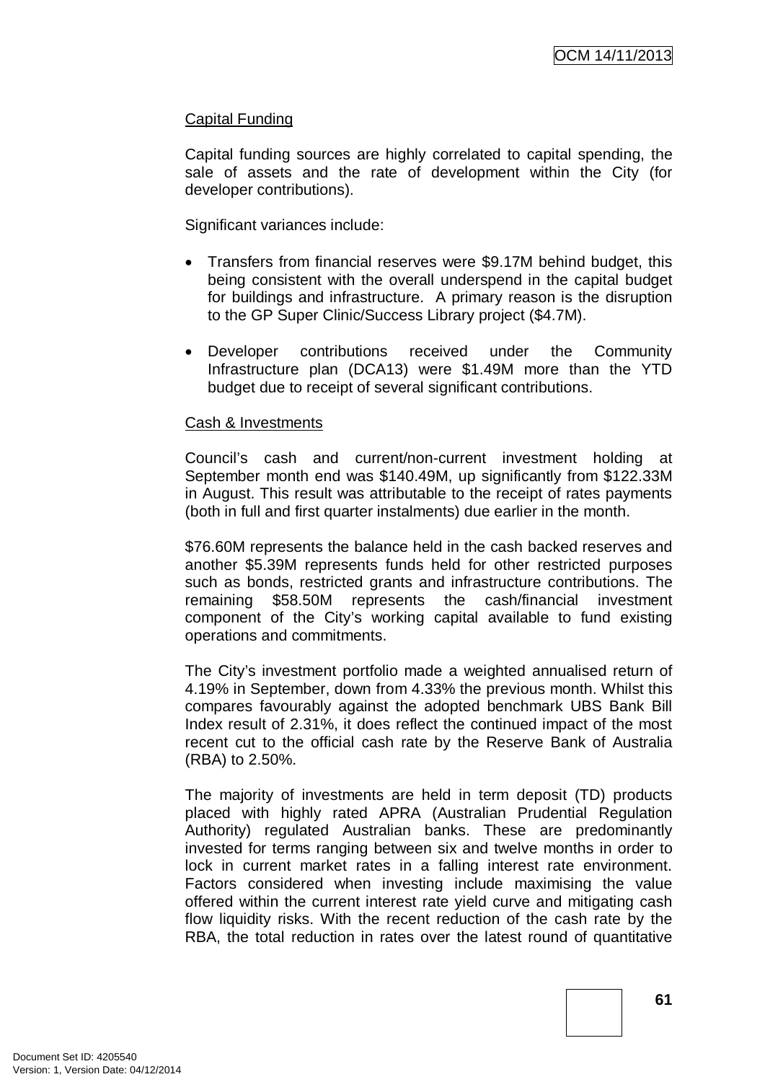## Capital Funding

Capital funding sources are highly correlated to capital spending, the sale of assets and the rate of development within the City (for developer contributions).

#### Significant variances include:

- Transfers from financial reserves were \$9.17M behind budget, this being consistent with the overall underspend in the capital budget for buildings and infrastructure. A primary reason is the disruption to the GP Super Clinic/Success Library project (\$4.7M).
- Developer contributions received under the Community Infrastructure plan (DCA13) were \$1.49M more than the YTD budget due to receipt of several significant contributions.

## Cash & Investments

Council's cash and current/non-current investment holding at September month end was \$140.49M, up significantly from \$122.33M in August. This result was attributable to the receipt of rates payments (both in full and first quarter instalments) due earlier in the month.

\$76.60M represents the balance held in the cash backed reserves and another \$5.39M represents funds held for other restricted purposes such as bonds, restricted grants and infrastructure contributions. The remaining \$58.50M represents the cash/financial investment component of the City's working capital available to fund existing operations and commitments.

The City's investment portfolio made a weighted annualised return of 4.19% in September, down from 4.33% the previous month. Whilst this compares favourably against the adopted benchmark UBS Bank Bill Index result of 2.31%, it does reflect the continued impact of the most recent cut to the official cash rate by the Reserve Bank of Australia (RBA) to 2.50%.

The majority of investments are held in term deposit (TD) products placed with highly rated APRA (Australian Prudential Regulation Authority) regulated Australian banks. These are predominantly invested for terms ranging between six and twelve months in order to lock in current market rates in a falling interest rate environment. Factors considered when investing include maximising the value offered within the current interest rate yield curve and mitigating cash flow liquidity risks. With the recent reduction of the cash rate by the RBA, the total reduction in rates over the latest round of quantitative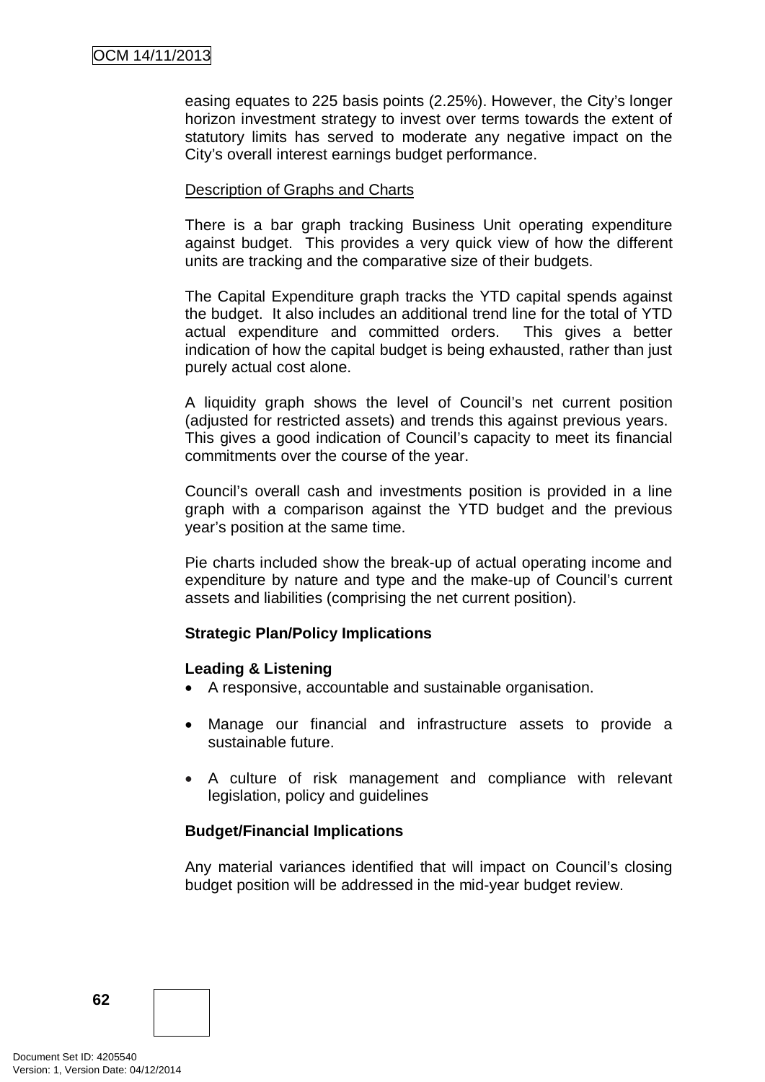easing equates to 225 basis points (2.25%). However, the City's longer horizon investment strategy to invest over terms towards the extent of statutory limits has served to moderate any negative impact on the City's overall interest earnings budget performance.

#### Description of Graphs and Charts

There is a bar graph tracking Business Unit operating expenditure against budget. This provides a very quick view of how the different units are tracking and the comparative size of their budgets.

The Capital Expenditure graph tracks the YTD capital spends against the budget. It also includes an additional trend line for the total of YTD actual expenditure and committed orders. This gives a better indication of how the capital budget is being exhausted, rather than just purely actual cost alone.

A liquidity graph shows the level of Council's net current position (adjusted for restricted assets) and trends this against previous years. This gives a good indication of Council's capacity to meet its financial commitments over the course of the year.

Council's overall cash and investments position is provided in a line graph with a comparison against the YTD budget and the previous year's position at the same time.

Pie charts included show the break-up of actual operating income and expenditure by nature and type and the make-up of Council's current assets and liabilities (comprising the net current position).

#### **Strategic Plan/Policy Implications**

#### **Leading & Listening**

- A responsive, accountable and sustainable organisation.
- Manage our financial and infrastructure assets to provide a sustainable future.
- A culture of risk management and compliance with relevant legislation, policy and guidelines

## **Budget/Financial Implications**

Any material variances identified that will impact on Council's closing budget position will be addressed in the mid-year budget review.

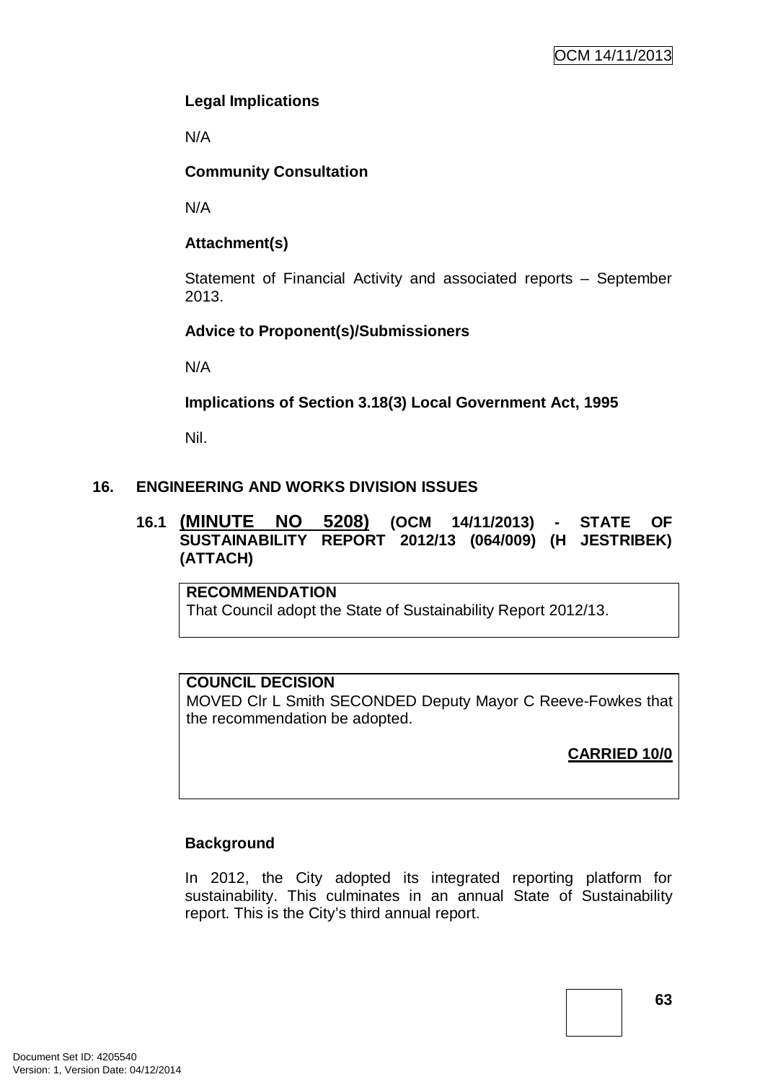# **Legal Implications**

N/A

# **Community Consultation**

N/A

# **Attachment(s)**

Statement of Financial Activity and associated reports – September 2013.

# **Advice to Proponent(s)/Submissioners**

N/A

**Implications of Section 3.18(3) Local Government Act, 1995**

Nil.

## **16. ENGINEERING AND WORKS DIVISION ISSUES**

**16.1 (MINUTE NO 5208) (OCM 14/11/2013) - STATE OF SUSTAINABILITY REPORT 2012/13 (064/009) (H JESTRIBEK) (ATTACH)**

**RECOMMENDATION** That Council adopt the State of Sustainability Report 2012/13.

## **COUNCIL DECISION**

MOVED Clr L Smith SECONDED Deputy Mayor C Reeve-Fowkes that the recommendation be adopted.

**CARRIED 10/0**

## **Background**

In 2012, the City adopted its integrated reporting platform for sustainability. This culminates in an annual State of Sustainability report. This is the City's third annual report.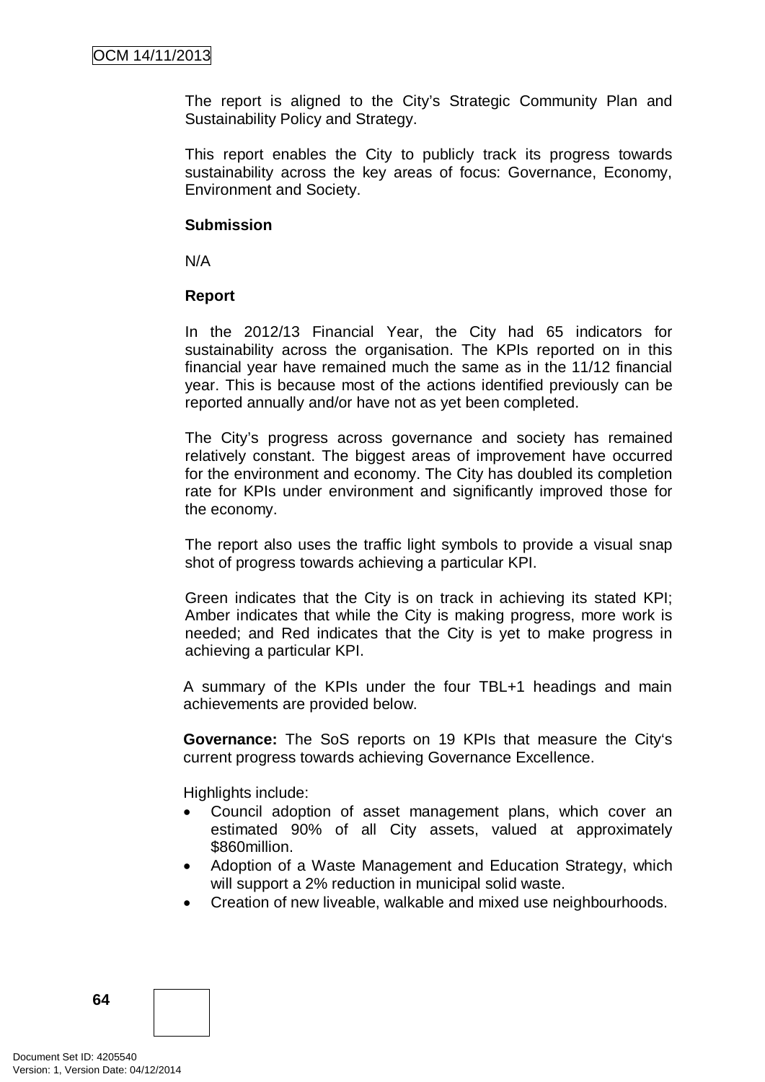The report is aligned to the City's Strategic Community Plan and Sustainability Policy and Strategy.

This report enables the City to publicly track its progress towards sustainability across the key areas of focus: Governance, Economy, Environment and Society.

#### **Submission**

N/A

## **Report**

In the 2012/13 Financial Year, the City had 65 indicators for sustainability across the organisation. The KPIs reported on in this financial year have remained much the same as in the 11/12 financial year. This is because most of the actions identified previously can be reported annually and/or have not as yet been completed.

The City's progress across governance and society has remained relatively constant. The biggest areas of improvement have occurred for the environment and economy. The City has doubled its completion rate for KPIs under environment and significantly improved those for the economy.

The report also uses the traffic light symbols to provide a visual snap shot of progress towards achieving a particular KPI.

Green indicates that the City is on track in achieving its stated KPI; Amber indicates that while the City is making progress, more work is needed; and Red indicates that the City is yet to make progress in achieving a particular KPI.

A summary of the KPIs under the four TBL+1 headings and main achievements are provided below.

**Governance:** The SoS reports on 19 KPIs that measure the City's current progress towards achieving Governance Excellence.

Highlights include:

- Council adoption of asset management plans, which cover an estimated 90% of all City assets, valued at approximately \$860million.
- Adoption of a Waste Management and Education Strategy, which will support a 2% reduction in municipal solid waste.
- Creation of new liveable, walkable and mixed use neighbourhoods.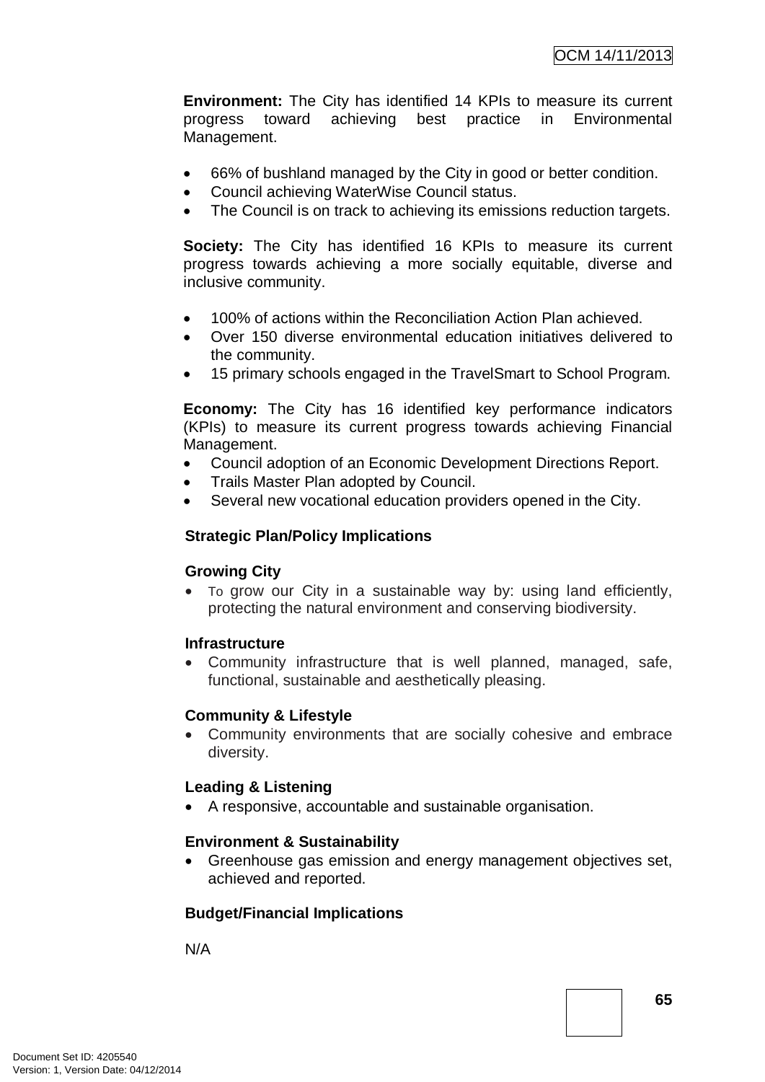**Environment:** The City has identified 14 KPIs to measure its current progress toward achieving best practice in Environmental Management.

- 66% of bushland managed by the City in good or better condition.
- Council achieving WaterWise Council status.
- The Council is on track to achieving its emissions reduction targets.

**Society:** The City has identified 16 KPIs to measure its current progress towards achieving a more socially equitable, diverse and inclusive community.

- 100% of actions within the Reconciliation Action Plan achieved.
- Over 150 diverse environmental education initiatives delivered to the community.
- 15 primary schools engaged in the TravelSmart to School Program.

**Economy:** The City has 16 identified key performance indicators (KPIs) to measure its current progress towards achieving Financial Management.

- Council adoption of an Economic Development Directions Report.
- Trails Master Plan adopted by Council.
- Several new vocational education providers opened in the City.

# **Strategic Plan/Policy Implications**

## **Growing City**

• To grow our City in a sustainable way by: using land efficiently, protecting the natural environment and conserving biodiversity.

## **Infrastructure**

• Community infrastructure that is well planned, managed, safe, functional, sustainable and aesthetically pleasing.

## **Community & Lifestyle**

• Community environments that are socially cohesive and embrace diversity.

## **Leading & Listening**

• A responsive, accountable and sustainable organisation.

## **Environment & Sustainability**

• Greenhouse gas emission and energy management objectives set, achieved and reported.

## **Budget/Financial Implications**

N/A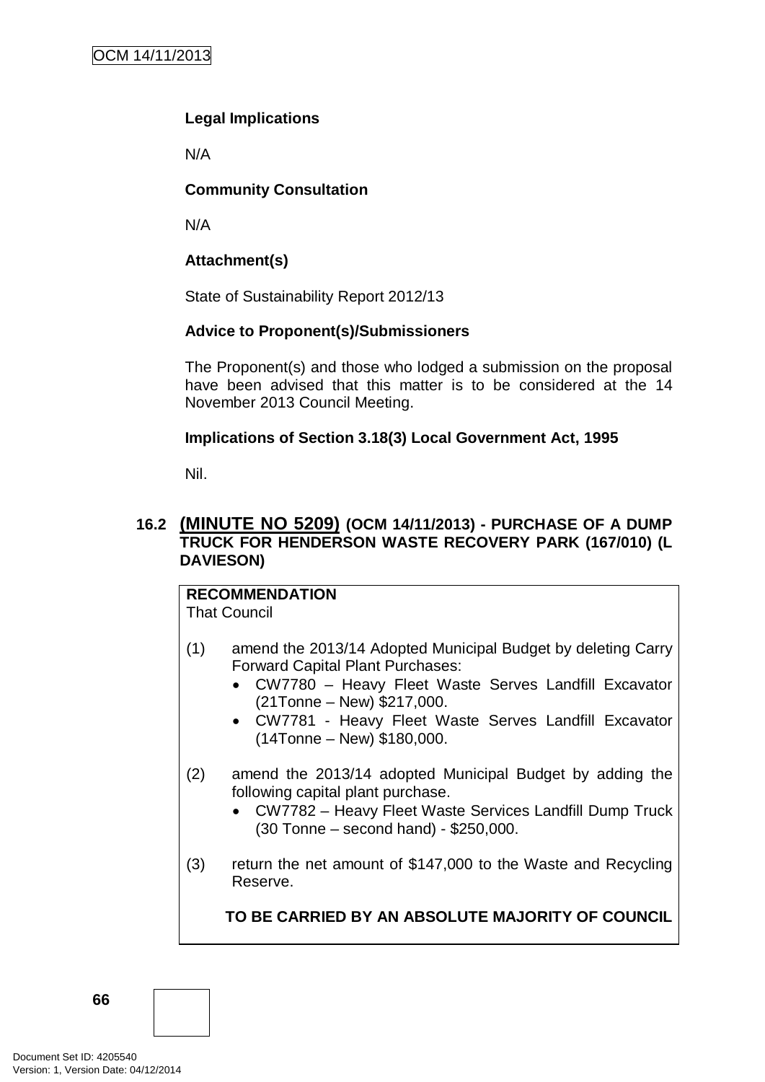# **Legal Implications**

N/A

# **Community Consultation**

N/A

# **Attachment(s)**

State of Sustainability Report 2012/13

## **Advice to Proponent(s)/Submissioners**

The Proponent(s) and those who lodged a submission on the proposal have been advised that this matter is to be considered at the 14 November 2013 Council Meeting.

## **Implications of Section 3.18(3) Local Government Act, 1995**

Nil.

# **16.2 (MINUTE NO 5209) (OCM 14/11/2013) - PURCHASE OF A DUMP TRUCK FOR HENDERSON WASTE RECOVERY PARK (167/010) (L DAVIESON)**

# **RECOMMENDATION**

That Council

- (1) amend the 2013/14 Adopted Municipal Budget by deleting Carry Forward Capital Plant Purchases:
	- CW7780 Heavy Fleet Waste Serves Landfill Excavator (21Tonne – New) \$217,000.
	- CW7781 Heavy Fleet Waste Serves Landfill Excavator (14Tonne – New) \$180,000.
- (2) amend the 2013/14 adopted Municipal Budget by adding the following capital plant purchase.
	- CW7782 Heavy Fleet Waste Services Landfill Dump Truck (30 Tonne – second hand) - \$250,000.
- (3) return the net amount of \$147,000 to the Waste and Recycling Reserve.

**TO BE CARRIED BY AN ABSOLUTE MAJORITY OF COUNCIL**

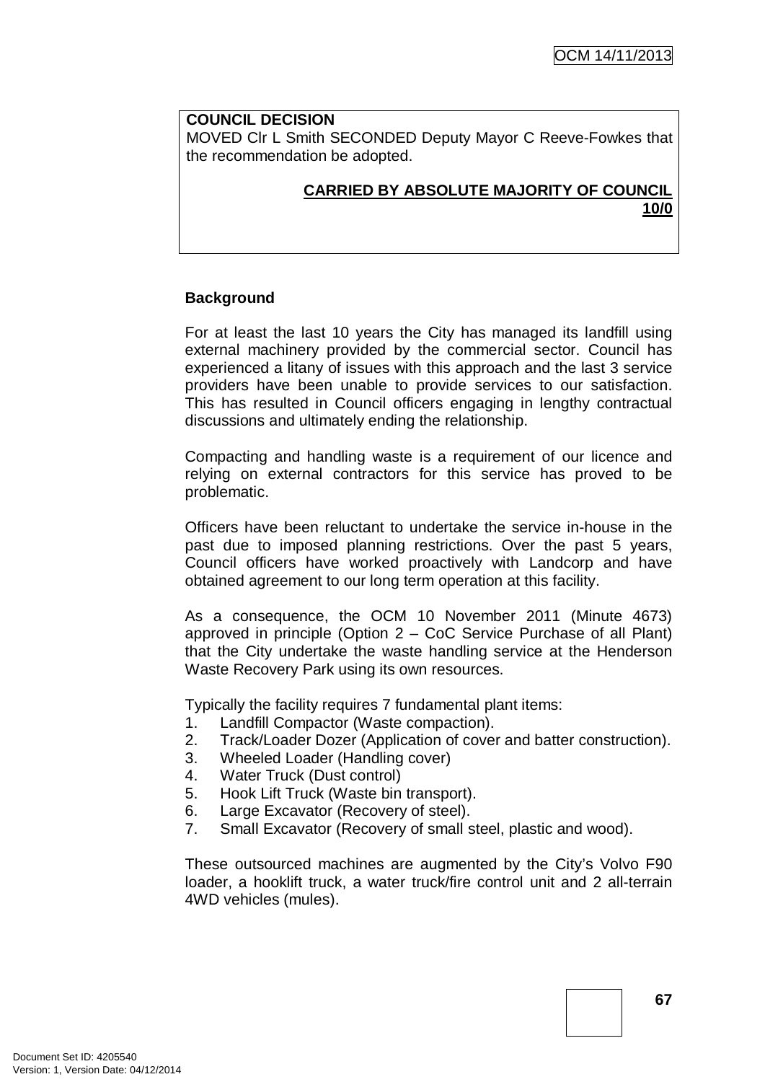### **COUNCIL DECISION**

MOVED Clr L Smith SECONDED Deputy Mayor C Reeve-Fowkes that the recommendation be adopted.

#### **CARRIED BY ABSOLUTE MAJORITY OF COUNCIL 10/0**

## **Background**

For at least the last 10 years the City has managed its landfill using external machinery provided by the commercial sector. Council has experienced a litany of issues with this approach and the last 3 service providers have been unable to provide services to our satisfaction. This has resulted in Council officers engaging in lengthy contractual discussions and ultimately ending the relationship.

Compacting and handling waste is a requirement of our licence and relying on external contractors for this service has proved to be problematic.

Officers have been reluctant to undertake the service in-house in the past due to imposed planning restrictions. Over the past 5 years, Council officers have worked proactively with Landcorp and have obtained agreement to our long term operation at this facility.

As a consequence, the OCM 10 November 2011 (Minute 4673) approved in principle (Option 2 – CoC Service Purchase of all Plant) that the City undertake the waste handling service at the Henderson Waste Recovery Park using its own resources.

Typically the facility requires 7 fundamental plant items:

- 1. Landfill Compactor (Waste compaction).
- 2. Track/Loader Dozer (Application of cover and batter construction).
- 3. Wheeled Loader (Handling cover)
- 4. Water Truck (Dust control)
- 5. Hook Lift Truck (Waste bin transport).
- 6. Large Excavator (Recovery of steel).
- 7. Small Excavator (Recovery of small steel, plastic and wood).

These outsourced machines are augmented by the City's Volvo F90 loader, a hooklift truck, a water truck/fire control unit and 2 all-terrain 4WD vehicles (mules).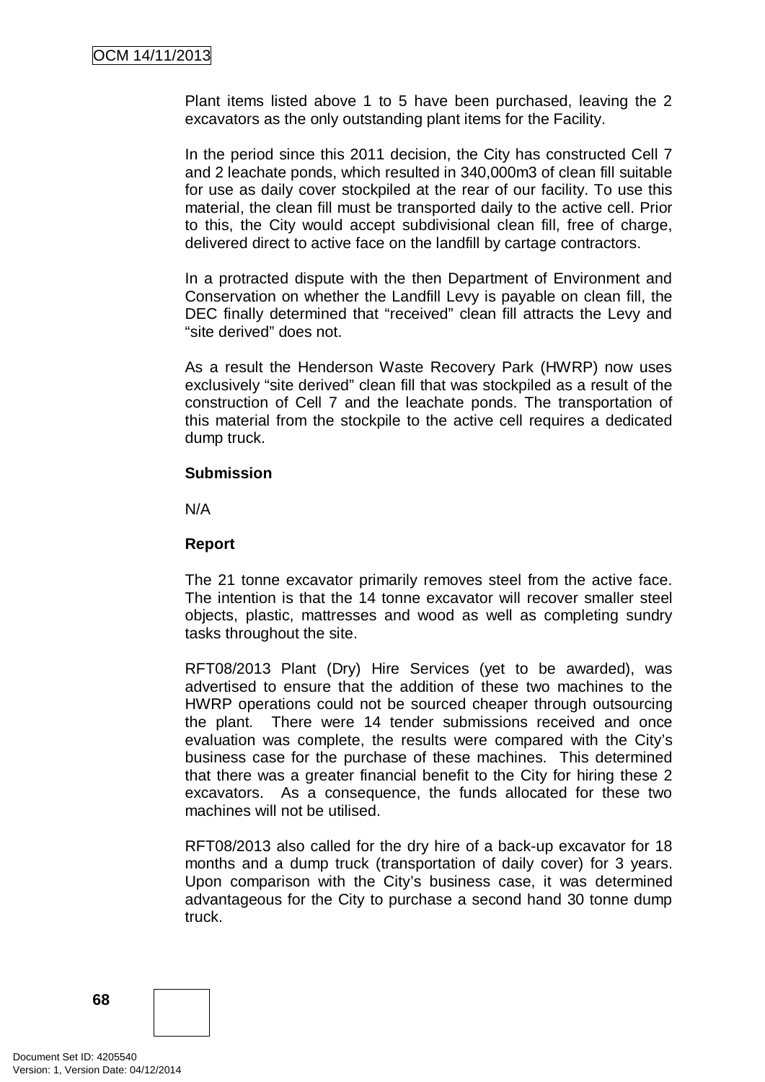Plant items listed above 1 to 5 have been purchased, leaving the 2 excavators as the only outstanding plant items for the Facility.

In the period since this 2011 decision, the City has constructed Cell 7 and 2 leachate ponds, which resulted in 340,000m3 of clean fill suitable for use as daily cover stockpiled at the rear of our facility. To use this material, the clean fill must be transported daily to the active cell. Prior to this, the City would accept subdivisional clean fill, free of charge, delivered direct to active face on the landfill by cartage contractors.

In a protracted dispute with the then Department of Environment and Conservation on whether the Landfill Levy is payable on clean fill, the DEC finally determined that "received" clean fill attracts the Levy and "site derived" does not.

As a result the Henderson Waste Recovery Park (HWRP) now uses exclusively "site derived" clean fill that was stockpiled as a result of the construction of Cell 7 and the leachate ponds. The transportation of this material from the stockpile to the active cell requires a dedicated dump truck.

#### **Submission**

N/A

## **Report**

The 21 tonne excavator primarily removes steel from the active face. The intention is that the 14 tonne excavator will recover smaller steel objects, plastic, mattresses and wood as well as completing sundry tasks throughout the site.

RFT08/2013 Plant (Dry) Hire Services (yet to be awarded), was advertised to ensure that the addition of these two machines to the HWRP operations could not be sourced cheaper through outsourcing the plant. There were 14 tender submissions received and once evaluation was complete, the results were compared with the City's business case for the purchase of these machines. This determined that there was a greater financial benefit to the City for hiring these 2 excavators. As a consequence, the funds allocated for these two machines will not be utilised.

RFT08/2013 also called for the dry hire of a back-up excavator for 18 months and a dump truck (transportation of daily cover) for 3 years. Upon comparison with the City's business case, it was determined advantageous for the City to purchase a second hand 30 tonne dump truck.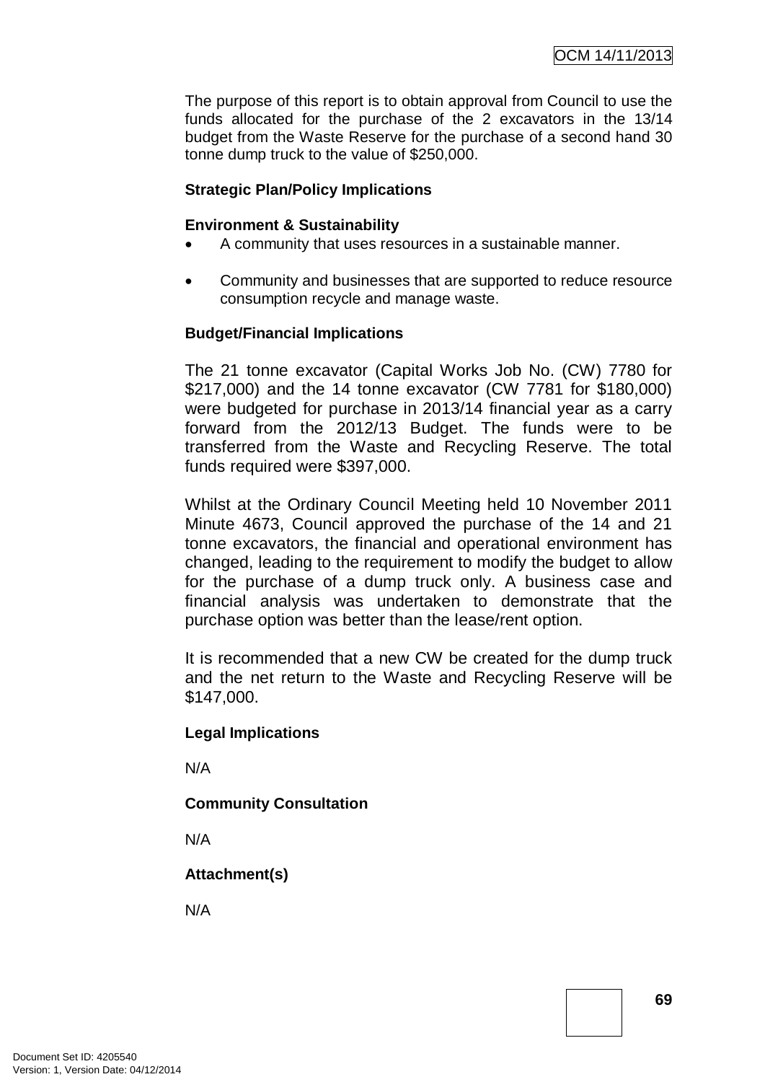The purpose of this report is to obtain approval from Council to use the funds allocated for the purchase of the 2 excavators in the 13/14 budget from the Waste Reserve for the purchase of a second hand 30 tonne dump truck to the value of \$250,000.

# **Strategic Plan/Policy Implications**

# **Environment & Sustainability**

- A community that uses resources in a sustainable manner.
- Community and businesses that are supported to reduce resource consumption recycle and manage waste.

# **Budget/Financial Implications**

The 21 tonne excavator (Capital Works Job No. (CW) 7780 for \$217,000) and the 14 tonne excavator (CW 7781 for \$180,000) were budgeted for purchase in 2013/14 financial year as a carry forward from the 2012/13 Budget. The funds were to be transferred from the Waste and Recycling Reserve. The total funds required were \$397,000.

Whilst at the Ordinary Council Meeting held 10 November 2011 Minute 4673, Council approved the purchase of the 14 and 21 tonne excavators, the financial and operational environment has changed, leading to the requirement to modify the budget to allow for the purchase of a dump truck only. A business case and financial analysis was undertaken to demonstrate that the purchase option was better than the lease/rent option.

It is recommended that a new CW be created for the dump truck and the net return to the Waste and Recycling Reserve will be \$147,000.

# **Legal Implications**

N/A

# **Community Consultation**

N/A

**Attachment(s)**

N/A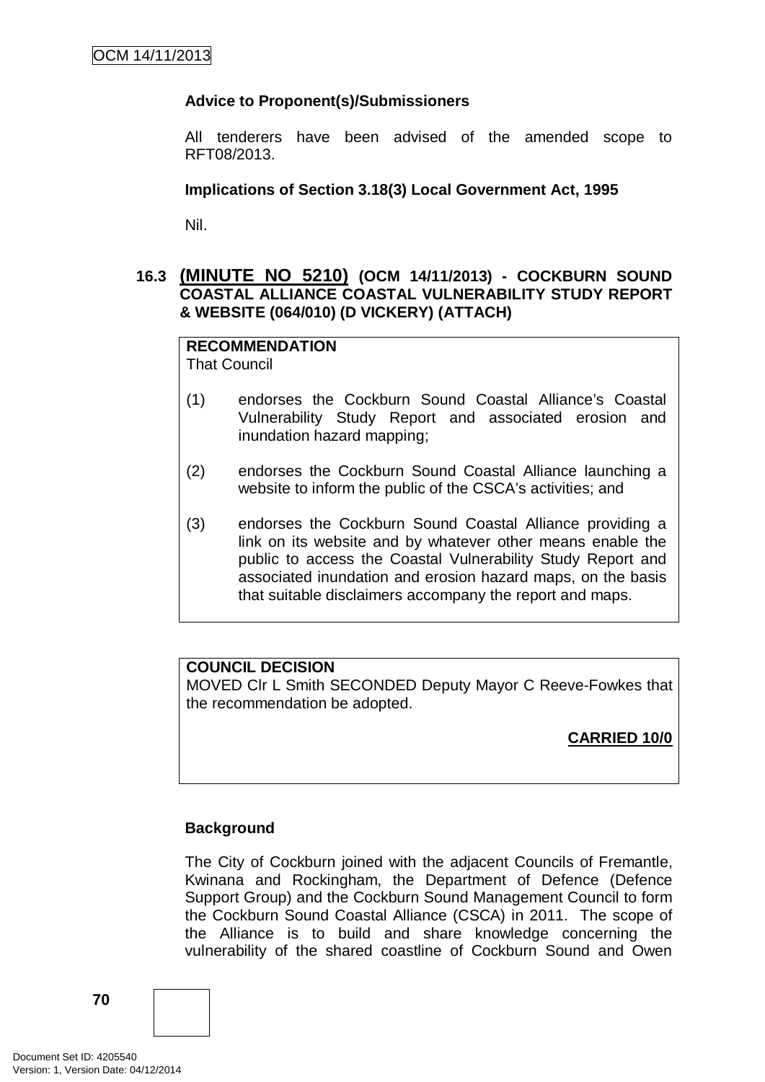# **Advice to Proponent(s)/Submissioners**

All tenderers have been advised of the amended scope to RFT08/2013.

#### **Implications of Section 3.18(3) Local Government Act, 1995**

Nil.

# **16.3 (MINUTE NO 5210) (OCM 14/11/2013) - COCKBURN SOUND COASTAL ALLIANCE COASTAL VULNERABILITY STUDY REPORT & WEBSITE (064/010) (D VICKERY) (ATTACH)**

# **RECOMMENDATION**

That Council

- (1) endorses the Cockburn Sound Coastal Alliance's Coastal Vulnerability Study Report and associated erosion and inundation hazard mapping;
- (2) endorses the Cockburn Sound Coastal Alliance launching a website to inform the public of the CSCA's activities; and
- (3) endorses the Cockburn Sound Coastal Alliance providing a link on its website and by whatever other means enable the public to access the Coastal Vulnerability Study Report and associated inundation and erosion hazard maps, on the basis that suitable disclaimers accompany the report and maps.

# **COUNCIL DECISION**

MOVED Clr L Smith SECONDED Deputy Mayor C Reeve-Fowkes that the recommendation be adopted.

**CARRIED 10/0**

# **Background**

The City of Cockburn joined with the adjacent Councils of Fremantle, Kwinana and Rockingham, the Department of Defence (Defence Support Group) and the Cockburn Sound Management Council to form the Cockburn Sound Coastal Alliance (CSCA) in 2011. The scope of the Alliance is to build and share knowledge concerning the vulnerability of the shared coastline of Cockburn Sound and Owen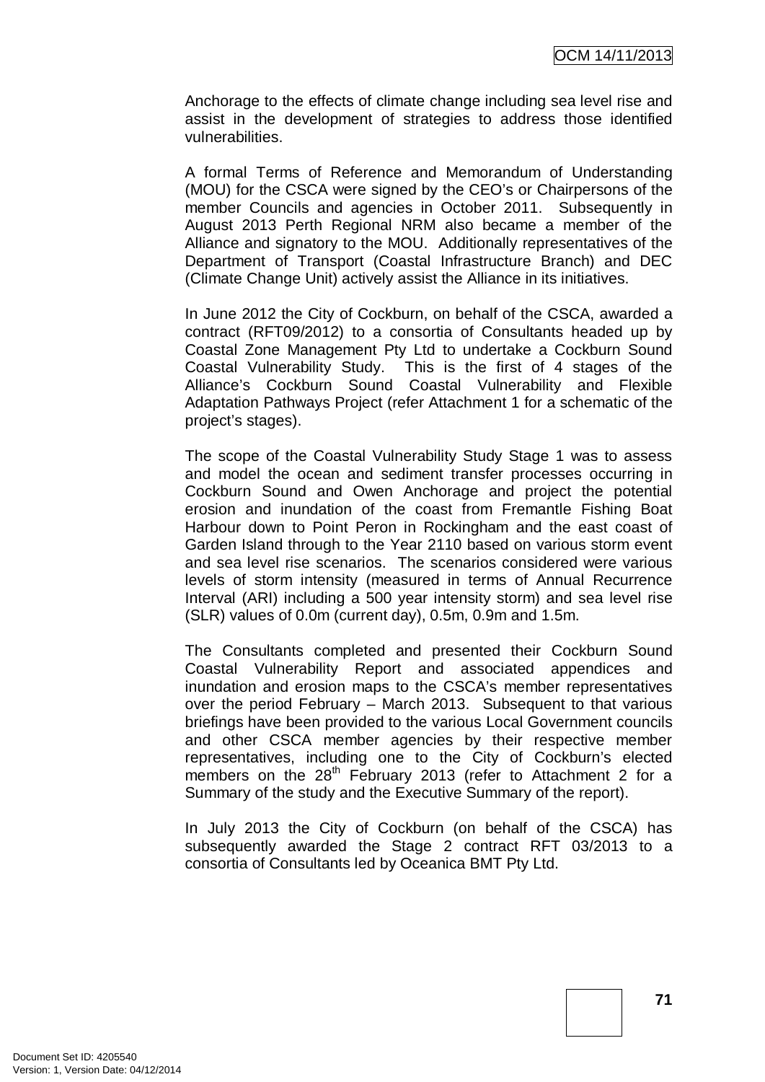Anchorage to the effects of climate change including sea level rise and assist in the development of strategies to address those identified vulnerabilities.

A formal Terms of Reference and Memorandum of Understanding (MOU) for the CSCA were signed by the CEO's or Chairpersons of the member Councils and agencies in October 2011. Subsequently in August 2013 Perth Regional NRM also became a member of the Alliance and signatory to the MOU. Additionally representatives of the Department of Transport (Coastal Infrastructure Branch) and DEC (Climate Change Unit) actively assist the Alliance in its initiatives.

In June 2012 the City of Cockburn, on behalf of the CSCA, awarded a contract (RFT09/2012) to a consortia of Consultants headed up by Coastal Zone Management Pty Ltd to undertake a Cockburn Sound Coastal Vulnerability Study. This is the first of 4 stages of the Alliance's Cockburn Sound Coastal Vulnerability and Flexible Adaptation Pathways Project (refer Attachment 1 for a schematic of the project's stages).

The scope of the Coastal Vulnerability Study Stage 1 was to assess and model the ocean and sediment transfer processes occurring in Cockburn Sound and Owen Anchorage and project the potential erosion and inundation of the coast from Fremantle Fishing Boat Harbour down to Point Peron in Rockingham and the east coast of Garden Island through to the Year 2110 based on various storm event and sea level rise scenarios. The scenarios considered were various levels of storm intensity (measured in terms of Annual Recurrence Interval (ARI) including a 500 year intensity storm) and sea level rise (SLR) values of 0.0m (current day), 0.5m, 0.9m and 1.5m.

The Consultants completed and presented their Cockburn Sound Coastal Vulnerability Report and associated appendices and inundation and erosion maps to the CSCA's member representatives over the period February – March 2013. Subsequent to that various briefings have been provided to the various Local Government councils and other CSCA member agencies by their respective member representatives, including one to the City of Cockburn's elected members on the  $28<sup>th</sup>$  February 2013 (refer to Attachment 2 for a Summary of the study and the Executive Summary of the report).

In July 2013 the City of Cockburn (on behalf of the CSCA) has subsequently awarded the Stage 2 contract RFT 03/2013 to a consortia of Consultants led by Oceanica BMT Pty Ltd.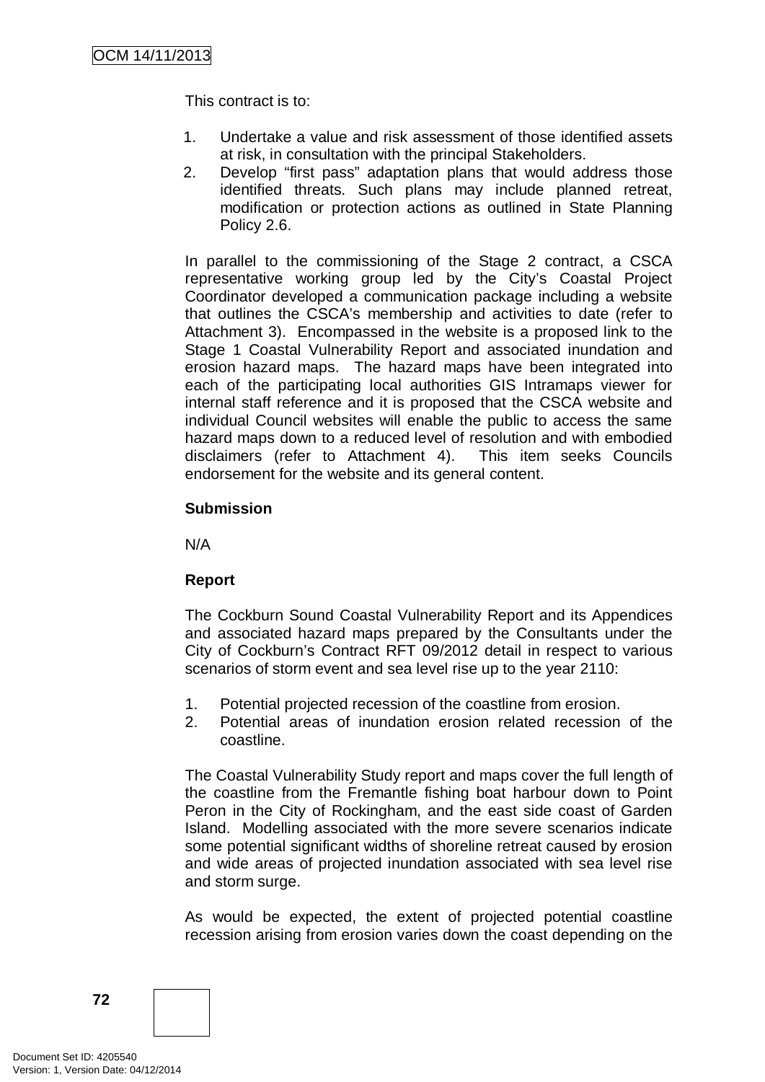This contract is to:

- 1. Undertake a value and risk assessment of those identified assets at risk, in consultation with the principal Stakeholders.
- 2. Develop "first pass" adaptation plans that would address those identified threats. Such plans may include planned retreat, modification or protection actions as outlined in State Planning Policy 2.6.

In parallel to the commissioning of the Stage 2 contract, a CSCA representative working group led by the City's Coastal Project Coordinator developed a communication package including a website that outlines the CSCA's membership and activities to date (refer to Attachment 3). Encompassed in the website is a proposed link to the Stage 1 Coastal Vulnerability Report and associated inundation and erosion hazard maps. The hazard maps have been integrated into each of the participating local authorities GIS Intramaps viewer for internal staff reference and it is proposed that the CSCA website and individual Council websites will enable the public to access the same hazard maps down to a reduced level of resolution and with embodied disclaimers (refer to Attachment 4). This item seeks Councils endorsement for the website and its general content.

# **Submission**

N/A

# **Report**

The Cockburn Sound Coastal Vulnerability Report and its Appendices and associated hazard maps prepared by the Consultants under the City of Cockburn's Contract RFT 09/2012 detail in respect to various scenarios of storm event and sea level rise up to the year 2110:

- 1. Potential projected recession of the coastline from erosion.
- 2. Potential areas of inundation erosion related recession of the coastline.

The Coastal Vulnerability Study report and maps cover the full length of the coastline from the Fremantle fishing boat harbour down to Point Peron in the City of Rockingham, and the east side coast of Garden Island. Modelling associated with the more severe scenarios indicate some potential significant widths of shoreline retreat caused by erosion and wide areas of projected inundation associated with sea level rise and storm surge.

As would be expected, the extent of projected potential coastline recession arising from erosion varies down the coast depending on the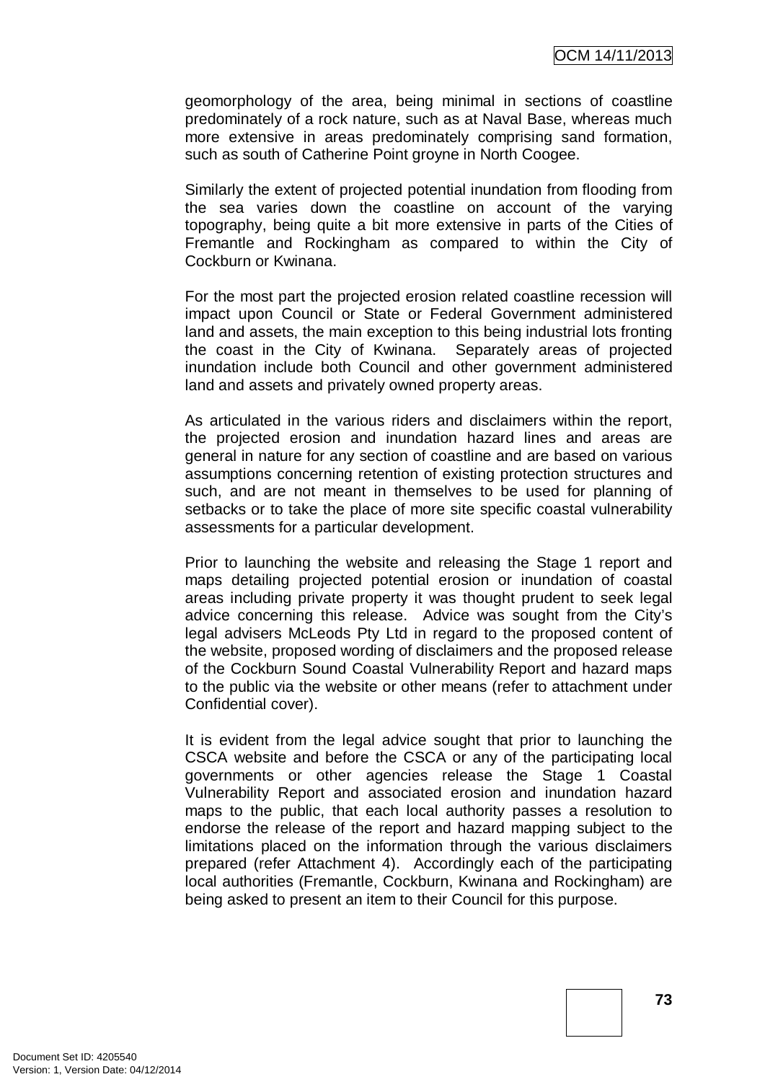geomorphology of the area, being minimal in sections of coastline predominately of a rock nature, such as at Naval Base, whereas much more extensive in areas predominately comprising sand formation, such as south of Catherine Point groyne in North Coogee.

Similarly the extent of projected potential inundation from flooding from the sea varies down the coastline on account of the varying topography, being quite a bit more extensive in parts of the Cities of Fremantle and Rockingham as compared to within the City of Cockburn or Kwinana.

For the most part the projected erosion related coastline recession will impact upon Council or State or Federal Government administered land and assets, the main exception to this being industrial lots fronting the coast in the City of Kwinana. Separately areas of projected inundation include both Council and other government administered land and assets and privately owned property areas.

As articulated in the various riders and disclaimers within the report, the projected erosion and inundation hazard lines and areas are general in nature for any section of coastline and are based on various assumptions concerning retention of existing protection structures and such, and are not meant in themselves to be used for planning of setbacks or to take the place of more site specific coastal vulnerability assessments for a particular development.

Prior to launching the website and releasing the Stage 1 report and maps detailing projected potential erosion or inundation of coastal areas including private property it was thought prudent to seek legal advice concerning this release. Advice was sought from the City's legal advisers McLeods Pty Ltd in regard to the proposed content of the website, proposed wording of disclaimers and the proposed release of the Cockburn Sound Coastal Vulnerability Report and hazard maps to the public via the website or other means (refer to attachment under Confidential cover).

It is evident from the legal advice sought that prior to launching the CSCA website and before the CSCA or any of the participating local governments or other agencies release the Stage 1 Coastal Vulnerability Report and associated erosion and inundation hazard maps to the public, that each local authority passes a resolution to endorse the release of the report and hazard mapping subject to the limitations placed on the information through the various disclaimers prepared (refer Attachment 4). Accordingly each of the participating local authorities (Fremantle, Cockburn, Kwinana and Rockingham) are being asked to present an item to their Council for this purpose.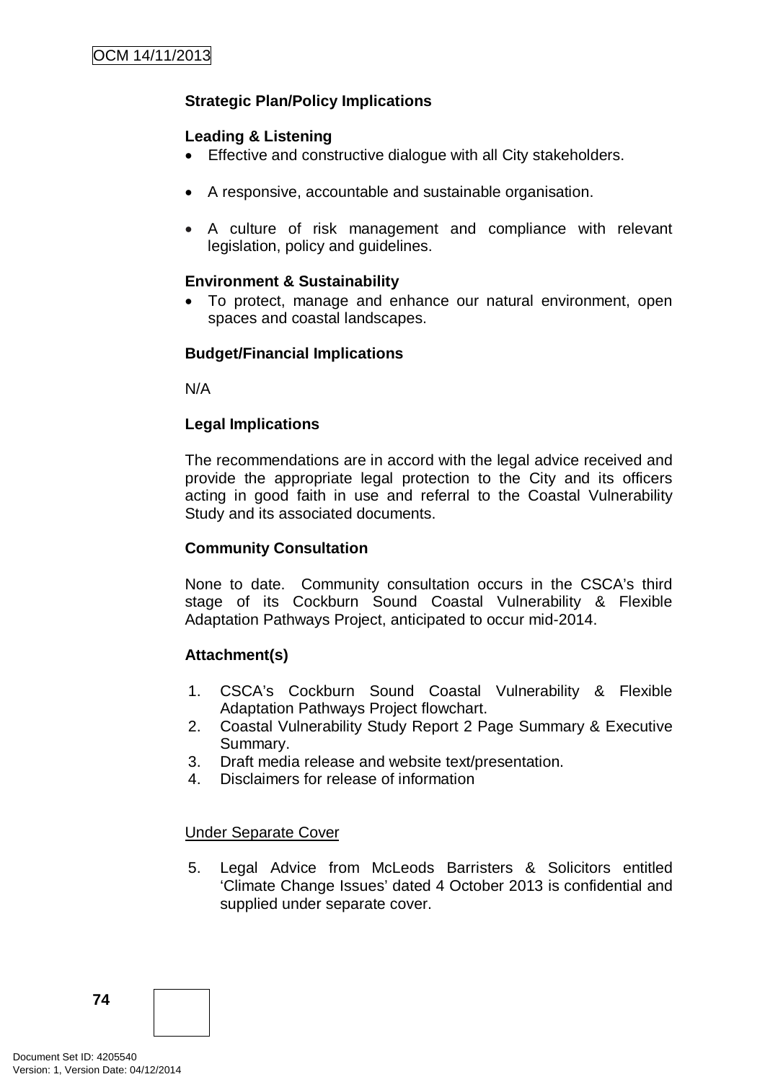# **Strategic Plan/Policy Implications**

# **Leading & Listening**

- Effective and constructive dialogue with all City stakeholders.
- A responsive, accountable and sustainable organisation.
- A culture of risk management and compliance with relevant legislation, policy and guidelines.

# **Environment & Sustainability**

• To protect, manage and enhance our natural environment, open spaces and coastal landscapes.

# **Budget/Financial Implications**

N/A

# **Legal Implications**

The recommendations are in accord with the legal advice received and provide the appropriate legal protection to the City and its officers acting in good faith in use and referral to the Coastal Vulnerability Study and its associated documents.

# **Community Consultation**

None to date. Community consultation occurs in the CSCA's third stage of its Cockburn Sound Coastal Vulnerability & Flexible Adaptation Pathways Project, anticipated to occur mid-2014.

# **Attachment(s)**

- 1. CSCA's Cockburn Sound Coastal Vulnerability & Flexible Adaptation Pathways Project flowchart.
- 2. Coastal Vulnerability Study Report 2 Page Summary & Executive Summary.
- 3. Draft media release and website text/presentation.<br>4. Disclaimers for release of information
- Disclaimers for release of information

# Under Separate Cover

5. Legal Advice from McLeods Barristers & Solicitors entitled 'Climate Change Issues' dated 4 October 2013 is confidential and supplied under separate cover.

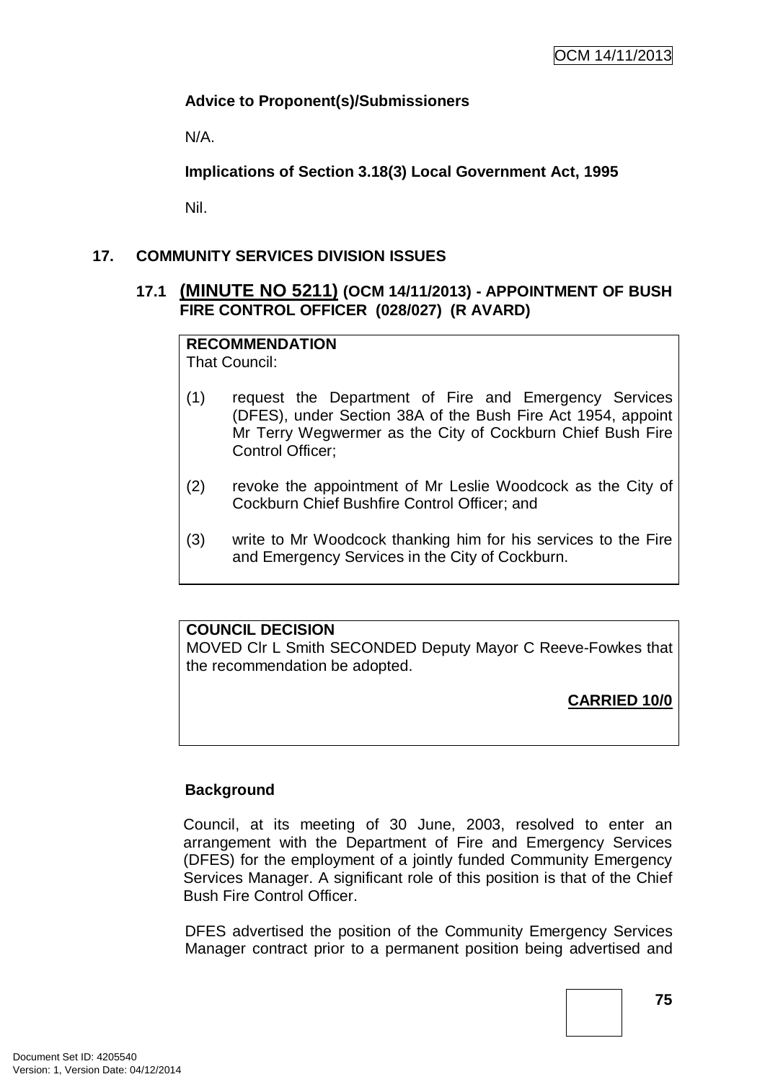# **Advice to Proponent(s)/Submissioners**

N/A.

**Implications of Section 3.18(3) Local Government Act, 1995**

Nil.

# **17. COMMUNITY SERVICES DIVISION ISSUES**

# **17.1 (MINUTE NO 5211) (OCM 14/11/2013) - APPOINTMENT OF BUSH FIRE CONTROL OFFICER (028/027) (R AVARD)**

**RECOMMENDATION** That Council:

- (1) request the Department of Fire and Emergency Services (DFES), under Section 38A of the Bush Fire Act 1954, appoint Mr Terry Wegwermer as the City of Cockburn Chief Bush Fire Control Officer;
- (2) revoke the appointment of Mr Leslie Woodcock as the City of Cockburn Chief Bushfire Control Officer; and
- (3) write to Mr Woodcock thanking him for his services to the Fire and Emergency Services in the City of Cockburn.

# **COUNCIL DECISION**

MOVED Clr L Smith SECONDED Deputy Mayor C Reeve-Fowkes that the recommendation be adopted.

**CARRIED 10/0**

# **Background**

Council, at its meeting of 30 June, 2003, resolved to enter an arrangement with the Department of Fire and Emergency Services (DFES) for the employment of a jointly funded Community Emergency Services Manager. A significant role of this position is that of the Chief Bush Fire Control Officer.

DFES advertised the position of the Community Emergency Services Manager contract prior to a permanent position being advertised and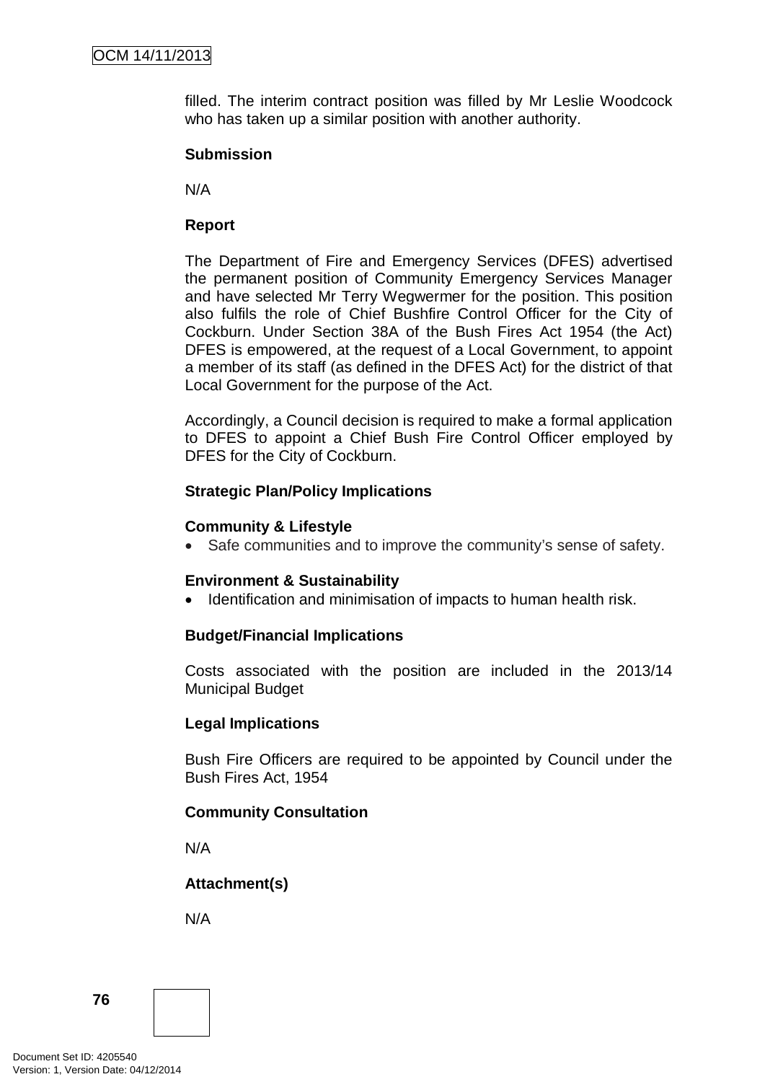filled. The interim contract position was filled by Mr Leslie Woodcock who has taken up a similar position with another authority.

### **Submission**

N/A

# **Report**

The Department of Fire and Emergency Services (DFES) advertised the permanent position of Community Emergency Services Manager and have selected Mr Terry Wegwermer for the position. This position also fulfils the role of Chief Bushfire Control Officer for the City of Cockburn. Under Section 38A of the Bush Fires Act 1954 (the Act) DFES is empowered, at the request of a Local Government, to appoint a member of its staff (as defined in the DFES Act) for the district of that Local Government for the purpose of the Act.

Accordingly, a Council decision is required to make a formal application to DFES to appoint a Chief Bush Fire Control Officer employed by DFES for the City of Cockburn.

#### **Strategic Plan/Policy Implications**

#### **Community & Lifestyle**

Safe communities and to improve the community's sense of safety.

#### **Environment & Sustainability**

• Identification and minimisation of impacts to human health risk.

# **Budget/Financial Implications**

Costs associated with the position are included in the 2013/14 Municipal Budget

#### **Legal Implications**

Bush Fire Officers are required to be appointed by Council under the Bush Fires Act, 1954

# **Community Consultation**

N/A

**Attachment(s)**

N/A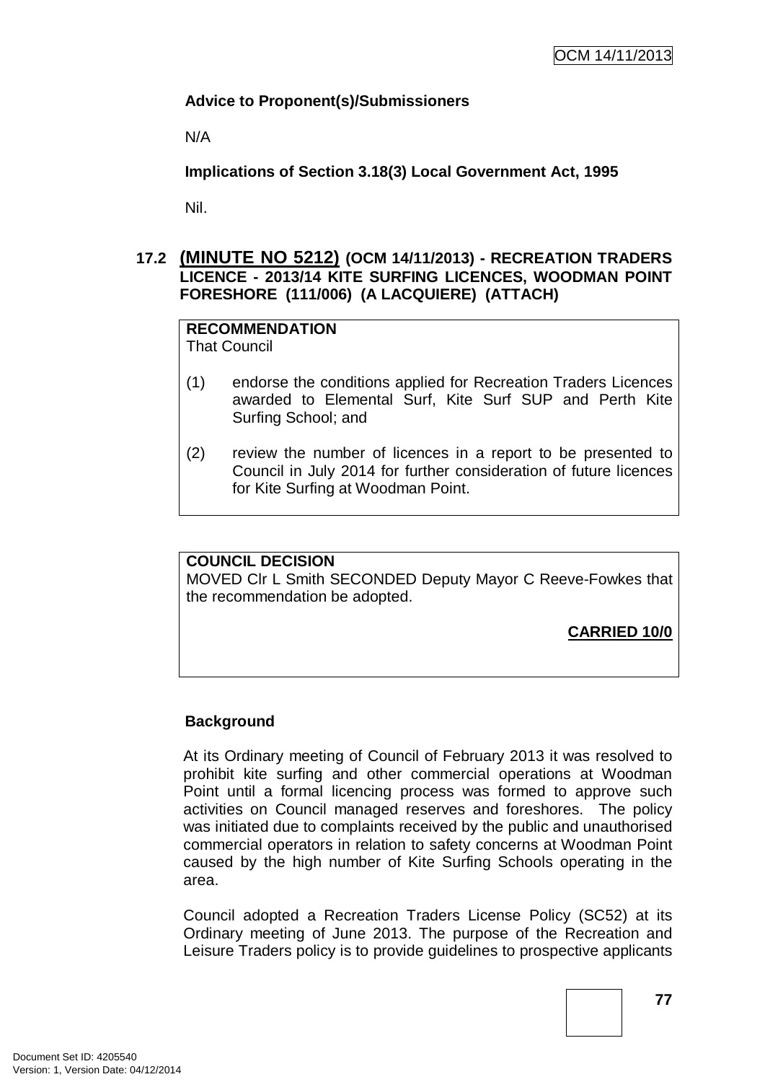# **Advice to Proponent(s)/Submissioners**

N/A

**Implications of Section 3.18(3) Local Government Act, 1995**

Nil.

# **17.2 (MINUTE NO 5212) (OCM 14/11/2013) - RECREATION TRADERS LICENCE - 2013/14 KITE SURFING LICENCES, WOODMAN POINT FORESHORE (111/006) (A LACQUIERE) (ATTACH)**

# **RECOMMENDATION**

That Council

- (1) endorse the conditions applied for Recreation Traders Licences awarded to Elemental Surf, Kite Surf SUP and Perth Kite Surfing School; and
- (2) review the number of licences in a report to be presented to Council in July 2014 for further consideration of future licences for Kite Surfing at Woodman Point.

# **COUNCIL DECISION**

MOVED Clr L Smith SECONDED Deputy Mayor C Reeve-Fowkes that the recommendation be adopted.

# **CARRIED 10/0**

# **Background**

At its Ordinary meeting of Council of February 2013 it was resolved to prohibit kite surfing and other commercial operations at Woodman Point until a formal licencing process was formed to approve such activities on Council managed reserves and foreshores. The policy was initiated due to complaints received by the public and unauthorised commercial operators in relation to safety concerns at Woodman Point caused by the high number of Kite Surfing Schools operating in the area.

Council adopted a Recreation Traders License Policy (SC52) at its Ordinary meeting of June 2013. The purpose of the Recreation and Leisure Traders policy is to provide guidelines to prospective applicants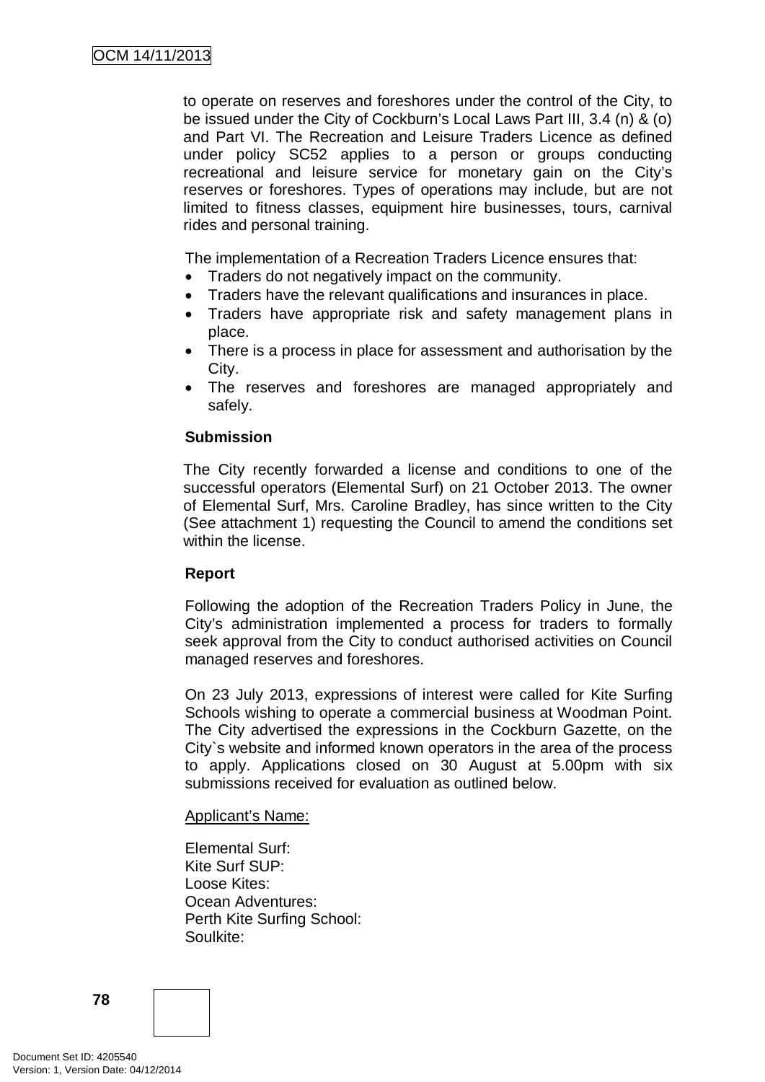to operate on reserves and foreshores under the control of the City, to be issued under the City of Cockburn's Local Laws Part III, 3.4 (n) & (o) and Part VI. The Recreation and Leisure Traders Licence as defined under policy SC52 applies to a person or groups conducting recreational and leisure service for monetary gain on the City's reserves or foreshores. Types of operations may include, but are not limited to fitness classes, equipment hire businesses, tours, carnival rides and personal training.

The implementation of a Recreation Traders Licence ensures that:

- Traders do not negatively impact on the community.
- Traders have the relevant qualifications and insurances in place.
- Traders have appropriate risk and safety management plans in place.
- There is a process in place for assessment and authorisation by the City.
- The reserves and foreshores are managed appropriately and safely.

# **Submission**

The City recently forwarded a license and conditions to one of the successful operators (Elemental Surf) on 21 October 2013. The owner of Elemental Surf, Mrs. Caroline Bradley, has since written to the City (See attachment 1) requesting the Council to amend the conditions set within the license.

# **Report**

Following the adoption of the Recreation Traders Policy in June, the City's administration implemented a process for traders to formally seek approval from the City to conduct authorised activities on Council managed reserves and foreshores.

On 23 July 2013, expressions of interest were called for Kite Surfing Schools wishing to operate a commercial business at Woodman Point. The City advertised the expressions in the Cockburn Gazette, on the City`s website and informed known operators in the area of the process to apply. Applications closed on 30 August at 5.00pm with six submissions received for evaluation as outlined below.

#### Applicant's Name:

Elemental Surf: Kite Surf SUP: Loose Kites: Ocean Adventures: Perth Kite Surfing School: Soulkite: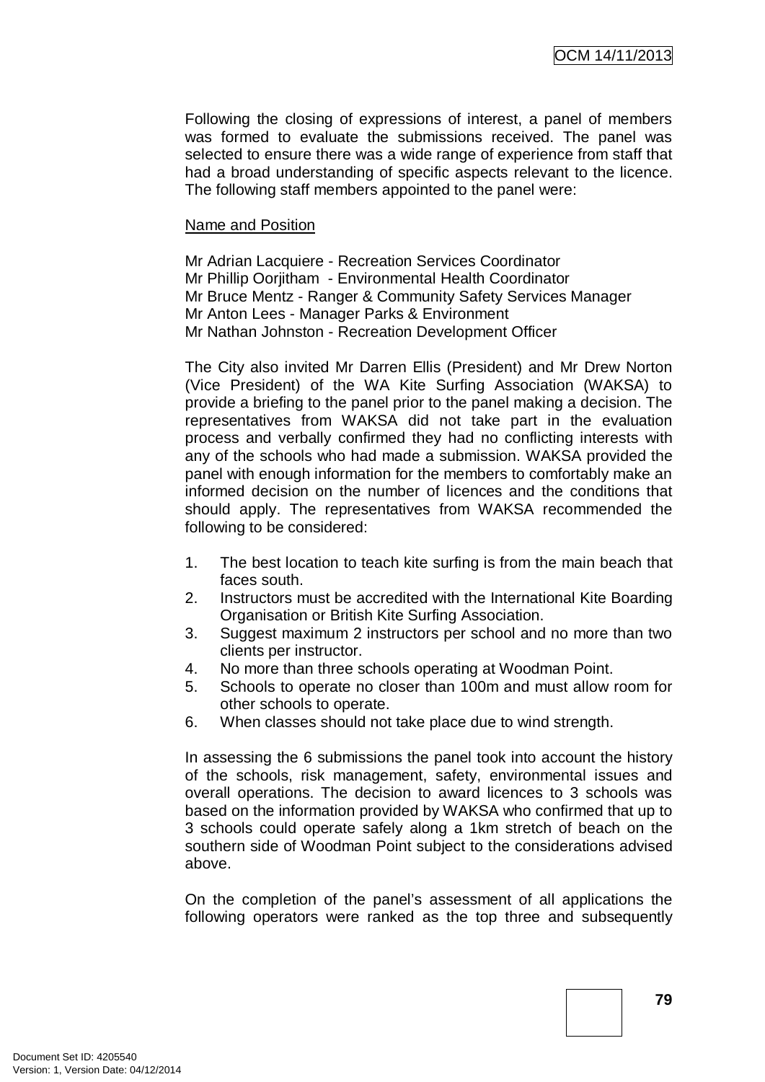Following the closing of expressions of interest, a panel of members was formed to evaluate the submissions received. The panel was selected to ensure there was a wide range of experience from staff that had a broad understanding of specific aspects relevant to the licence. The following staff members appointed to the panel were:

#### Name and Position

Mr Adrian Lacquiere - Recreation Services Coordinator Mr Phillip Oorjitham - Environmental Health Coordinator Mr Bruce Mentz - Ranger & Community Safety Services Manager Mr Anton Lees - Manager Parks & Environment Mr Nathan Johnston - Recreation Development Officer

The City also invited Mr Darren Ellis (President) and Mr Drew Norton (Vice President) of the WA Kite Surfing Association (WAKSA) to provide a briefing to the panel prior to the panel making a decision. The representatives from WAKSA did not take part in the evaluation process and verbally confirmed they had no conflicting interests with any of the schools who had made a submission. WAKSA provided the panel with enough information for the members to comfortably make an informed decision on the number of licences and the conditions that should apply. The representatives from WAKSA recommended the following to be considered:

- 1. The best location to teach kite surfing is from the main beach that faces south.
- 2. Instructors must be accredited with the International Kite Boarding Organisation or British Kite Surfing Association.
- 3. Suggest maximum 2 instructors per school and no more than two clients per instructor.
- 4. No more than three schools operating at Woodman Point.
- 5. Schools to operate no closer than 100m and must allow room for other schools to operate.
- 6. When classes should not take place due to wind strength.

In assessing the 6 submissions the panel took into account the history of the schools, risk management, safety, environmental issues and overall operations. The decision to award licences to 3 schools was based on the information provided by WAKSA who confirmed that up to 3 schools could operate safely along a 1km stretch of beach on the southern side of Woodman Point subject to the considerations advised above.

On the completion of the panel's assessment of all applications the following operators were ranked as the top three and subsequently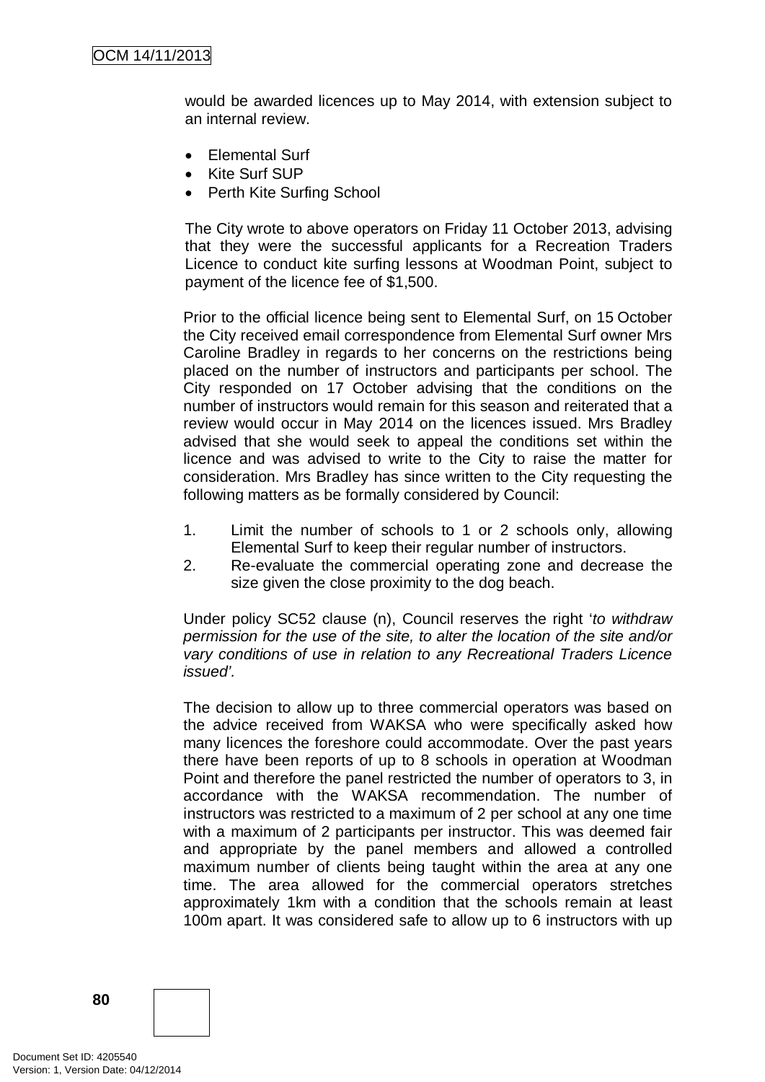would be awarded licences up to May 2014, with extension subject to an internal review.

- Elemental Surf
- Kite Surf SUP
- Perth Kite Surfing School

The City wrote to above operators on Friday 11 October 2013, advising that they were the successful applicants for a Recreation Traders Licence to conduct kite surfing lessons at Woodman Point, subject to payment of the licence fee of \$1,500.

Prior to the official licence being sent to Elemental Surf, on 15 October the City received email correspondence from Elemental Surf owner Mrs Caroline Bradley in regards to her concerns on the restrictions being placed on the number of instructors and participants per school. The City responded on 17 October advising that the conditions on the number of instructors would remain for this season and reiterated that a review would occur in May 2014 on the licences issued. Mrs Bradley advised that she would seek to appeal the conditions set within the licence and was advised to write to the City to raise the matter for consideration. Mrs Bradley has since written to the City requesting the following matters as be formally considered by Council:

- 1. Limit the number of schools to 1 or 2 schools only, allowing Elemental Surf to keep their regular number of instructors.
- 2. Re-evaluate the commercial operating zone and decrease the size given the close proximity to the dog beach.

Under policy SC52 clause (n), Council reserves the right '*to withdraw permission for the use of the site, to alter the location of the site and/or vary conditions of use in relation to any Recreational Traders Licence issued'.* 

The decision to allow up to three commercial operators was based on the advice received from WAKSA who were specifically asked how many licences the foreshore could accommodate. Over the past years there have been reports of up to 8 schools in operation at Woodman Point and therefore the panel restricted the number of operators to 3, in accordance with the WAKSA recommendation. The number of instructors was restricted to a maximum of 2 per school at any one time with a maximum of 2 participants per instructor. This was deemed fair and appropriate by the panel members and allowed a controlled maximum number of clients being taught within the area at any one time. The area allowed for the commercial operators stretches approximately 1km with a condition that the schools remain at least 100m apart. It was considered safe to allow up to 6 instructors with up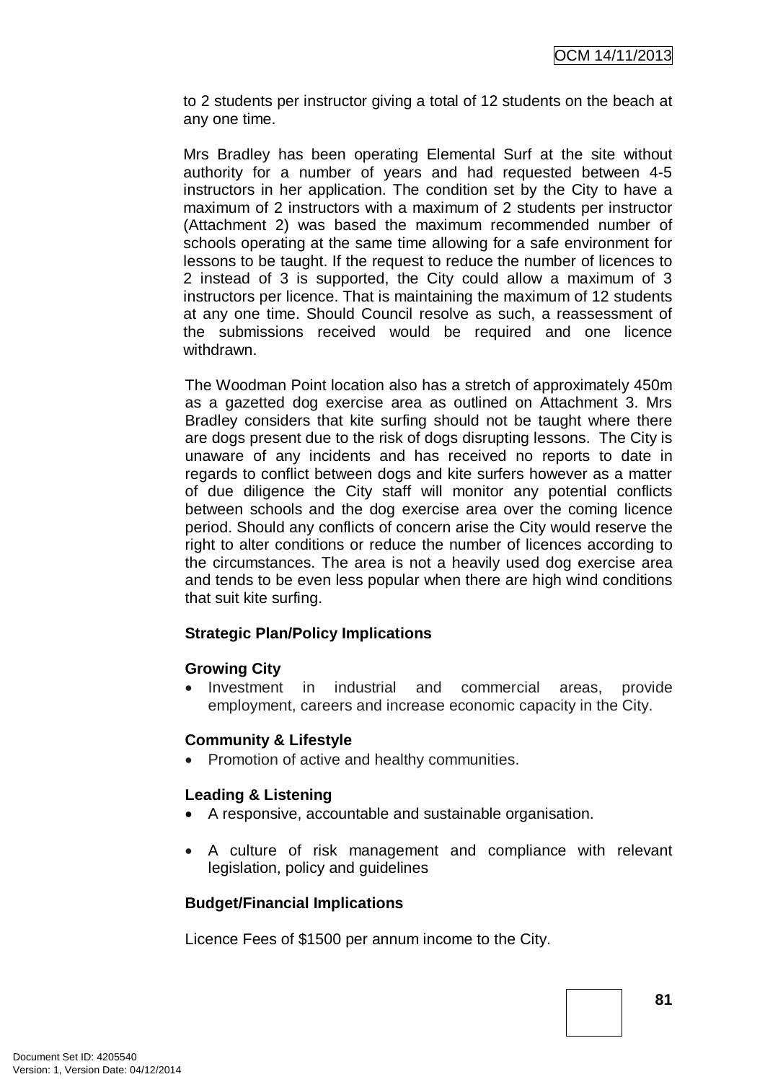to 2 students per instructor giving a total of 12 students on the beach at any one time.

Mrs Bradley has been operating Elemental Surf at the site without authority for a number of years and had requested between 4-5 instructors in her application. The condition set by the City to have a maximum of 2 instructors with a maximum of 2 students per instructor (Attachment 2) was based the maximum recommended number of schools operating at the same time allowing for a safe environment for lessons to be taught. If the request to reduce the number of licences to 2 instead of 3 is supported, the City could allow a maximum of 3 instructors per licence. That is maintaining the maximum of 12 students at any one time. Should Council resolve as such, a reassessment of the submissions received would be required and one licence withdrawn.

The Woodman Point location also has a stretch of approximately 450m as a gazetted dog exercise area as outlined on Attachment 3. Mrs Bradley considers that kite surfing should not be taught where there are dogs present due to the risk of dogs disrupting lessons. The City is unaware of any incidents and has received no reports to date in regards to conflict between dogs and kite surfers however as a matter of due diligence the City staff will monitor any potential conflicts between schools and the dog exercise area over the coming licence period. Should any conflicts of concern arise the City would reserve the right to alter conditions or reduce the number of licences according to the circumstances. The area is not a heavily used dog exercise area and tends to be even less popular when there are high wind conditions that suit kite surfing.

# **Strategic Plan/Policy Implications**

# **Growing City**

• Investment in industrial and commercial areas, provide employment, careers and increase economic capacity in the City.

# **Community & Lifestyle**

• Promotion of active and healthy communities.

# **Leading & Listening**

- A responsive, accountable and sustainable organisation.
- A culture of risk management and compliance with relevant legislation, policy and guidelines

# **Budget/Financial Implications**

Licence Fees of \$1500 per annum income to the City.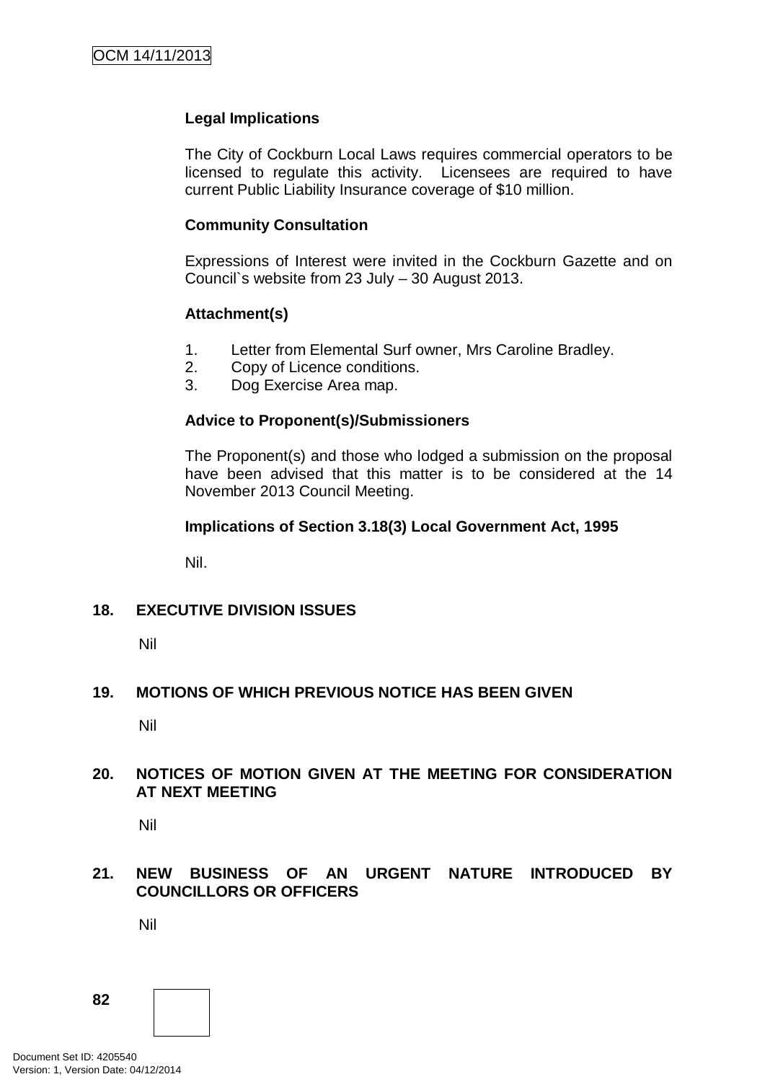# **Legal Implications**

The City of Cockburn Local Laws requires commercial operators to be licensed to regulate this activity. Licensees are required to have current Public Liability Insurance coverage of \$10 million.

# **Community Consultation**

Expressions of Interest were invited in the Cockburn Gazette and on Council`s website from 23 July – 30 August 2013.

# **Attachment(s)**

- 1. Letter from Elemental Surf owner, Mrs Caroline Bradley.
- 2. Copy of Licence conditions.
- 3. Dog Exercise Area map.

# **Advice to Proponent(s)/Submissioners**

The Proponent(s) and those who lodged a submission on the proposal have been advised that this matter is to be considered at the 14 November 2013 Council Meeting.

# **Implications of Section 3.18(3) Local Government Act, 1995**

Nil.

# **18. EXECUTIVE DIVISION ISSUES**

Nil

# **19. MOTIONS OF WHICH PREVIOUS NOTICE HAS BEEN GIVEN**

Nil

# **20. NOTICES OF MOTION GIVEN AT THE MEETING FOR CONSIDERATION AT NEXT MEETING**

Nil

# **21. NEW BUSINESS OF AN URGENT NATURE INTRODUCED BY COUNCILLORS OR OFFICERS**

Nil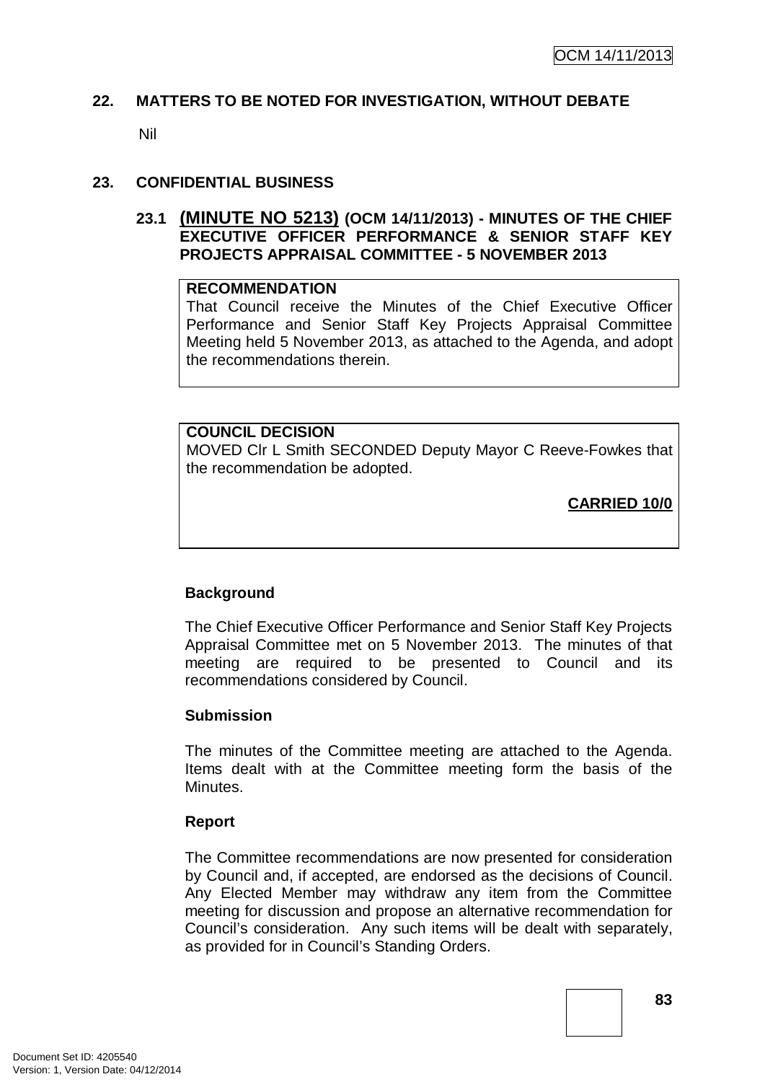#### **22. MATTERS TO BE NOTED FOR INVESTIGATION, WITHOUT DEBATE**

Nil

# **23. CONFIDENTIAL BUSINESS**

# **23.1 (MINUTE NO 5213) (OCM 14/11/2013) - MINUTES OF THE CHIEF EXECUTIVE OFFICER PERFORMANCE & SENIOR STAFF KEY PROJECTS APPRAISAL COMMITTEE - 5 NOVEMBER 2013**

# **RECOMMENDATION**

That Council receive the Minutes of the Chief Executive Officer Performance and Senior Staff Key Projects Appraisal Committee Meeting held 5 November 2013, as attached to the Agenda, and adopt the recommendations therein.

# **COUNCIL DECISION**

MOVED Clr L Smith SECONDED Deputy Mayor C Reeve-Fowkes that the recommendation be adopted.

**CARRIED 10/0**

# **Background**

The Chief Executive Officer Performance and Senior Staff Key Projects Appraisal Committee met on 5 November 2013. The minutes of that meeting are required to be presented to Council and its recommendations considered by Council.

#### **Submission**

The minutes of the Committee meeting are attached to the Agenda. Items dealt with at the Committee meeting form the basis of the Minutes.

#### **Report**

The Committee recommendations are now presented for consideration by Council and, if accepted, are endorsed as the decisions of Council. Any Elected Member may withdraw any item from the Committee meeting for discussion and propose an alternative recommendation for Council's consideration. Any such items will be dealt with separately, as provided for in Council's Standing Orders.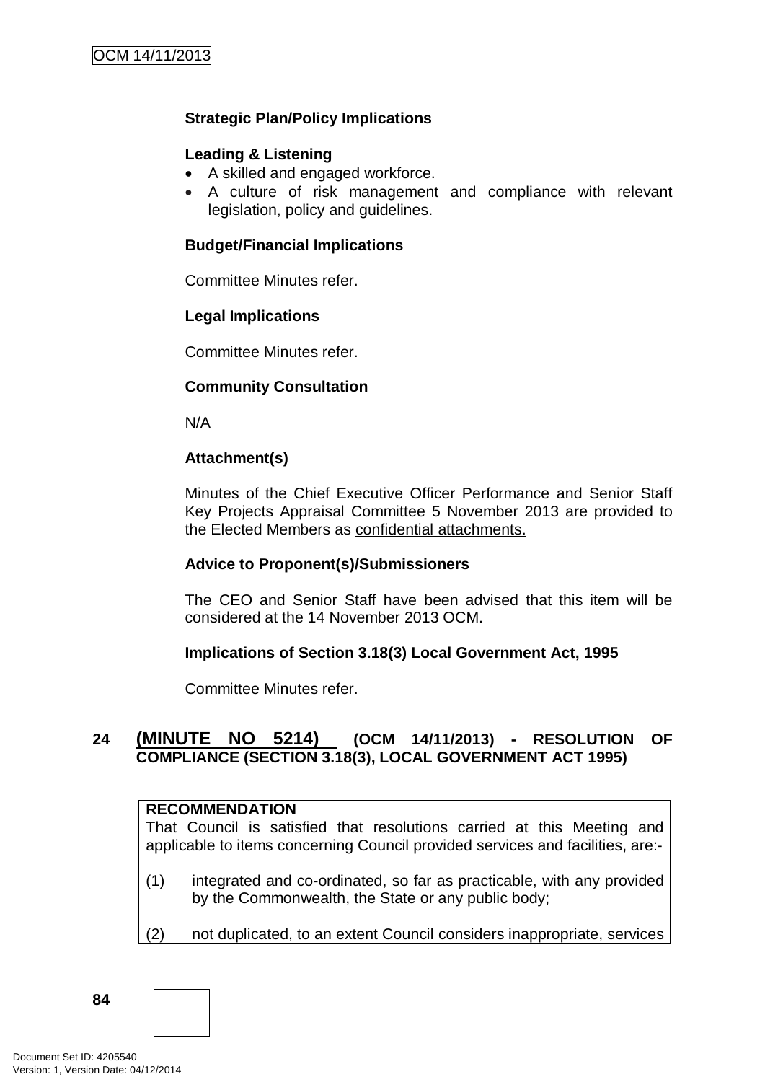# **Strategic Plan/Policy Implications**

# **Leading & Listening**

- A skilled and engaged workforce.
- A culture of risk management and compliance with relevant legislation, policy and guidelines.

# **Budget/Financial Implications**

Committee Minutes refer.

# **Legal Implications**

Committee Minutes refer.

# **Community Consultation**

N/A

# **Attachment(s)**

Minutes of the Chief Executive Officer Performance and Senior Staff Key Projects Appraisal Committee 5 November 2013 are provided to the Elected Members as confidential attachments.

# **Advice to Proponent(s)/Submissioners**

The CEO and Senior Staff have been advised that this item will be considered at the 14 November 2013 OCM.

# **Implications of Section 3.18(3) Local Government Act, 1995**

Committee Minutes refer.

# **24 (MINUTE NO 5214) (OCM 14/11/2013) - RESOLUTION OF COMPLIANCE (SECTION 3.18(3), LOCAL GOVERNMENT ACT 1995)**

# **RECOMMENDATION**

That Council is satisfied that resolutions carried at this Meeting and applicable to items concerning Council provided services and facilities, are:-

- (1) integrated and co-ordinated, so far as practicable, with any provided by the Commonwealth, the State or any public body;
- (2) not duplicated, to an extent Council considers inappropriate, services